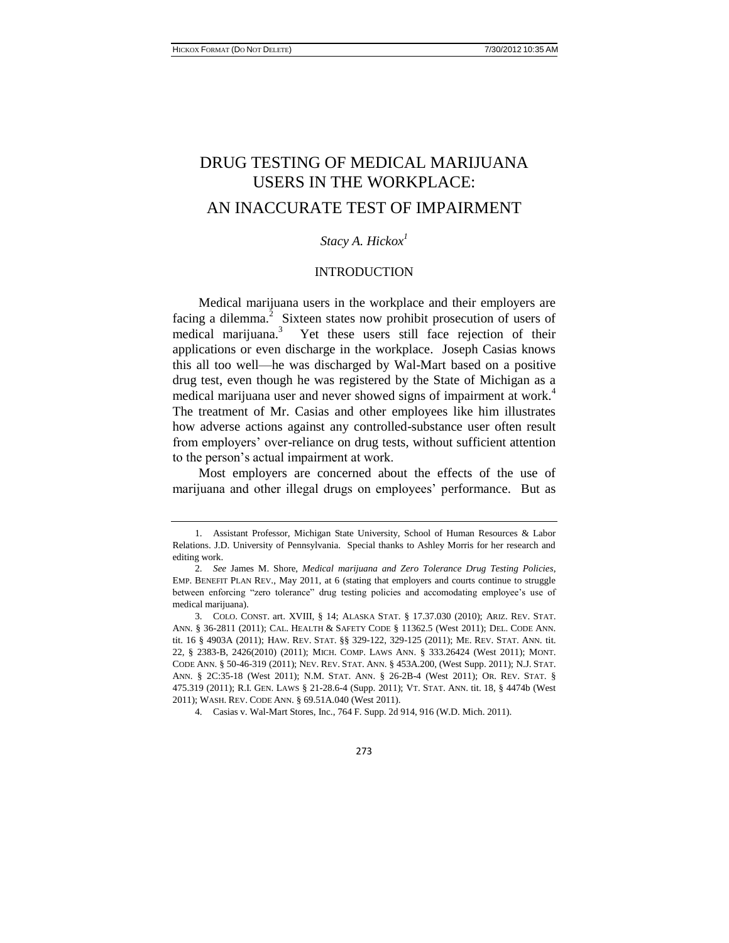# DRUG TESTING OF MEDICAL MARIJUANA USERS IN THE WORKPLACE: AN INACCURATE TEST OF IMPAIRMENT

# *Stacy A. Hickox<sup>1</sup>*

#### INTRODUCTION

Medical marijuana users in the workplace and their employers are facing a dilemma. $2$  Sixteen states now prohibit prosecution of users of medical marijuana.<sup>3</sup> Yet these users still face rejection of their applications or even discharge in the workplace. Joseph Casias knows this all too well—he was discharged by Wal-Mart based on a positive drug test, even though he was registered by the State of Michigan as a medical marijuana user and never showed signs of impairment at work.<sup>4</sup> The treatment of Mr. Casias and other employees like him illustrates how adverse actions against any controlled-substance user often result from employers' over-reliance on drug tests, without sufficient attention to the person's actual impairment at work.

Most employers are concerned about the effects of the use of marijuana and other illegal drugs on employees' performance. But as

273

<sup>1.</sup> Assistant Professor, Michigan State University, School of Human Resources & Labor Relations. J.D. University of Pennsylvania. Special thanks to Ashley Morris for her research and editing work.

<sup>2.</sup> *See* James M. Shore, *Medical marijuana and Zero Tolerance Drug Testing Policies*, EMP. BENEFIT PLAN REV., May 2011, at 6 (stating that employers and courts continue to struggle between enforcing "zero tolerance" drug testing policies and accomodating employee's use of medical marijuana).

<sup>3.</sup> COLO. CONST. art. XVIII, § 14; ALASKA STAT. § 17.37.030 (2010); ARIZ. REV. STAT. ANN. § 36-2811 (2011); CAL. HEALTH & SAFETY CODE § 11362.5 (West 2011); DEL. CODE ANN. tit. 16 § 4903A (2011); HAW. REV. STAT. §§ 329-122, 329-125 (2011); ME. REV. STAT. ANN. tit. 22, § 2383-B, 2426(2010) (2011); MICH. COMP. LAWS ANN. § 333.26424 (West 2011); MONT. CODE ANN. § 50-46-319 (2011); NEV. REV. STAT. ANN. § 453A.200, (West Supp. 2011); N.J. STAT. ANN. § 2C:35-18 (West 2011); N.M. STAT. ANN. § 26-2B-4 (West 2011); OR. REV. STAT. § 475.319 (2011); R.I. GEN. LAWS § 21-28.6-4 (Supp. 2011); VT. STAT. ANN. tit. 18, § 4474b (West 2011); WASH. REV. CODE ANN. § 69.51A.040 (West 2011).

<sup>4.</sup> Casias v. Wal-Mart Stores, Inc., 764 F. Supp. 2d 914, 916 (W.D. Mich. 2011).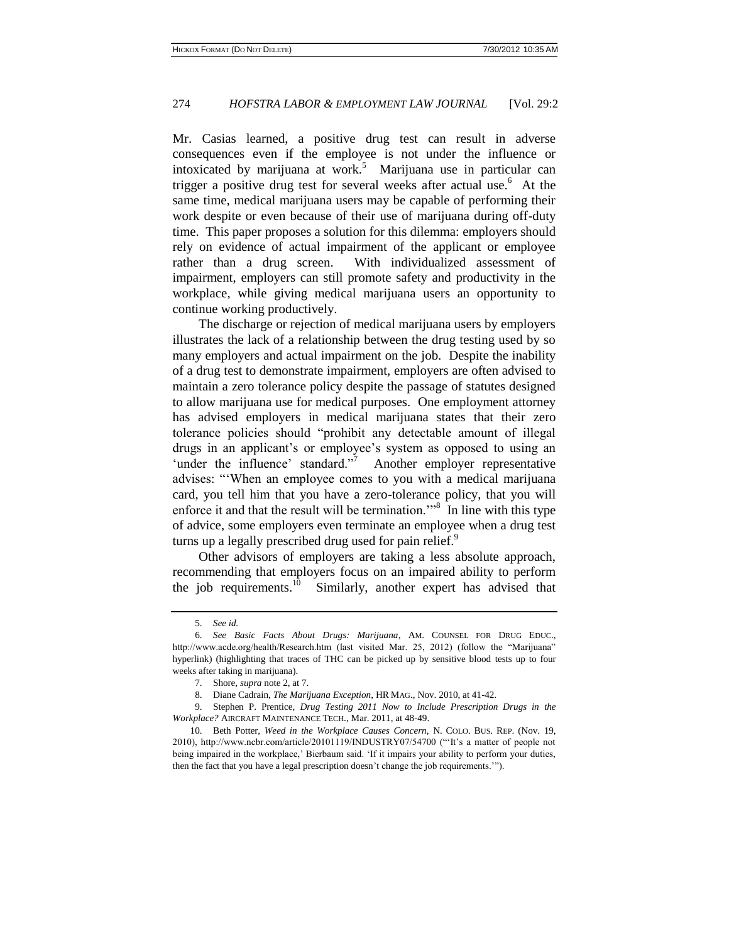Mr. Casias learned, a positive drug test can result in adverse consequences even if the employee is not under the influence or intoxicated by marijuana at work.<sup>5</sup> Marijuana use in particular can trigger a positive drug test for several weeks after actual use.<sup>6</sup> At the same time, medical marijuana users may be capable of performing their work despite or even because of their use of marijuana during off-duty time. This paper proposes a solution for this dilemma: employers should rely on evidence of actual impairment of the applicant or employee rather than a drug screen. With individualized assessment of impairment, employers can still promote safety and productivity in the workplace, while giving medical marijuana users an opportunity to continue working productively.

The discharge or rejection of medical marijuana users by employers illustrates the lack of a relationship between the drug testing used by so many employers and actual impairment on the job. Despite the inability of a drug test to demonstrate impairment, employers are often advised to maintain a zero tolerance policy despite the passage of statutes designed to allow marijuana use for medical purposes. One employment attorney has advised employers in medical marijuana states that their zero tolerance policies should "prohibit any detectable amount of illegal drugs in an applicant's or employee's system as opposed to using an 'under the influence' standard."<sup>7</sup> Another employer representative advises: "'When an employee comes to you with a medical marijuana card, you tell him that you have a zero-tolerance policy, that you will enforce it and that the result will be termination.<sup>"8</sup> In line with this type of advice, some employers even terminate an employee when a drug test turns up a legally prescribed drug used for pain relief.<sup>9</sup>

Other advisors of employers are taking a less absolute approach, recommending that employers focus on an impaired ability to perform the job requirements. $10$  Similarly, another expert has advised that

<sup>5.</sup> *See id.*

<sup>6.</sup> *See Basic Facts About Drugs: Marijuana*, AM. COUNSEL FOR DRUG EDUC., http://www.acde.org/health/Research.htm (last visited Mar. 25, 2012) (follow the "Marijuana" hyperlink) (highlighting that traces of THC can be picked up by sensitive blood tests up to four weeks after taking in marijuana).

<sup>7.</sup> Shore, *supra* note 2, at 7.

<sup>8.</sup> Dian[e Cadrain,](http://search.proquest.com.proxy1.cl.msu.edu/docview.lateralsearchlink:lateralsearch/sng/author/Cadrain,+Diane/$N?site=abicomplete&t:ac=761069823/130CC0767EB2D918BE3/14&t:cp=maintain/resultcitationblocks) *The Marijuana Exception*, HR MAG., Nov. 2010, at 41-42.

<sup>9.</sup> Stephen P. Prentice, *Drug Testing 2011 Now to Include Prescription Drugs in the Workplace?* AIRCRAFT MAINTENANCE TECH., Mar. 2011, at 48-49.

<sup>10.</sup> Beth Potter, *Weed in the Workplace Causes Concern*, N. COLO. BUS. REP. (Nov. 19, 2010), http://www.ncbr.com/article/20101119/INDUSTRY07/54700 ("'It's a matter of people not being impaired in the workplace,' Bierbaum said. 'If it impairs your ability to perform your duties, then the fact that you have a legal prescription doesn't change the job requirements.'").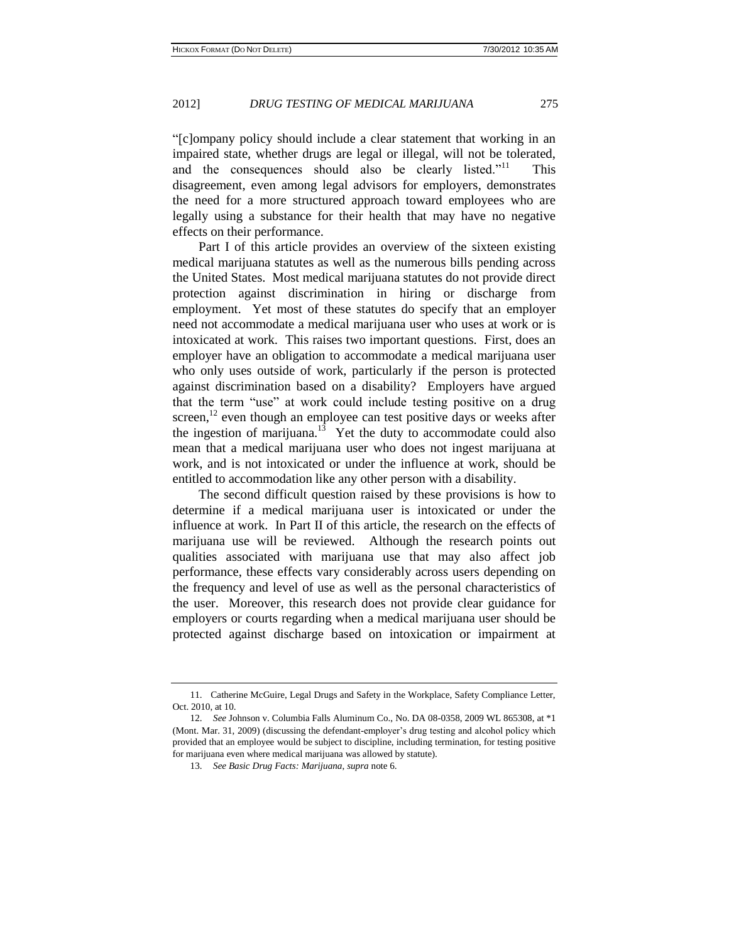"[c]ompany policy should include a clear statement that working in an impaired state, whether drugs are legal or illegal, will not be tolerated, and the consequences should also be clearly listed."<sup>11</sup> This disagreement, even among legal advisors for employers, demonstrates the need for a more structured approach toward employees who are legally using a substance for their health that may have no negative effects on their performance.

Part I of this article provides an overview of the sixteen existing medical marijuana statutes as well as the numerous bills pending across the United States. Most medical marijuana statutes do not provide direct protection against discrimination in hiring or discharge from employment. Yet most of these statutes do specify that an employer need not accommodate a medical marijuana user who uses at work or is intoxicated at work. This raises two important questions. First, does an employer have an obligation to accommodate a medical marijuana user who only uses outside of work, particularly if the person is protected against discrimination based on a disability? Employers have argued that the term "use" at work could include testing positive on a drug screen, $12$  even though an employee can test positive days or weeks after the ingestion of marijuana.<sup>13</sup> Yet the duty to accommodate could also mean that a medical marijuana user who does not ingest marijuana at work, and is not intoxicated or under the influence at work, should be entitled to accommodation like any other person with a disability.

The second difficult question raised by these provisions is how to determine if a medical marijuana user is intoxicated or under the influence at work. In Part II of this article, the research on the effects of marijuana use will be reviewed. Although the research points out qualities associated with marijuana use that may also affect job performance, these effects vary considerably across users depending on the frequency and level of use as well as the personal characteristics of the user. Moreover, this research does not provide clear guidance for employers or courts regarding when a medical marijuana user should be protected against discharge based on intoxication or impairment at

<sup>11.</sup> Catherine McGuire, Legal Drugs and Safety in the Workplace, Safety Compliance Letter, Oct. 2010, at 10.

<sup>12.</sup> *See* Johnson v. Columbia Falls Aluminum Co., No. DA 08-0358, 2009 WL 865308, at \*1 (Mont. Mar. 31, 2009) (discussing the defendant-employer's drug testing and alcohol policy which provided that an employee would be subject to discipline, including termination, for testing positive for marijuana even where medical marijuana was allowed by statute).

<sup>13.</sup> *See Basic Drug Facts: Marijuana*, *supra* note 6.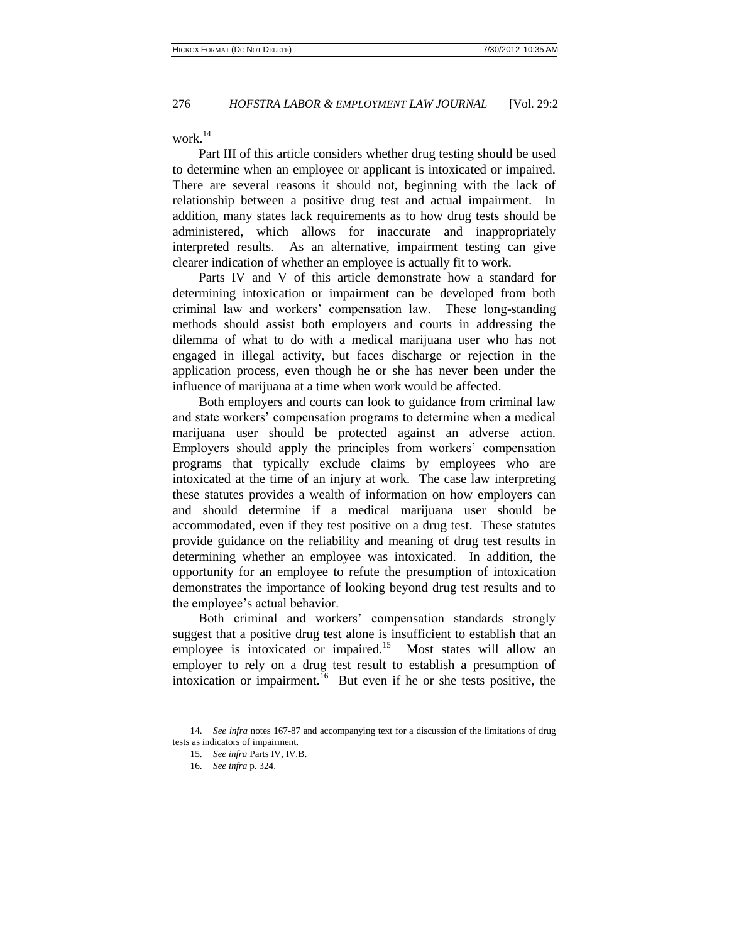work.<sup>14</sup>

Part III of this article considers whether drug testing should be used to determine when an employee or applicant is intoxicated or impaired. There are several reasons it should not, beginning with the lack of relationship between a positive drug test and actual impairment. In addition, many states lack requirements as to how drug tests should be administered, which allows for inaccurate and inappropriately interpreted results. As an alternative, impairment testing can give clearer indication of whether an employee is actually fit to work.

Parts IV and V of this article demonstrate how a standard for determining intoxication or impairment can be developed from both criminal law and workers' compensation law. These long-standing methods should assist both employers and courts in addressing the dilemma of what to do with a medical marijuana user who has not engaged in illegal activity, but faces discharge or rejection in the application process, even though he or she has never been under the influence of marijuana at a time when work would be affected.

Both employers and courts can look to guidance from criminal law and state workers' compensation programs to determine when a medical marijuana user should be protected against an adverse action. Employers should apply the principles from workers' compensation programs that typically exclude claims by employees who are intoxicated at the time of an injury at work. The case law interpreting these statutes provides a wealth of information on how employers can and should determine if a medical marijuana user should be accommodated, even if they test positive on a drug test. These statutes provide guidance on the reliability and meaning of drug test results in determining whether an employee was intoxicated. In addition, the opportunity for an employee to refute the presumption of intoxication demonstrates the importance of looking beyond drug test results and to the employee's actual behavior.

Both criminal and workers' compensation standards strongly suggest that a positive drug test alone is insufficient to establish that an employee is intoxicated or impaired.<sup>15</sup> Most states will allow an employer to rely on a drug test result to establish a presumption of intoxication or impairment.  $\frac{16}{6}$  But even if he or she tests positive, the

<sup>14.</sup> *See infra* notes 167-87 and accompanying text for a discussion of the limitations of drug tests as indicators of impairment.

<sup>15.</sup> *See infra* Parts IV, IV.B.

<sup>16.</sup> *See infra* p. 324.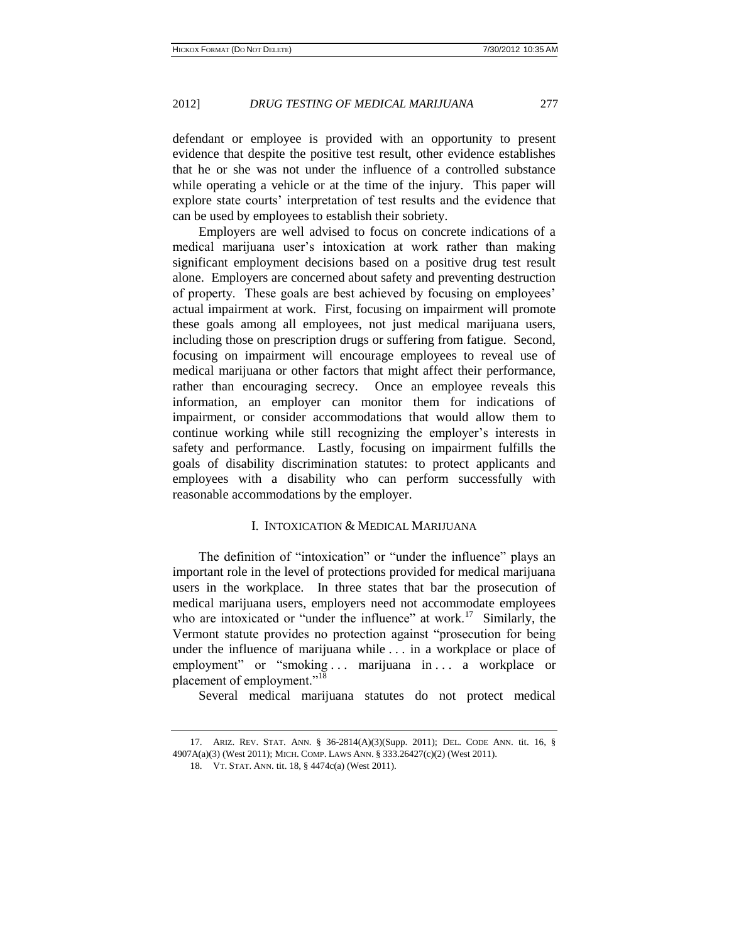defendant or employee is provided with an opportunity to present evidence that despite the positive test result, other evidence establishes that he or she was not under the influence of a controlled substance while operating a vehicle or at the time of the injury. This paper will explore state courts' interpretation of test results and the evidence that can be used by employees to establish their sobriety.

Employers are well advised to focus on concrete indications of a medical marijuana user's intoxication at work rather than making significant employment decisions based on a positive drug test result alone. Employers are concerned about safety and preventing destruction of property. These goals are best achieved by focusing on employees' actual impairment at work. First, focusing on impairment will promote these goals among all employees, not just medical marijuana users, including those on prescription drugs or suffering from fatigue. Second, focusing on impairment will encourage employees to reveal use of medical marijuana or other factors that might affect their performance, rather than encouraging secrecy. Once an employee reveals this information, an employer can monitor them for indications of impairment, or consider accommodations that would allow them to continue working while still recognizing the employer's interests in safety and performance. Lastly, focusing on impairment fulfills the goals of disability discrimination statutes: to protect applicants and employees with a disability who can perform successfully with reasonable accommodations by the employer.

# I. INTOXICATION & MEDICAL MARIJUANA

The definition of "intoxication" or "under the influence" plays an important role in the level of protections provided for medical marijuana users in the workplace. In three states that bar the prosecution of medical marijuana users, employers need not accommodate employees who are intoxicated or "under the influence" at work.<sup>17</sup> Similarly, the Vermont statute provides no protection against "prosecution for being under the influence of marijuana while . . . in a workplace or place of employment" or "smoking ... marijuana in ... a workplace or placement of employment."<sup>18</sup>

Several medical marijuana statutes do not protect medical

<sup>17.</sup> ARIZ. REV. STAT. ANN. § 36-2814(A)(3)(Supp. 2011); DEL. CODE ANN. tit. 16, § 4907A(a)(3) (West 2011); MICH. COMP. LAWS ANN. § 333.26427(c)(2) (West 2011).

<sup>18.</sup> VT. STAT. ANN. tit. 18, § 4474c(a) (West 2011).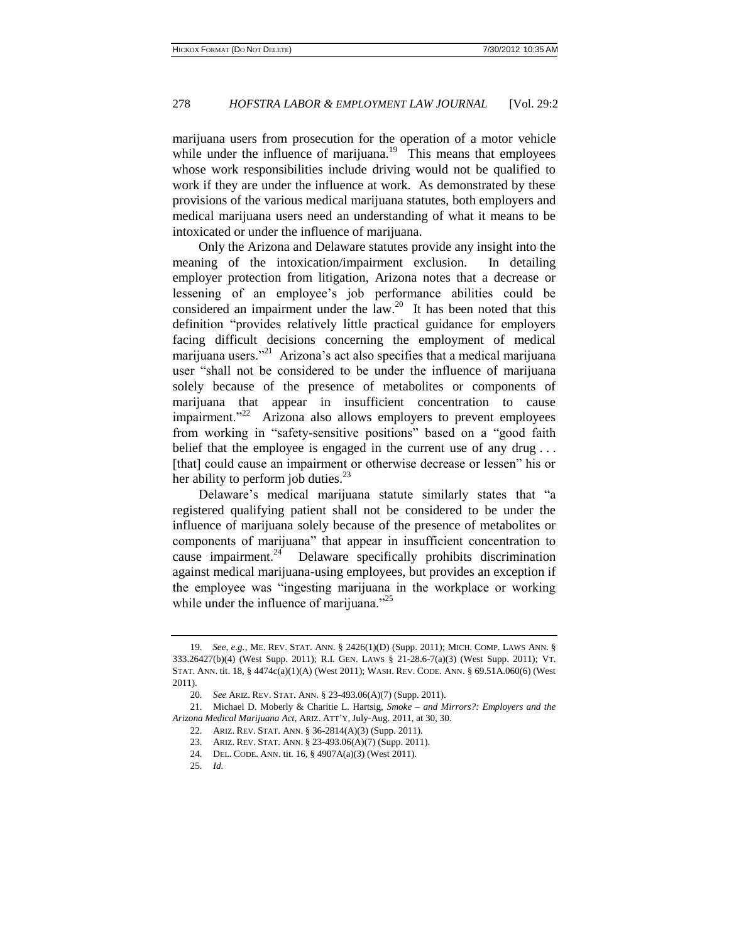marijuana users from prosecution for the operation of a motor vehicle while under the influence of marijuana. $19$  This means that employees whose work responsibilities include driving would not be qualified to work if they are under the influence at work. As demonstrated by these provisions of the various medical marijuana statutes, both employers and medical marijuana users need an understanding of what it means to be intoxicated or under the influence of marijuana.

Only the Arizona and Delaware statutes provide any insight into the meaning of the intoxication/impairment exclusion. In detailing employer protection from litigation, Arizona notes that a decrease or lessening of an employee's job performance abilities could be considered an impairment under the  $law.^{20}$ . It has been noted that this definition "provides relatively little practical guidance for employers facing difficult decisions concerning the employment of medical marijuana users."<sup>21</sup> Arizona's act also specifies that a medical marijuana user "shall not be considered to be under the influence of marijuana solely because of the presence of metabolites or components of marijuana that appear in insufficient concentration to cause impairment."<sup>22</sup> Arizona also allows employers to prevent employees from working in "safety-sensitive positions" based on a "good faith belief that the employee is engaged in the current use of any drug... [that] could cause an impairment or otherwise decrease or lessen" his or her ability to perform job duties. $^{23}$ 

Delaware's medical marijuana statute similarly states that "a registered qualifying patient shall not be considered to be under the influence of marijuana solely because of the presence of metabolites or components of marijuana" that appear in insufficient concentration to cause impairment. $^{24}$  Delaware specifically prohibits discrimination against medical marijuana-using employees, but provides an exception if the employee was "ingesting marijuana in the workplace or working while under the influence of marijuana."<sup>25</sup>

<sup>19.</sup> *See, e.g.*, ME. REV. STAT. ANN. § 2426(1)(D) (Supp. 2011); MICH. COMP. LAWS ANN. § 333.26427(b)(4) (West Supp. 2011); R.I. GEN. LAWS § 21-28.6-7(a)(3) (West Supp. 2011); VT. STAT. ANN. tit. 18, § 4474c(a)(1)(A) (West 2011); WASH. REV. CODE. ANN. § 69.51A.060(6) (West 2011).

<sup>20.</sup> *See* ARIZ. REV. STAT. ANN. § 23-493.06(A)(7) (Supp. 2011).

<sup>21.</sup> Michael D. Moberly & Charitie L. Hartsig, *Smoke – and Mirrors?: Employers and the Arizona Medical Marijuana Act*, ARIZ. ATT'Y, July-Aug. 2011, at 30, 30.

<sup>22.</sup> ARIZ. REV. STAT. ANN. § 36-2814(A)(3) (Supp. 2011).

<sup>23.</sup> ARIZ. REV. STAT. ANN. § 23-493.06(A)(7) (Supp. 2011).

<sup>24.</sup> DEL. CODE. ANN. tit. 16, § 4907A(a)(3) (West 2011).

<sup>25.</sup> *Id.*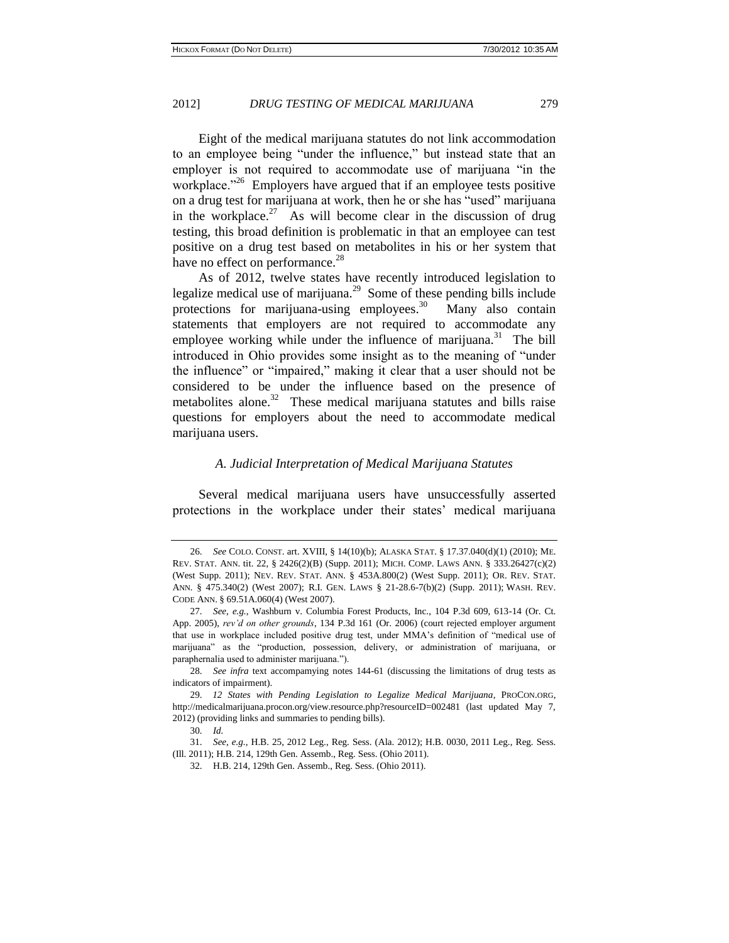Eight of the medical marijuana statutes do not link accommodation to an employee being "under the influence," but instead state that an employer is not required to accommodate use of marijuana "in the workplace."<sup>26</sup> Employers have argued that if an employee tests positive on a drug test for marijuana at work, then he or she has "used" marijuana in the workplace.<sup>27</sup> As will become clear in the discussion of drug testing, this broad definition is problematic in that an employee can test positive on a drug test based on metabolites in his or her system that have no effect on performance.<sup>28</sup>

As of 2012, twelve states have recently introduced legislation to legalize medical use of marijuana. $^{29}$  Some of these pending bills include protections for marijuana-using employees.<sup>30</sup> Many also contain statements that employers are not required to accommodate any employee working while under the influence of marijuana. $31$  The bill introduced in Ohio provides some insight as to the meaning of "under the influence" or "impaired," making it clear that a user should not be considered to be under the influence based on the presence of metabolites alone.<sup>32</sup> These medical marijuana statutes and bills raise questions for employers about the need to accommodate medical marijuana users.

#### *A. Judicial Interpretation of Medical Marijuana Statutes*

Several medical marijuana users have unsuccessfully asserted protections in the workplace under their states' medical marijuana

<sup>26.</sup> *See* COLO. CONST. art. XVIII, § 14(10)(b); ALASKA STAT. § 17.37.040(d)(1) (2010); ME. REV. STAT. ANN. tit. 22, § 2426(2)(B) (Supp. 2011); MICH. COMP. LAWS ANN. § 333.26427(c)(2) (West Supp. 2011); NEV. REV. STAT. ANN. § 453A.800(2) (West Supp. 2011); OR. REV. STAT. ANN. § 475.340(2) (West 2007); R.I. GEN. LAWS § 21-28.6-7(b)(2) (Supp. 2011); WASH. REV. CODE ANN. § 69.51A.060(4) (West 2007).

<sup>27.</sup> *See, e.g.*, Washburn v. Columbia Forest Products, Inc., 104 P.3d 609, 613-14 (Or. Ct. App. 2005), *rev'd on other grounds*, 134 P.3d 161 (Or. 2006) (court rejected employer argument that use in workplace included positive drug test, under MMA's definition of "medical use of marijuana" as the "production, possession, delivery, or administration of marijuana, or paraphernalia used to administer marijuana.").

<sup>28.</sup> *See infra* text accompamying notes 144-61 (discussing the limitations of drug tests as indicators of impairment).

<sup>29.</sup> *12 States with Pending Legislation to Legalize Medical Marijuana*, PROCON.ORG, http://medicalmarijuana.procon.org/view.resource.php?resourceID=002481 (last updated May 7, 2012) (providing links and summaries to pending bills).

<sup>30.</sup> *Id.*

<sup>31.</sup> *See, e.g.*, H.B. 25, 2012 Leg., Reg. Sess. (Ala. 2012); H.B. 0030, 2011 Leg., Reg. Sess. (Ill. 2011); H.B. 214, 129th Gen. Assemb., Reg. Sess. (Ohio 2011).

<sup>32.</sup> H.B. 214, 129th Gen. Assemb., Reg. Sess. (Ohio 2011).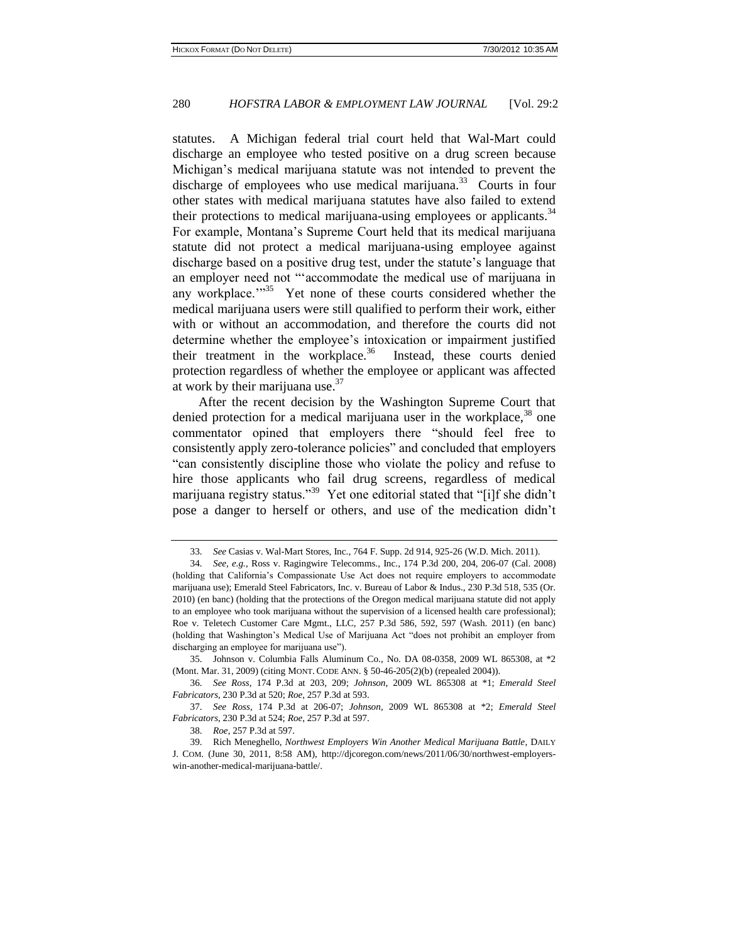statutes. A Michigan federal trial court held that Wal-Mart could discharge an employee who tested positive on a drug screen because Michigan's medical marijuana statute was not intended to prevent the discharge of employees who use medical marijuana. $33$  Courts in four other states with medical marijuana statutes have also failed to extend their protections to medical marijuana-using employees or applicants.<sup>34</sup> For example, Montana's Supreme Court held that its medical marijuana statute did not protect a medical marijuana-using employee against discharge based on a positive drug test, under the statute's language that an employer need not "'accommodate the medical use of marijuana in any workplace."<sup>35</sup> Yet none of these courts considered whether the medical marijuana users were still qualified to perform their work, either with or without an accommodation, and therefore the courts did not determine whether the employee's intoxication or impairment justified their treatment in the workplace.  $36$  Instead, these courts denied protection regardless of whether the employee or applicant was affected at work by their marijuana use. $37$ 

After the recent decision by the Washington Supreme Court that denied protection for a medical marijuana user in the workplace,  $38$  one commentator opined that employers there "should feel free to consistently apply zero-tolerance policies" and concluded that employers "can consistently discipline those who violate the policy and refuse to hire those applicants who fail drug screens, regardless of medical marijuana registry status."<sup>39</sup> Yet one editorial stated that "[i]f she didn't pose a danger to herself or others, and use of the medication didn't

<sup>33.</sup> *See* Casias v. Wal-Mart Stores, Inc., 764 F. Supp. 2d 914, 925-26 (W.D. Mich. 2011).

<sup>34.</sup> *See, e.g.*, Ross v. Ragingwire Telecomms., Inc., 174 P.3d 200, 204, 206-07 (Cal. 2008) (holding that California's Compassionate Use Act does not require employers to accommodate marijuana use); Emerald Steel Fabricators, Inc. v. Bureau of Labor & Indus., 230 P.3d 518, 535 (Or. 2010) (en banc) (holding that the protections of the Oregon medical marijuana statute did not apply to an employee who took marijuana without the supervision of a licensed health care professional); Roe v. Teletech Customer Care Mgmt., LLC, 257 P.3d 586, 592, 597 (Wash. 2011) (en banc) (holding that Washington's Medical Use of Marijuana Act "does not prohibit an employer from discharging an employee for marijuana use").

<sup>35.</sup> Johnson v. Columbia Falls Aluminum Co., No. DA 08-0358, 2009 WL 865308, at \*2 (Mont. Mar. 31, 2009) (citing MONT. CODE ANN. § 50-46-205(2)(b) (repealed 2004)).

<sup>36.</sup> *See Ross*, 174 P.3d at 203, 209; *Johnson*, 2009 WL 865308 at \*1; *Emerald Steel Fabricators*, 230 P.3d at 520; *Roe*, 257 P.3d at 593.

<sup>37.</sup> *See Ross*, 174 P.3d at 206-07; *Johnson*, 2009 WL 865308 at \*2; *Emerald Steel Fabricators*, 230 P.3d at 524; *Roe*, 257 P.3d at 597.

<sup>38.</sup> *Roe*, 257 P.3d at 597.

<sup>39.</sup> Rich [Meneghello,](http://search.proquest.com.proxy1.cl.msu.edu/docview.lateralsearchlink:lateralsearch/sng/author/Meneghello,+Rich/$N?site=abicomplete&t:ac=875000923/130CC13DD2B552A3A9F/16&t:cp=maintain/resultcitationblocks) *Northwest Employers Win Another Medical Marijuana Battle*, DAILY J. COM. (June 30, 2011, 8:58 AM), http://djcoregon.com/news/2011/06/30/northwest-employerswin-another-medical-marijuana-battle/.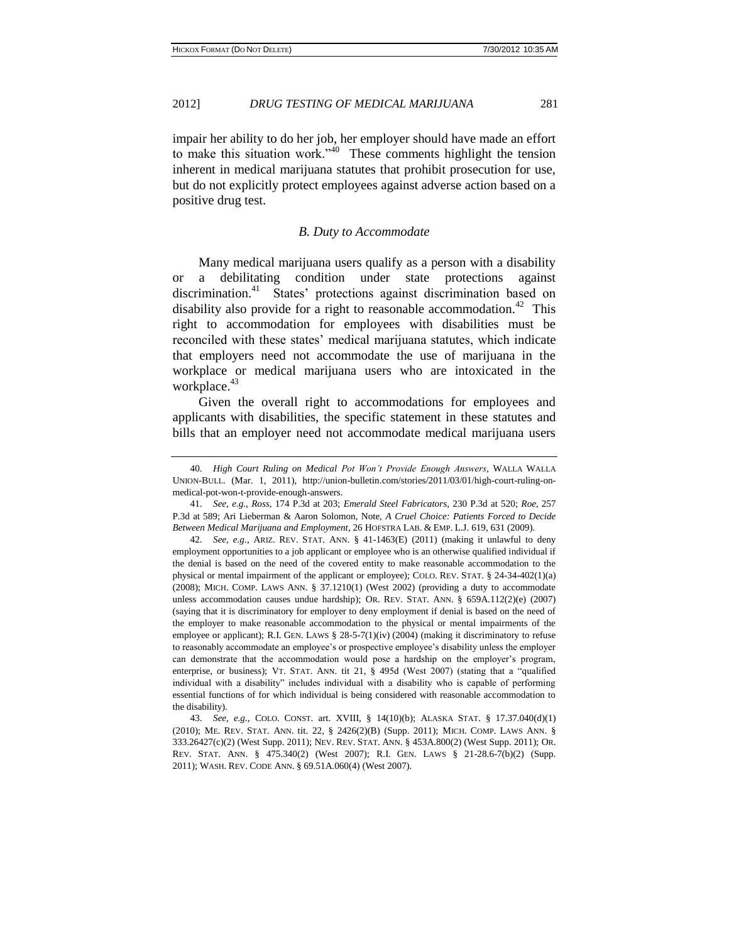impair her ability to do her job, her employer should have made an effort to make this situation work.<sup> $340$ </sup> These comments highlight the tension inherent in medical marijuana statutes that prohibit prosecution for use, but do not explicitly protect employees against adverse action based on a positive drug test.

#### *B. Duty to Accommodate*

Many medical marijuana users qualify as a person with a disability or a debilitating condition under state protections against discrimination.<sup>41</sup> States' protections against discrimination based on disability also provide for a right to reasonable accommodation.<sup>42</sup> This right to accommodation for employees with disabilities must be reconciled with these states' medical marijuana statutes, which indicate that employers need not accommodate the use of marijuana in the workplace or medical marijuana users who are intoxicated in the workplace.<sup>43</sup>

Given the overall right to accommodations for employees and applicants with disabilities, the specific statement in these statutes and bills that an employer need not accommodate medical marijuana users

<sup>40.</sup> *High Court Ruling on Medical Pot Won't Provide Enough Answers*, WALLA WALLA UNION-BULL. (Mar. 1, 2011), http://union-bulletin.com/stories/2011/03/01/high-court-ruling-onmedical-pot-won-t-provide-enough-answers.

<sup>41.</sup> *See, e.g.*, *Ross*, 174 P.3d at 203; *Emerald Steel Fabricators*, 230 P.3d at 520; *Roe*, 257 P.3d at 589; Ari Lieberman & Aaron Solomon, Note, *A Cruel Choice: Patients Forced to Decide Between Medical Marijuana and Employment*, 26 HOFSTRA LAB. & EMP. L.J. 619, 631 (2009).

<sup>42.</sup> *See, e.g.*, ARIZ. REV. STAT. ANN. § 41-1463(E) (2011) (making it unlawful to deny employment opportunities to a job applicant or employee who is an otherwise qualified individual if the denial is based on the need of the covered entity to make reasonable accommodation to the physical or mental impairment of the applicant or employee); COLO. REV. STAT. § 24-34-402(1)(a) (2008); MICH. COMP. LAWS ANN. § 37.1210(1) (West 2002) (providing a duty to accommodate unless accommodation causes undue hardship); OR. REV. STAT. ANN. § 659A.112(2)(e) (2007) (saying that it is discriminatory for employer to deny employment if denial is based on the need of the employer to make reasonable accommodation to the physical or mental impairments of the employee or applicant); R.I. GEN. LAWS § 28-5-7(1)(iv) (2004) (making it discriminatory to refuse to reasonably accommodate an employee's or prospective employee's disability unless the employer can demonstrate that the accommodation would pose a hardship on the employer's program, enterprise, or business); VT. STAT. ANN. tit 21, § 495d (West 2007) (stating that a "qualified individual with a disability" includes individual with a disability who is capable of performing essential functions of for which individual is being considered with reasonable accommodation to the disability).

<sup>43.</sup> *See, e.g.*, COLO. CONST. art. XVIII, § 14(10)(b); ALASKA STAT. § 17.37.040(d)(1) (2010); ME. REV. STAT. ANN. tit. 22, § 2426(2)(B) (Supp. 2011); MICH. COMP. LAWS ANN. § 333.26427(c)(2) (West Supp. 2011); NEV. REV. STAT. ANN. § 453A.800(2) (West Supp. 2011); OR. REV. STAT. ANN. § 475.340(2) (West 2007); R.I. GEN. LAWS § 21-28.6-7(b)(2) (Supp. 2011); WASH. REV. CODE ANN. § 69.51A.060(4) (West 2007).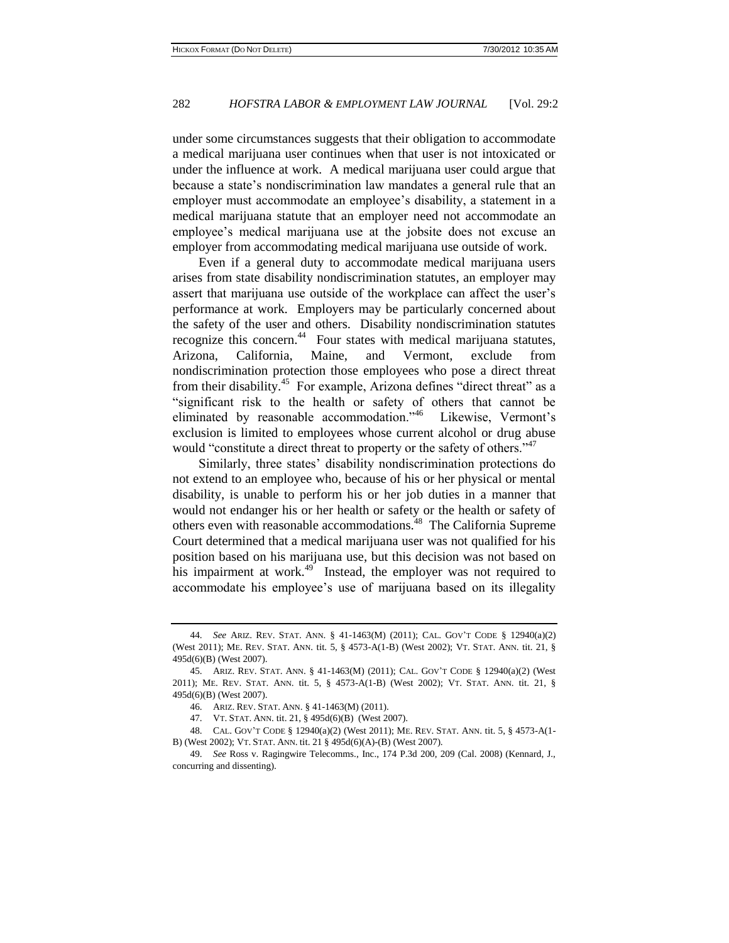under some circumstances suggests that their obligation to accommodate a medical marijuana user continues when that user is not intoxicated or under the influence at work. A medical marijuana user could argue that because a state's nondiscrimination law mandates a general rule that an employer must accommodate an employee's disability, a statement in a medical marijuana statute that an employer need not accommodate an employee's medical marijuana use at the jobsite does not excuse an employer from accommodating medical marijuana use outside of work.

Even if a general duty to accommodate medical marijuana users arises from state disability nondiscrimination statutes, an employer may assert that marijuana use outside of the workplace can affect the user's performance at work. Employers may be particularly concerned about the safety of the user and others. Disability nondiscrimination statutes recognize this concern.<sup>44</sup> Four states with medical marijuana statutes, Arizona, California, Maine, and Vermont, exclude from nondiscrimination protection those employees who pose a direct threat from their disability.<sup>45</sup> For example, Arizona defines "direct threat" as a "significant risk to the health or safety of others that cannot be eliminated by reasonable accommodation."<sup>46</sup> Likewise, Vermont's exclusion is limited to employees whose current alcohol or drug abuse would "constitute a direct threat to property or the safety of others."<sup>47</sup>

Similarly, three states' disability nondiscrimination protections do not extend to an employee who, because of his or her physical or mental disability, is unable to perform his or her job duties in a manner that would not endanger his or her health or safety or the health or safety of others even with reasonable accommodations.<sup>48</sup> The California Supreme Court determined that a medical marijuana user was not qualified for his position based on his marijuana use, but this decision was not based on his impairment at work.<sup>49</sup> Instead, the employer was not required to accommodate his employee's use of marijuana based on its illegality

<sup>44.</sup> *See* ARIZ. REV. STAT. ANN. § 41-1463(M) (2011); CAL. GOV'T CODE § 12940(a)(2) (West 2011); ME. REV. STAT. ANN. tit. 5, § 4573-A(1-B) (West 2002); VT. STAT. ANN. tit. 21, § 495d(6)(B) (West 2007).

<sup>45.</sup> ARIZ. REV. STAT. ANN. § 41-1463(M) (2011); CAL. GOV'T CODE § 12940(a)(2) (West 2011); ME. REV. STAT. ANN. tit. 5, § 4573-A(1-B) (West 2002); VT. STAT. ANN. tit. 21, § 495d(6)(B) (West 2007).

<sup>46.</sup> ARIZ. REV. STAT. ANN. § 41-1463(M) (2011).

<sup>47.</sup> VT. STAT. ANN. tit. 21, § 495d(6)(B) (West 2007).

<sup>48.</sup> CAL. GOV'T CODE § 12940(a)(2) (West 2011); ME. REV. STAT. ANN. tit. 5, § 4573-A(1- B) (West 2002); VT. STAT. ANN. tit. 21 § 495d(6)(A)-(B) (West 2007).

<sup>49.</sup> *See* Ross v. Ragingwire Telecomms., Inc., 174 P.3d 200, 209 (Cal. 2008) (Kennard, J., concurring and dissenting).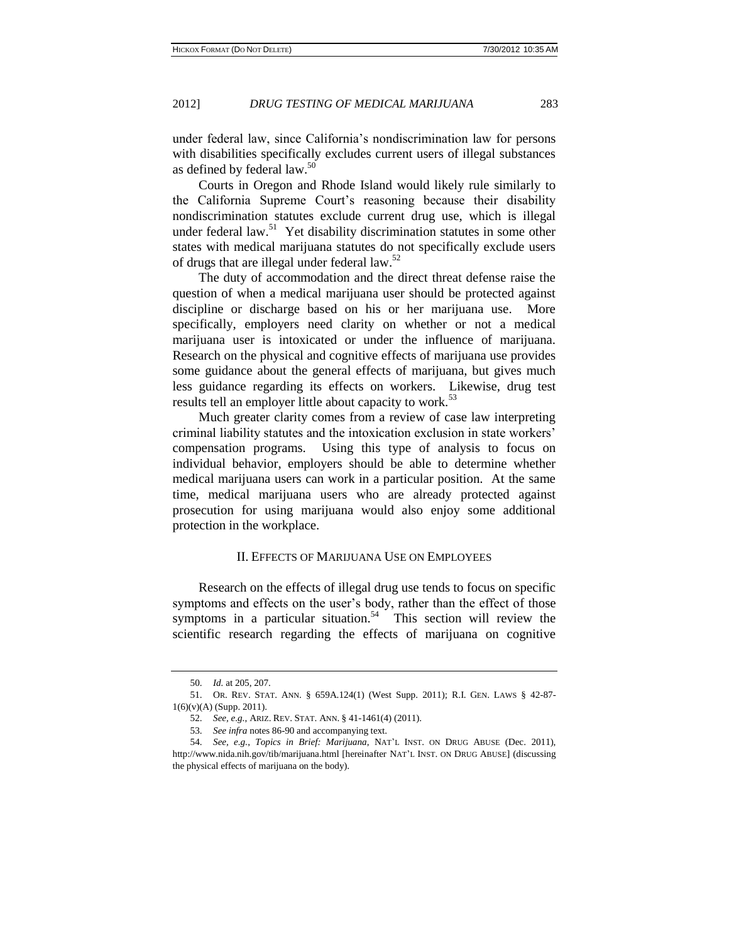under federal law, since California's nondiscrimination law for persons with disabilities specifically excludes current users of illegal substances as defined by federal law.<sup>50</sup>

Courts in Oregon and Rhode Island would likely rule similarly to the California Supreme Court's reasoning because their disability nondiscrimination statutes exclude current drug use, which is illegal under federal law.<sup>51</sup> Yet disability discrimination statutes in some other states with medical marijuana statutes do not specifically exclude users of drugs that are illegal under federal law.<sup>52</sup>

The duty of accommodation and the direct threat defense raise the question of when a medical marijuana user should be protected against discipline or discharge based on his or her marijuana use. More specifically, employers need clarity on whether or not a medical marijuana user is intoxicated or under the influence of marijuana. Research on the physical and cognitive effects of marijuana use provides some guidance about the general effects of marijuana, but gives much less guidance regarding its effects on workers. Likewise, drug test results tell an employer little about capacity to work.<sup>53</sup>

Much greater clarity comes from a review of case law interpreting criminal liability statutes and the intoxication exclusion in state workers' compensation programs. Using this type of analysis to focus on individual behavior, employers should be able to determine whether medical marijuana users can work in a particular position. At the same time, medical marijuana users who are already protected against prosecution for using marijuana would also enjoy some additional protection in the workplace.

# II. EFFECTS OF MARIJUANA USE ON EMPLOYEES

Research on the effects of illegal drug use tends to focus on specific symptoms and effects on the user's body, rather than the effect of those symptoms in a particular situation.<sup>54</sup> This section will review the scientific research regarding the effects of marijuana on cognitive

<sup>50.</sup> *Id.* at 205, 207.

<sup>51.</sup> OR. REV. STAT. ANN. § 659A.124(1) (West Supp. 2011); R.I. GEN. LAWS § 42-87- 1(6)(v)(A) (Supp. 2011).

<sup>52.</sup> *See, e.g.*, ARIZ. REV. STAT. ANN. § 41-1461(4) (2011).

<sup>53.</sup> *See infra* notes 86-90 and accompanying text.

<sup>54.</sup> *See, e.g.*, *Topics in Brief: Marijuana*, NAT'L INST. ON DRUG ABUSE (Dec. 2011), http://www.nida.nih.gov/tib/marijuana.html [hereinafter NAT'L INST. ON DRUG ABUSE] (discussing the physical effects of marijuana on the body).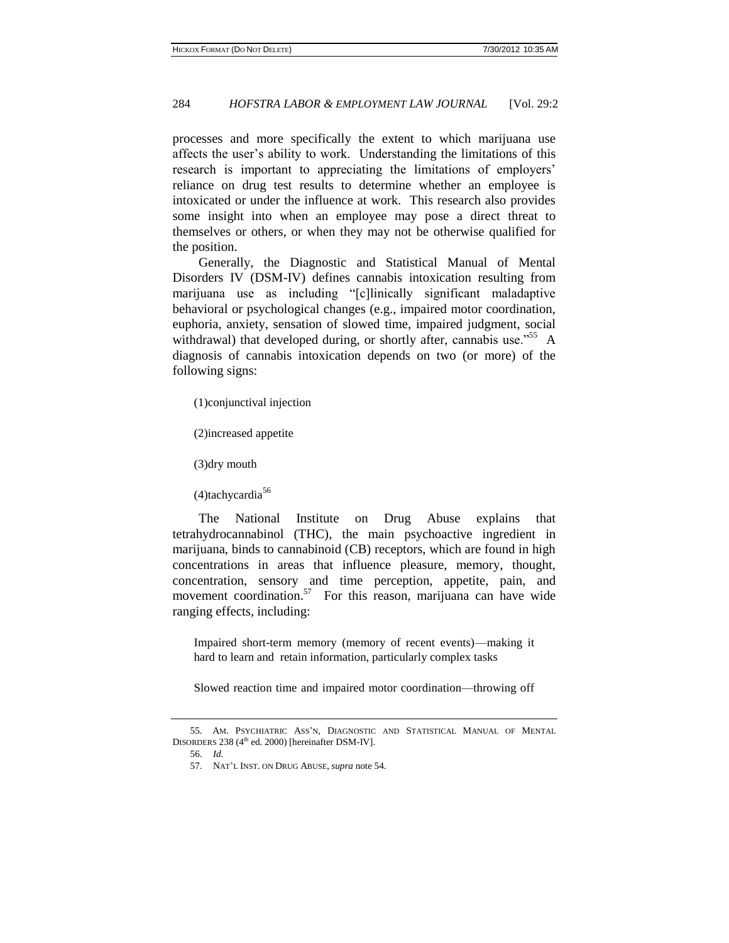processes and more specifically the extent to which marijuana use affects the user's ability to work. Understanding the limitations of this research is important to appreciating the limitations of employers' reliance on drug test results to determine whether an employee is intoxicated or under the influence at work. This research also provides some insight into when an employee may pose a direct threat to themselves or others, or when they may not be otherwise qualified for the position.

Generally, the Diagnostic and Statistical Manual of Mental Disorders IV (DSM-IV) defines cannabis intoxication resulting from marijuana use as including "[c]linically significant maladaptive behavioral or psychological changes (e.g., impaired motor coordination, euphoria, anxiety, sensation of slowed time, impaired judgment, social withdrawal) that developed during, or shortly after, cannabis use."<sup>55</sup> A diagnosis of cannabis intoxication depends on two (or more) of the following signs:

(1)conjunctival injection

(2)increased appetite

(3)dry mouth

 $(4)$ tachycardia<sup>56</sup>

The National Institute on Drug Abuse explains that tetrahydrocannabinol (THC), the main psychoactive ingredient in marijuana, binds to cannabinoid (CB) receptors, which are found in high concentrations in areas that influence pleasure, memory, thought, concentration, sensory and time perception, appetite, pain, and movement coordination.<sup>57</sup> For this reason, marijuana can have wide ranging effects, including:

Impaired short-term memory (memory of recent events)—making it hard to learn and retain information, particularly complex tasks

Slowed reaction time and impaired motor coordination—throwing off

<sup>55.</sup> AM. PSYCHIATRIC ASS'N, DIAGNOSTIC AND STATISTICAL MANUAL OF MENTAL DISORDERS  $238$  (4<sup>th</sup> ed. 2000) [hereinafter DSM-IV].

<sup>56.</sup> *Id.*

<sup>57.</sup> NAT'L INST. ON DRUG ABUSE, *supra* note 54.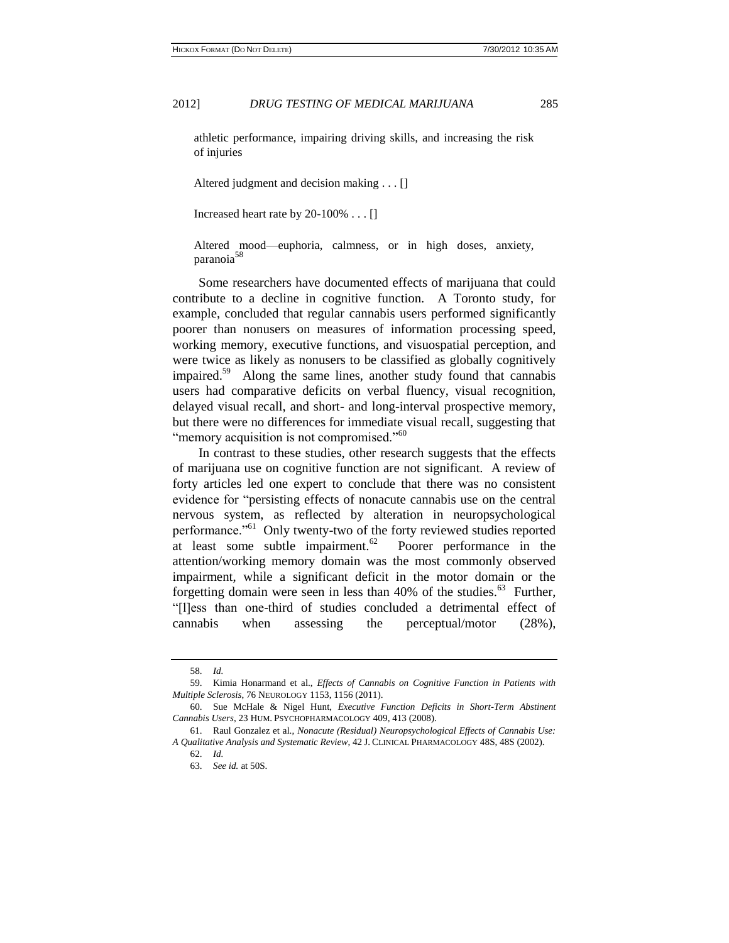athletic performance, impairing driving skills, and increasing the risk of injuries

Altered judgment and decision making . . . []

Increased heart rate by 20-100% . . . []

Altered mood—euphoria, calmness, or in high doses, anxiety, paranoia<sup>5</sup>

Some researchers have documented effects of marijuana that could contribute to a decline in cognitive function. A Toronto study, for example, concluded that regular cannabis users performed significantly poorer than nonusers on measures of information processing speed, working memory, executive functions, and visuospatial perception, and were twice as likely as nonusers to be classified as globally cognitively impaired.<sup>59</sup> Along the same lines, another study found that cannabis users had comparative deficits on verbal fluency, visual recognition, delayed visual recall, and short- and long-interval prospective memory, but there were no differences for immediate visual recall, suggesting that "memory acquisition is not compromised."<sup>60</sup>

In contrast to these studies, other research suggests that the effects of marijuana use on cognitive function are not significant. A review of forty articles led one expert to conclude that there was no consistent evidence for "persisting effects of nonacute cannabis use on the central nervous system, as reflected by alteration in neuropsychological performance."<sup>61</sup> Only twenty-two of the forty reviewed studies reported at least some subtle impairment. $62$  Poorer performance in the attention/working memory domain was the most commonly observed impairment, while a significant deficit in the motor domain or the forgetting domain were seen in less than 40% of the studies. $63$  Further, "[l]ess than one-third of studies concluded a detrimental effect of cannabis when assessing the perceptual/motor (28%),

<sup>58.</sup> *Id.*

<sup>59.</sup> Kimia Honarmand et al., *Effects of Cannabis on Cognitive Function in Patients with Multiple Sclerosis*, 76 NEUROLOGY 1153, 1156 (2011).

<sup>60.</sup> Sue [McHale](http://www.ncbi.nlm.nih.gov/pubmed?term=%22McHale%20S%22%5BAuthor%5D) & Nigel [Hunt,](http://www.ncbi.nlm.nih.gov/pubmed?term=%22Hunt%20N%22%5BAuthor%5D) *Executive Function Deficits in Short-Term Abstinent Cannabis Users*, 23 HUM. P[SYCHOPHARMACOLOGY](javascript:AL_get(this,%20) 409, 413 (2008).

<sup>61.</sup> Rau[l Gonzalez](http://www.ncbi.nlm.nih.gov/pubmed?term=%22Gonzalez%20R%22%5BAuthor%5D) et al., *Nonacute (Residual) Neuropsychological Effects of Cannabis Use: A Qualitative Analysis and Systematic Review*, 42 J. CLINICAL PHARMACOLOGY 48S, 48S (2002).

<sup>62.</sup> *Id.* 

<sup>63.</sup> *See id.* at 50S.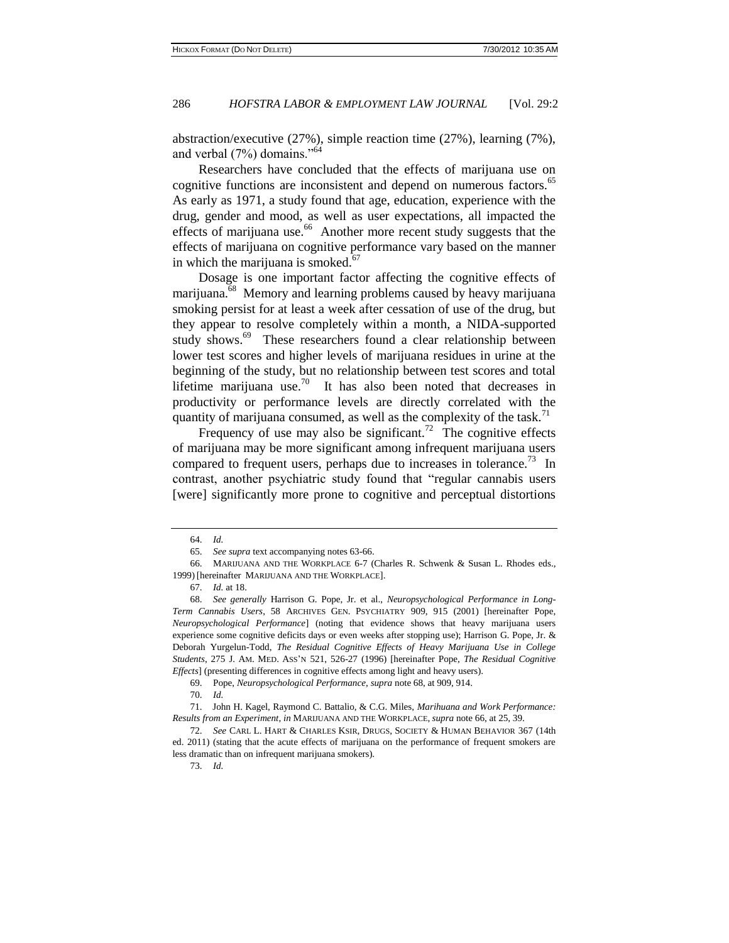abstraction/executive (27%), simple reaction time (27%), learning (7%), and verbal  $(7%)$  domains."<sup>64</sup>

Researchers have concluded that the effects of marijuana use on cognitive functions are inconsistent and depend on numerous factors.<sup>65</sup> As early as 1971, a study found that age, education, experience with the drug, gender and mood, as well as user expectations, all impacted the effects of marijuana use.<sup>66</sup> Another more recent study suggests that the effects of marijuana on cognitive performance vary based on the manner in which the marijuana is smoked. $67$ 

Dosage is one important factor affecting the cognitive effects of marijuana.<sup>68</sup> Memory and learning problems caused by heavy marijuana smoking persist for at least a week after cessation of use of the drug, but they appear to resolve completely within a month, a NIDA-supported study shows.<sup>69</sup> These researchers found a clear relationship between lower test scores and higher levels of marijuana residues in urine at the beginning of the study, but no relationship between test scores and total lifetime marijuana use.<sup>70</sup> It has also been noted that decreases in productivity or performance levels are directly correlated with the quantity of marijuana consumed, as well as the complexity of the task.<sup>71</sup>

Frequency of use may also be significant.<sup>72</sup> The cognitive effects of marijuana may be more significant among infrequent marijuana users compared to frequent users, perhaps due to increases in tolerance.<sup>73</sup> In contrast, another psychiatric study found that "regular cannabis users [were] significantly more prone to cognitive and perceptual distortions

69. Pope, *Neuropsychological Performance*, *supra* note 68, at 909, 914.

70. *Id.*

<sup>64.</sup> *Id.* 

<sup>65.</sup> *See supra* text accompanying notes 63-66.

<sup>66.</sup> MARIJUANA AND THE WORKPLACE 6-7 (Charles R. Schwenk & Susan L. Rhodes eds., 1999) [hereinafter MARIJUANA AND THE WORKPLACE].

<sup>67.</sup> *Id.* at 18.

<sup>68.</sup> *See generally* Harrison G. Pope, Jr. et al., *Neuropsychological Performance in Long-Term Cannabis Users*, 58 ARCHIVES GEN. PSYCHIATRY 909, 915 (2001) [hereinafter Pope, *Neuropsychological Performance*] (noting that evidence shows that heavy marijuana users experience some cognitive deficits days or even weeks after stopping use); Harrison G. Pope, Jr. & Deborah Yurgelun-Todd, *The Residual Cognitive Effects of Heavy Marijuana Use in College Students*, 275 J. AM. MED. ASS'N 521, 526-27 (1996) [hereinafter Pope, *The Residual Cognitive Effects*] (presenting differences in cognitive effects among light and heavy users).

<sup>71.</sup> John H. Kagel, Raymond C. Battalio, & C.G. Miles, *Marihuana and Work Performance: Results from an Experiment*, *in* MARIJUANA AND THE WORKPLACE, *supra* note 66, at 25, 39.

<sup>72.</sup> *See* CARL L. HART & CHARLES KSIR, DRUGS, SOCIETY & HUMAN BEHAVIOR 367 (14th ed. 2011) (stating that the acute effects of marijuana on the performance of frequent smokers are less dramatic than on infrequent marijuana smokers).

<sup>73.</sup> *Id.*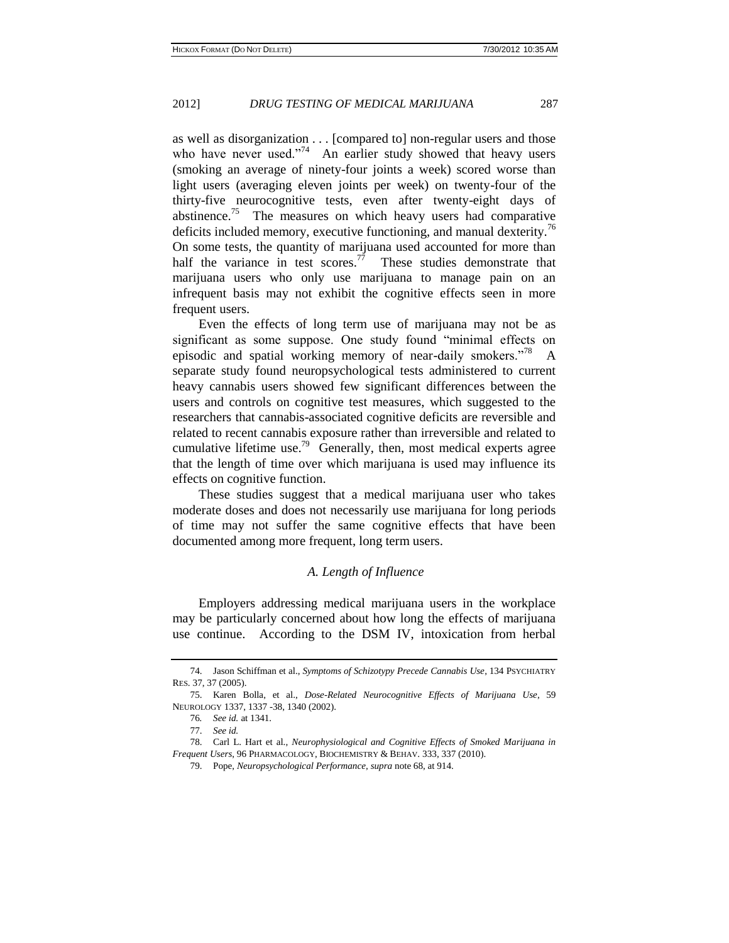as well as disorganization . . . [compared to] non-regular users and those who have never used."<sup>74</sup> An earlier study showed that heavy users (smoking an average of ninety-four joints a week) scored worse than light users (averaging eleven joints per week) on twenty-four of the thirty-five neurocognitive tests, even after twenty-eight days of abstinence.<sup>75</sup> The measures on which heavy users had comparative deficits included memory, executive functioning, and manual dexterity.<sup>76</sup> On some tests, the quantity of marijuana used accounted for more than half the variance in test scores.<sup>77</sup> These studies demonstrate that marijuana users who only use marijuana to manage pain on an infrequent basis may not exhibit the cognitive effects seen in more frequent users.

Even the effects of long term use of marijuana may not be as significant as some suppose. One study found "minimal effects on episodic and spatial working memory of near-daily smokers."<sup>78</sup> A separate study found neuropsychological tests administered to current heavy cannabis users showed few significant differences between the users and controls on cognitive test measures, which suggested to the researchers that cannabis-associated cognitive deficits are reversible and related to recent cannabis exposure rather than irreversible and related to cumulative lifetime use.<sup>79</sup> Generally, then, most medical experts agree that the length of time over which marijuana is used may influence its effects on cognitive function.

These studies suggest that a medical marijuana user who takes moderate doses and does not necessarily use marijuana for long periods of time may not suffer the same cognitive effects that have been documented among more frequent, long term users.

#### *A. Length of Influence*

Employers addressing medical marijuana users in the workplace may be particularly concerned about how long the effects of marijuana use continue. According to the DSM IV, intoxication from herbal

<sup>74.</sup> Jason Schiffman et al., *Symptoms of Schizotypy Precede Cannabis Use*, 134 PSYCHIATRY RES. 37, 37 (2005).

<sup>75.</sup> Karen Bolla, et al., *Dose-Related Neurocognitive Effects of Marijuana Use*, 59 NEUROLOGY 1337, 1337 -38, 1340 (2002).

<sup>76</sup>*. See id.* at 1341.

<sup>77.</sup> *See id.*

<sup>78.</sup> Carl L. Hart et al., *Neurophysiological and Cognitive Effects of Smoked Marijuana in Frequent Users*, 96 PHARMACOLOGY, BIOCHEMISTRY & BEHAV. 333, 337 (2010).

<sup>79.</sup> Pope, *Neuropsychological Performance*, *supra* note 68, at 914.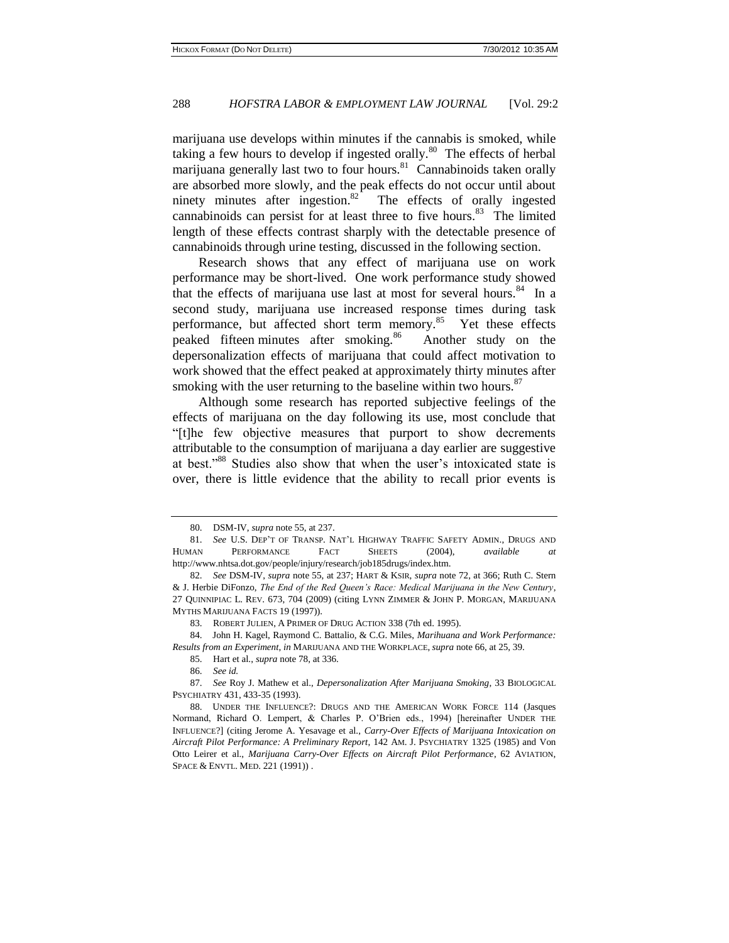marijuana use develops within minutes if the cannabis is smoked, while taking a few hours to develop if ingested orally. $80$  The effects of herbal marijuana generally last two to four hours.<sup>81</sup> Cannabinoids taken orally are absorbed more slowly, and the peak effects do not occur until about ninety minutes after ingestion. $82$  The effects of orally ingested cannabinoids can persist for at least three to five hours.<sup>83</sup> The limited length of these effects contrast sharply with the detectable presence of cannabinoids through urine testing, discussed in the following section.

Research shows that any effect of marijuana use on work performance may be short-lived. One work performance study showed that the effects of marijuana use last at most for several hours.<sup>84</sup> In a second study, marijuana use increased response times during task performance, but affected short term memory.<sup>85</sup> Yet these effects peaked fifteen minutes after smoking.<sup>86</sup> Another study on the depersonalization effects of marijuana that could affect motivation to work showed that the effect peaked at approximately thirty minutes after smoking with the user returning to the baseline within two hours. $87$ 

Although some research has reported subjective feelings of the effects of marijuana on the day following its use, most conclude that "[t]he few objective measures that purport to show decrements attributable to the consumption of marijuana a day earlier are suggestive at best."<sup>88</sup> Studies also show that when the user's intoxicated state is over, there is little evidence that the ability to recall prior events is

<sup>80.</sup> DSM-IV, *supra* note 55, at 237.

<sup>81.</sup> *See* U.S. DEP'T OF TRANSP. NAT'L HIGHWAY TRAFFIC SAFETY ADMIN., DRUGS AND HUMAN PERFORMANCE FACT SHEETS (2004), *available* [http://www.nhtsa.dot.gov/people/injury/research/job185drugs/index.htm.](http://www.nhtsa.dot.gov/people/injury/research/job185drugs/index.htm)

<sup>82.</sup> *See* DSM-IV, *supra* note 55, at 237; HART & KSIR, *supra* note 72, at 366; Ruth C. Stern & J. Herbie DiFonzo, *The End of the Red Queen's Race: Medical Marijuana in the New Century*, 27 QUINNIPIAC L. REV. 673, 704 (2009) (citing LYNN ZIMMER & JOHN P. MORGAN, MARIJUANA MYTHS MARIJUANA FACTS 19 (1997)).

<sup>83.</sup> ROBERT JULIEN, A PRIMER OF DRUG ACTION 338 (7th ed. 1995).

<sup>84.</sup> John H. Kagel, Raymond C. Battalio, & C.G. Miles, *Marihuana and Work Performance: Results from an Experiment*, *in* MARIJUANA AND THE WORKPLACE, *supra* note 66, at 25, 39.

<sup>85.</sup> Hart et al., *supra* note 78, at 336.

<sup>86.</sup> *See id.*

<sup>87.</sup> *See* Roy J. Mathew et al., *Depersonalization After Marijuana Smoking*, 33 BIOLOGICAL PSYCHIATRY 431, 433-35 (1993).

<sup>88.</sup> UNDER THE INFLUENCE?: DRUGS AND THE AMERICAN WORK FORCE 114 (Jasques Normand, Richard O. Lempert, & Charles P. O'Brien eds., 1994) [hereinafter UNDER THE INFLUENCE?] (citing Jerome A. Yesavage et al., *Carry-Over Effects of Marijuana Intoxication on Aircraft Pilot Performance: A Preliminary Report*, 142 AM. J. PSYCHIATRY 1325 (1985) and Von Otto Leirer et al., *Marijuana Carry-Over Effects on Aircraft Pilot Performance*, 62 AVIATION, SPACE & ENVTL. MED. 221 (1991)) .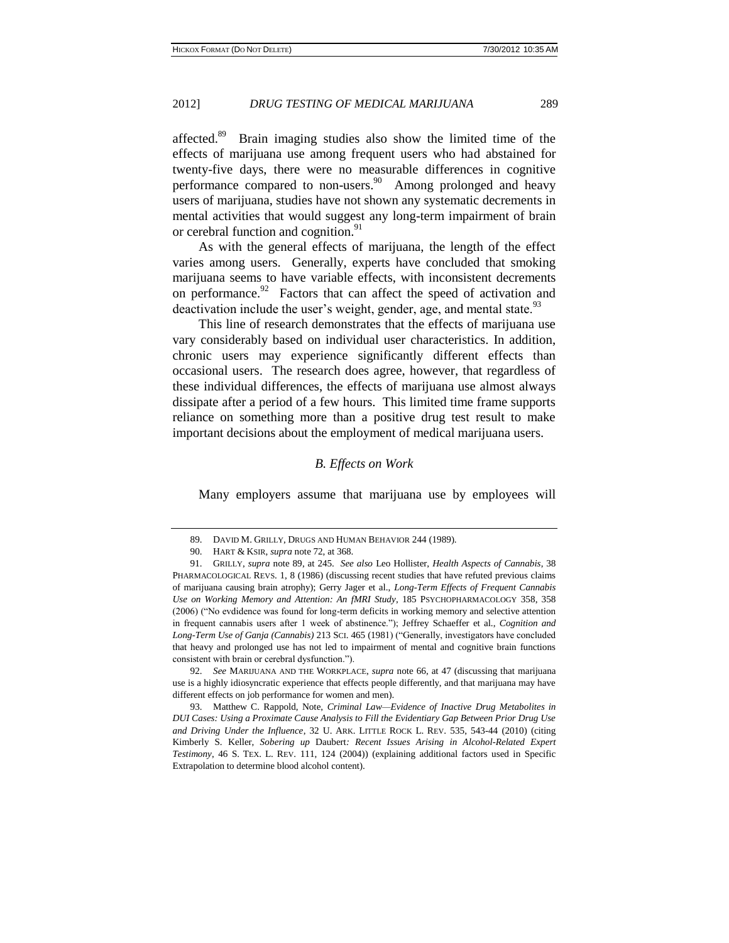affected.<sup>89</sup> Brain imaging studies also show the limited time of the effects of marijuana use among frequent users who had abstained for twenty-five days, there were no measurable differences in cognitive performance compared to non-users.<sup>90</sup> Among prolonged and heavy users of marijuana, studies have not shown any systematic decrements in mental activities that would suggest any long-term impairment of brain or cerebral function and cognition.<sup>91</sup>

As with the general effects of marijuana, the length of the effect varies among users. Generally, experts have concluded that smoking marijuana seems to have variable effects, with inconsistent decrements on performance. $92$  Factors that can affect the speed of activation and deactivation include the user's weight, gender, age, and mental state. $93$ 

This line of research demonstrates that the effects of marijuana use vary considerably based on individual user characteristics. In addition, chronic users may experience significantly different effects than occasional users. The research does agree, however, that regardless of these individual differences, the effects of marijuana use almost always dissipate after a period of a few hours. This limited time frame supports reliance on something more than a positive drug test result to make important decisions about the employment of medical marijuana users.

#### *B. Effects on Work*

Many employers assume that marijuana use by employees will

92. *See* MARIJUANA AND THE WORKPLACE, *supra* note 66, at 47 (discussing that marijuana use is a highly idiosyncratic experience that effects people differently, and that marijuana may have different effects on job performance for women and men).

93. Matthew C. Rappold, Note, *Criminal Law—Evidence of Inactive Drug Metabolites in DUI Cases: Using a Proximate Cause Analysis to Fill the Evidentiary Gap Between Prior Drug Use and Driving Under the Influence*, 32 U. ARK. LITTLE ROCK L. REV. 535, 543-44 (2010) (citing Kimberly S. Keller, *Sobering up* Daubert*: Recent Issues Arising in Alcohol-Related Expert Testimony*, 46 S. TEX. L. REV. [111, 124 \(2004\)\)](http://www.lexisnexis.com.proxy2.cl.msu.edu/lnacui2api/mungo/lexseestat.do?bct=A&risb=21_T11957584229&homeCsi=143889&A=0.039403412484821376&urlEnc=ISO-8859-1&&citeString=46%20S.%20Tex.%20L.%20Rev.%20111,at%20124&countryCode=USA) (explaining additional factors used in Specific Extrapolation to determine blood alcohol content).

<sup>89.</sup> DAVID M. GRILLY, DRUGS AND HUMAN BEHAVIOR 244 (1989).

<sup>90.</sup> HART & KSIR, *supra* note 72, at 368.

<sup>91.</sup> GRILLY, *supra* note 89, at 245. *See also* Leo Hollister, *Health Aspects of Cannabis*, 38 PHARMACOLOGICAL REVS. 1, 8 (1986) (discussing recent studies that have refuted previous claims of marijuana causing brain atrophy); Gerry Jager et al., *Long-Term Effects of Frequent Cannabis Use on Working Memory and Attention: An fMRI Study*, 185 PSYCHOPHARMACOLOGY 358, 358 (2006) ("No evdidence was found for long-term deficits in working memory and selective attention in frequent cannabis users after 1 week of abstinence."); Jeffrey Schaeffer et al., *Cognition and Long-Term Use of Ganja (Cannabis)* 213 SCI. 465 (1981) ("Generally, investigators have concluded that heavy and prolonged use has not led to impairment of mental and cognitive brain functions consistent with brain or cerebral dysfunction.").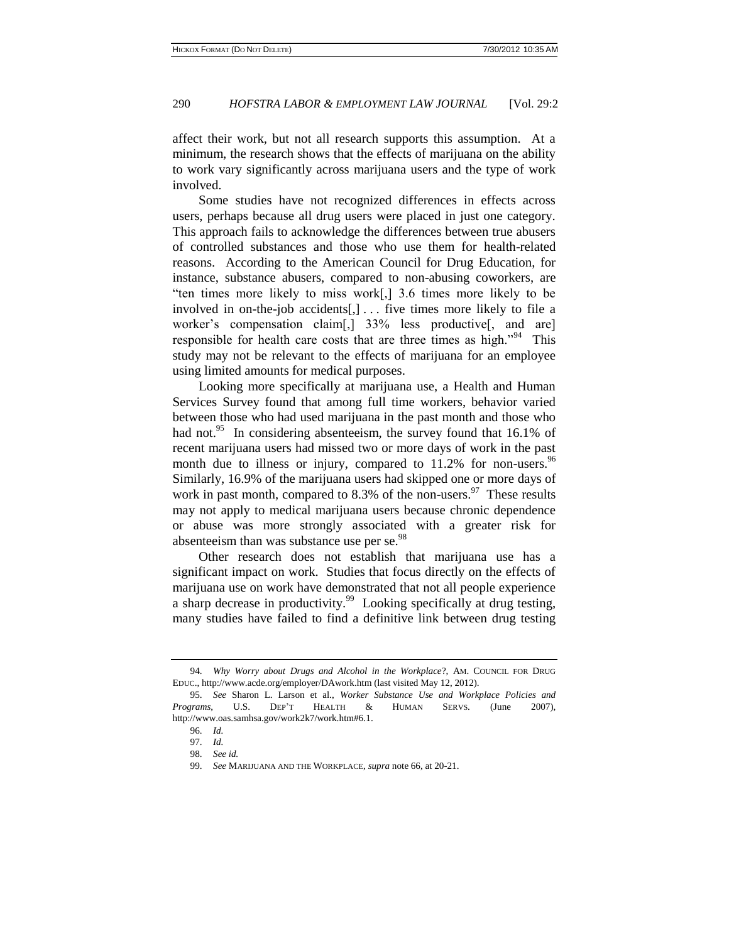affect their work, but not all research supports this assumption. At a minimum, the research shows that the effects of marijuana on the ability to work vary significantly across marijuana users and the type of work involved.

Some studies have not recognized differences in effects across users, perhaps because all drug users were placed in just one category. This approach fails to acknowledge the differences between true abusers of controlled substances and those who use them for health-related reasons. According to the American Council for Drug Education, for instance, substance abusers, compared to non-abusing coworkers, are "ten times more likely to miss work[,] 3.6 times more likely to be involved in on-the-job accidents[,] . . . five times more likely to file a worker's compensation claim[,] 33% less productive[, and are] responsible for health care costs that are three times as high."<sup>94</sup> This study may not be relevant to the effects of marijuana for an employee using limited amounts for medical purposes.

Looking more specifically at marijuana use, a Health and Human Services Survey found that among full time workers, behavior varied between those who had used marijuana in the past month and those who had not.<sup>95</sup> In considering absenteeism, the survey found that 16.1% of recent marijuana users had missed two or more days of work in the past month due to illness or injury, compared to  $11.2\%$  for non-users.<sup>96</sup> Similarly, 16.9% of the marijuana users had skipped one or more days of work in past month, compared to 8.3% of the non-users.  $97$  These results may not apply to medical marijuana users because chronic dependence or abuse was more strongly associated with a greater risk for absenteeism than was substance use per se.<sup>98</sup>

Other research does not establish that marijuana use has a significant impact on work. Studies that focus directly on the effects of marijuana use on work have demonstrated that not all people experience a sharp decrease in productivity.<sup>99</sup> Looking specifically at drug testing, many studies have failed to find a definitive link between drug testing

<sup>94.</sup> *Why Worry about Drugs and Alcohol in the Workplace*?, AM. COUNCIL FOR DRUG EDUC., http://www.acde.org/employer/DAwork.htm (last visited May 12, 2012).

<sup>95.</sup> *See* Sharon L. Larson et al., *Worker Substance Use and Workplace Policies and Programs*, U.S. DEP'T HEALTH & HUMAN SERVS. (June 2007), http://www.oas.samhsa.gov/work2k7/work.htm#6.1.

<sup>96.</sup> *Id.*

<sup>97.</sup> *Id.*

<sup>98.</sup> *See id.*

<sup>99.</sup> *See* MARIJUANA AND THE WORKPLACE, *supra* note 66, at 20-21.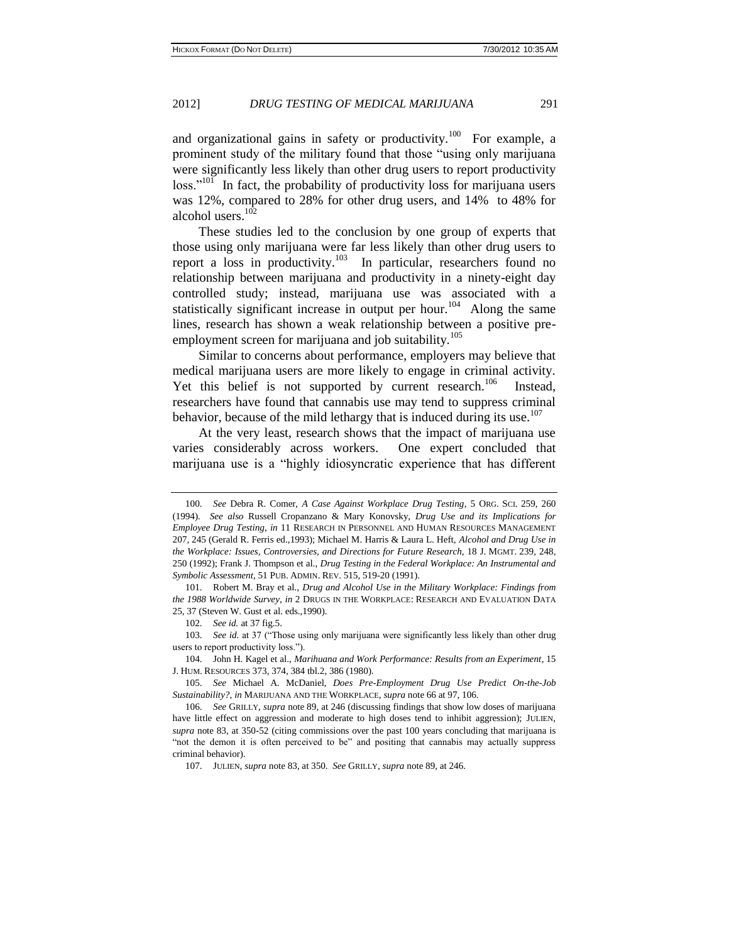and organizational gains in safety or productivity.<sup>100</sup> For example, a prominent study of the military found that those "using only marijuana were significantly less likely than other drug users to report productivity loss."<sup>101</sup> In fact, the probability of productivity loss for marijuana users was 12%, compared to 28% for other drug users, and 14% to 48% for alcohol users.<sup>102</sup>

These studies led to the conclusion by one group of experts that those using only marijuana were far less likely than other drug users to report a loss in productivity.<sup>103</sup> In particular, researchers found no relationship between marijuana and productivity in a ninety-eight day controlled study; instead, marijuana use was associated with a statistically significant increase in output per hour.<sup>104</sup> Along the same lines, research has shown a weak relationship between a positive preemployment screen for marijuana and job suitability.<sup>105</sup>

Similar to concerns about performance, employers may believe that medical marijuana users are more likely to engage in criminal activity. Yet this belief is not supported by current research.<sup>106</sup> Instead, researchers have found that cannabis use may tend to suppress criminal behavior, because of the mild lethargy that is induced during its use.<sup>107</sup>

At the very least, research shows that the impact of marijuana use varies considerably across workers. One expert concluded that marijuana use is a "highly idiosyncratic experience that has different

<sup>100.</sup> *See* Debra R. Comer, *A Case Against Workplace Drug Testing*, 5 ORG. SCI. 259, 260 (1994). *See also* Russell Cropanzano & Mary Konovsky, *Drug Use and its Implications for Employee Drug Testing*, *in* 11 RESEARCH IN PERSONNEL AND HUMAN RESOURCES MANAGEMENT 207, 245 (Gerald R. Ferris ed.,1993); Michael M. Harris & Laura L. Heft, *Alcohol and Drug Use in the Workplace: Issues, Controversies, and Directions for Future Research*, 18 J. MGMT. 239, 248, 250 (1992); Frank J. Thompson et al., *Drug Testing in the Federal Workplace: An Instrumental and Symbolic Assessment*, 51 PUB. ADMIN. REV. 515, 519-20 (1991).

<sup>101.</sup> Robert M. Bray et al., *Drug and Alcohol Use in the Military Workplace: Findings from the 1988 Worldwide Survey*, *in* 2 DRUGS IN THE WORKPLACE: RESEARCH AND EVALUATION DATA 25, 37 (Steven W. Gust et al. eds.,1990).

<sup>102.</sup> *See id.* at 37 fig.5.

<sup>103.</sup> *See id.* at 37 ("Those using only marijuana were significantly less likely than other drug users to report productivity loss.").

<sup>104.</sup> John H. Kagel et al., *Marihuana and Work Performance: Results from an Experiment*, 15 J. HUM. RESOURCES 373, 374, 384 tbl.2, 386 (1980).

<sup>105.</sup> *See* Michael A. McDaniel, *Does Pre-Employment Drug Use Predict On-the-Job Sustainability?*, *in* MARIJUANA AND THE WORKPLACE, *supra* note 66 at 97, 106.

<sup>106.</sup> *See* GRILLY, *supra* note 89, at 246 (discussing findings that show low doses of marijuana have little effect on aggression and moderate to high doses tend to inhibit aggression); JULIEN, *supra* note 83, at 350-52 (citing commissions over the past 100 years concluding that marijuana is "not the demon it is often perceived to be" and positing that cannabis may actually suppress criminal behavior).

<sup>107.</sup> JULIEN, *supra* note 83, at 350. *See* GRILLY, *supra* note 89, at 246.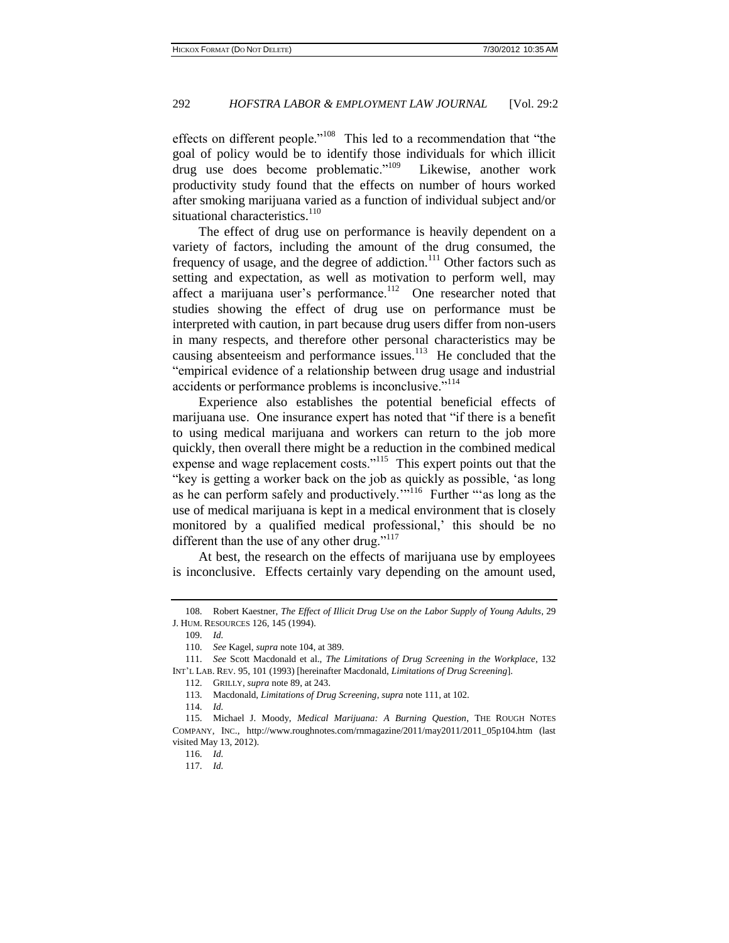effects on different people."<sup>108</sup> This led to a recommendation that "the goal of policy would be to identify those individuals for which illicit drug use does become problematic."<sup>109</sup> Likewise, another work productivity study found that the effects on number of hours worked after smoking marijuana varied as a function of individual subject and/or situational characteristics.<sup>110</sup>

The effect of drug use on performance is heavily dependent on a variety of factors, including the amount of the drug consumed, the frequency of usage, and the degree of addiction.<sup>111</sup> Other factors such as setting and expectation, as well as motivation to perform well, may affect a marijuana user's performance.<sup>112</sup> One researcher noted that studies showing the effect of drug use on performance must be interpreted with caution, in part because drug users differ from non-users in many respects, and therefore other personal characteristics may be causing absenteeism and performance issues.<sup>113</sup> He concluded that the "empirical evidence of a relationship between drug usage and industrial accidents or performance problems is inconclusive."<sup>114</sup>

Experience also establishes the potential beneficial effects of marijuana use. One insurance expert has noted that "if there is a benefit to using medical marijuana and workers can return to the job more quickly, then overall there might be a reduction in the combined medical expense and wage replacement costs."<sup>115</sup> This expert points out that the "key is getting a worker back on the job as quickly as possible, 'as long as he can perform safely and productively."<sup>116</sup> Further ""as long as the use of medical marijuana is kept in a medical environment that is closely monitored by a qualified medical professional,' this should be no different than the use of any other drug."<sup>117</sup>

At best, the research on the effects of marijuana use by employees is inconclusive. Effects certainly vary depending on the amount used,

109. *Id.*

114. *Id.*

<sup>108.</sup> Robert Kaestner, *The Effect of Illicit Drug Use on the Labor Supply of Young Adults*, 29 J. HUM. RESOURCES 126, 145 (1994).

<sup>110.</sup> *See* Kagel, *supra* note 104, at 389.

<sup>111.</sup> *See* Scott Macdonald et al., *The Limitations of Drug Screening in the Workplace*, 132 INT'L LAB. REV. 95, 101 (1993) [hereinafter Macdonald, *Limitations of Drug Screening*].

<sup>112.</sup> GRILLY, *supra* note 89, at 243.

<sup>113.</sup> Macdonald, *Limitations of Drug Screening*, *supra* note 111, at 102.

<sup>115.</sup> Michael J. Moody, *Medical Marijuana: A Burning Question*, THE ROUGH NOTES COMPANY, INC., http://www.roughnotes.com/rnmagazine/2011/may2011/2011\_05p104.htm (last visited May 13, 2012).

<sup>116.</sup> *Id.*

<sup>117.</sup> *Id.*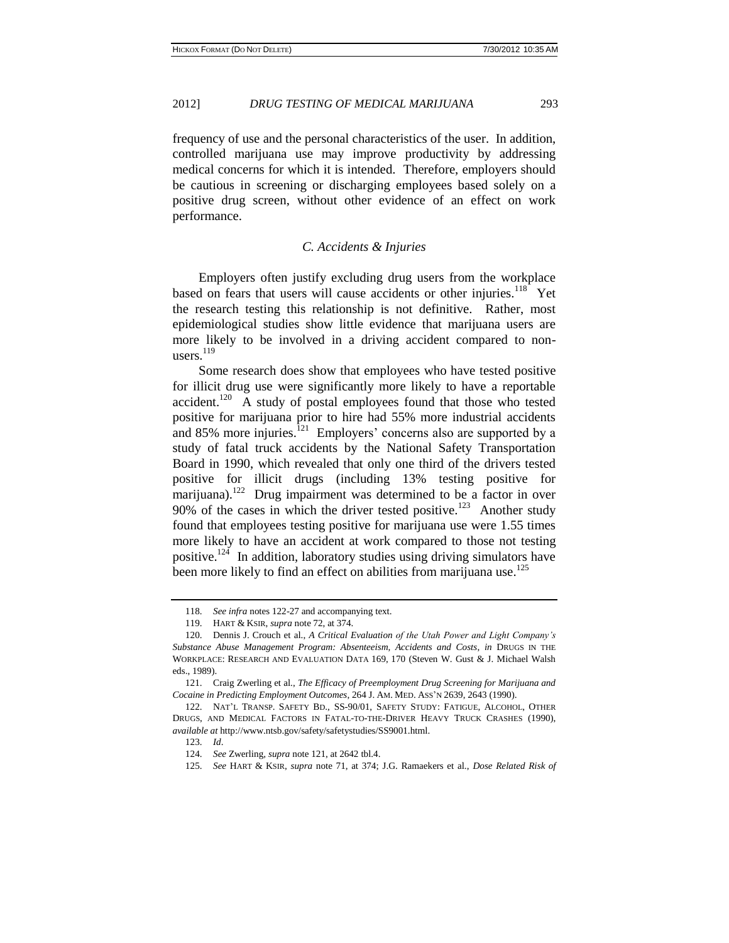frequency of use and the personal characteristics of the user. In addition, controlled marijuana use may improve productivity by addressing medical concerns for which it is intended. Therefore, employers should be cautious in screening or discharging employees based solely on a positive drug screen, without other evidence of an effect on work performance.

#### *C. Accidents & Injuries*

Employers often justify excluding drug users from the workplace based on fears that users will cause accidents or other injuries.<sup>118</sup> Yet the research testing this relationship is not definitive. Rather, most epidemiological studies show little evidence that marijuana users are more likely to be involved in a driving accident compared to nonusers. $^{119}$ 

Some research does show that employees who have tested positive for illicit drug use were significantly more likely to have a reportable  $accident.<sup>120</sup>$  A study of postal employees found that those who tested positive for marijuana prior to hire had 55% more industrial accidents and 85% more injuries.<sup>121</sup> Employers' concerns also are supported by a study of fatal truck accidents by the National Safety Transportation Board in 1990, which revealed that only one third of the drivers tested positive for illicit drugs (including 13% testing positive for  $\mu$ marijuana).<sup>122</sup> Drug impairment was determined to be a factor in over  $90\%$  of the cases in which the driver tested positive.<sup>123</sup> Another study found that employees testing positive for marijuana use were 1.55 times more likely to have an accident at work compared to those not testing positive.<sup>124</sup> In addition, laboratory studies using driving simulators have been more likely to find an effect on abilities from marijuana use.<sup>125</sup>

<sup>118.</sup> *See infra* notes 122-27 and accompanying text.

<sup>119.</sup> HART & KSIR, *supra* note 72, at 374.

<sup>120.</sup> Dennis J. Crouch et al., *A Critical Evaluation of the Utah Power and Light Company's Substance Abuse Management Program: Absenteeism, Accidents and Costs*, *in* DRUGS IN THE WORKPLACE: RESEARCH AND EVALUATION DATA 169, 170 (Steven W. Gust & J. Michael Walsh eds., 1989).

<sup>121.</sup> Craig Zwerling et al., *The Efficacy of Preemployment Drug Screening for Marijuana and Cocaine in Predicting Employment Outcomes*, 264 J. AM. MED. ASS'N 2639, 2643 (1990).

<sup>122.</sup> NAT'L TRANSP. SAFETY BD., SS-90/01, SAFETY STUDY: FATIGUE, ALCOHOL, OTHER DRUGS, AND MEDICAL FACTORS IN FATAL-TO-THE-DRIVER HEAVY TRUCK CRASHES (1990), *available at* http://www.ntsb.gov/safety/safetystudies/SS9001.html.

<sup>123.</sup> *Id*.

<sup>124.</sup> *See* Zwerling, *supra* note 121, at 2642 tbl.4.

<sup>125.</sup> *See* HART & KSIR, *supra* note 71, at 374; J.G. Ramaekers et al., *Dose Related Risk of*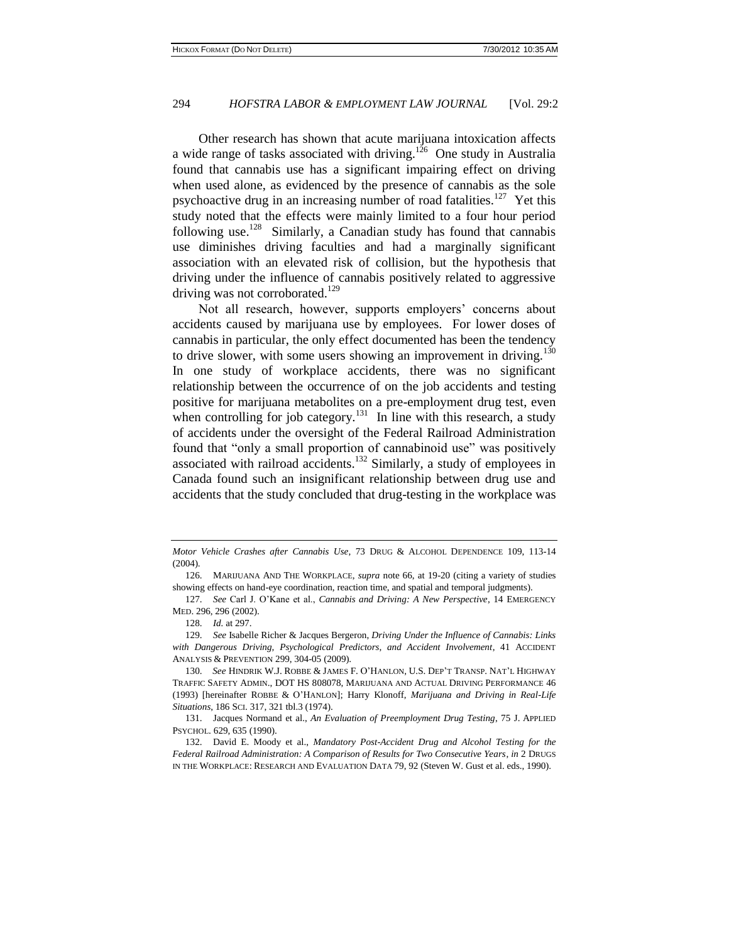Other research has shown that acute marijuana intoxication affects a wide range of tasks associated with driving.<sup>126</sup> One study in Australia found that cannabis use has a significant impairing effect on driving when used alone, as evidenced by the presence of cannabis as the sole psychoactive drug in an increasing number of road fatalities.<sup>127</sup> Yet this study noted that the effects were mainly limited to a four hour period following use.<sup>128</sup> Similarly, a Canadian study has found that cannabis use diminishes driving faculties and had a marginally significant association with an elevated risk of collision, but the hypothesis that driving under the influence of cannabis positively related to aggressive driving was not corroborated.<sup>129</sup>

Not all research, however, supports employers' concerns about accidents caused by marijuana use by employees. For lower doses of cannabis in particular, the only effect documented has been the tendency to drive slower, with some users showing an improvement in driving.<sup>130</sup> In one study of workplace accidents, there was no significant relationship between the occurrence of on the job accidents and testing positive for marijuana metabolites on a pre-employment drug test, even when controlling for job category.<sup>131</sup> In line with this research, a study of accidents under the oversight of the Federal Railroad Administration found that "only a small proportion of cannabinoid use" was positively associated with railroad accidents.<sup>132</sup> Similarly, a study of employees in Canada found such an insignificant relationship between drug use and accidents that the study concluded that drug-testing in the workplace was

*Motor Vehicle Crashes after Cannabis Use*, 73 DRUG & ALCOHOL DEPENDENCE 109, 113-14 (2004).

<sup>126.</sup> MARIJUANA AND THE WORKPLACE, *supra* note 66, at 19-20 (citing a variety of studies showing effects on hand-eye coordination, reaction time, and spatial and temporal judgments).

<sup>127.</sup> *See* Carl J. O'Kane et al., *Cannabis and Driving: A New Perspective*, 14 EMERGENCY MED. 296, 296 (2002).

<sup>128.</sup> *Id.* at 297.

<sup>129.</sup> *See* Isabell[e Richer & Jacques](http://www.ncbi.nlm.nih.gov/pubmed?term=%22Richer%20I%22%5BAuthor%5D) [Bergeron,](http://www.ncbi.nlm.nih.gov/pubmed?term=%22Bergeron%20J%22%5BAuthor%5D) *Driving Under the Influence of Cannabis: Links with Dangerous Driving, Psychological Predictors, and Accident Involvement*, 41 ACCIDENT ANALYSIS & PREVENTION 299, 304-05 (2009).

<sup>130.</sup> *See* HINDRIK W.J. ROBBE & JAMES F. O'HANLON, U.S. DEP'T TRANSP. NAT'L HIGHWAY TRAFFIC SAFETY ADMIN., DOT HS 808078, MARIJUANA AND ACTUAL DRIVING PERFORMANCE 46 (1993) [hereinafter ROBBE & O'HANLON]; Harry Klonoff, *Marijuana and Driving in Real-Life Situations*, 186 SCI. 317, 321 tbl.3 (1974).

<sup>131.</sup> Jacques Normand et al., *An Evaluation of Preemployment Drug Testing*, 75 J. APPLIED PSYCHOL. 629, 635 (1990).

<sup>132.</sup> David E. Moody et al., *Mandatory Post-Accident Drug and Alcohol Testing for the Federal Railroad Administration: A Comparison of Results for Two Consecutive Years*, *in* 2 DRUGS IN THE WORKPLACE: RESEARCH AND EVALUATION DATA 79, 92 (Steven W. Gust et al. eds., 1990).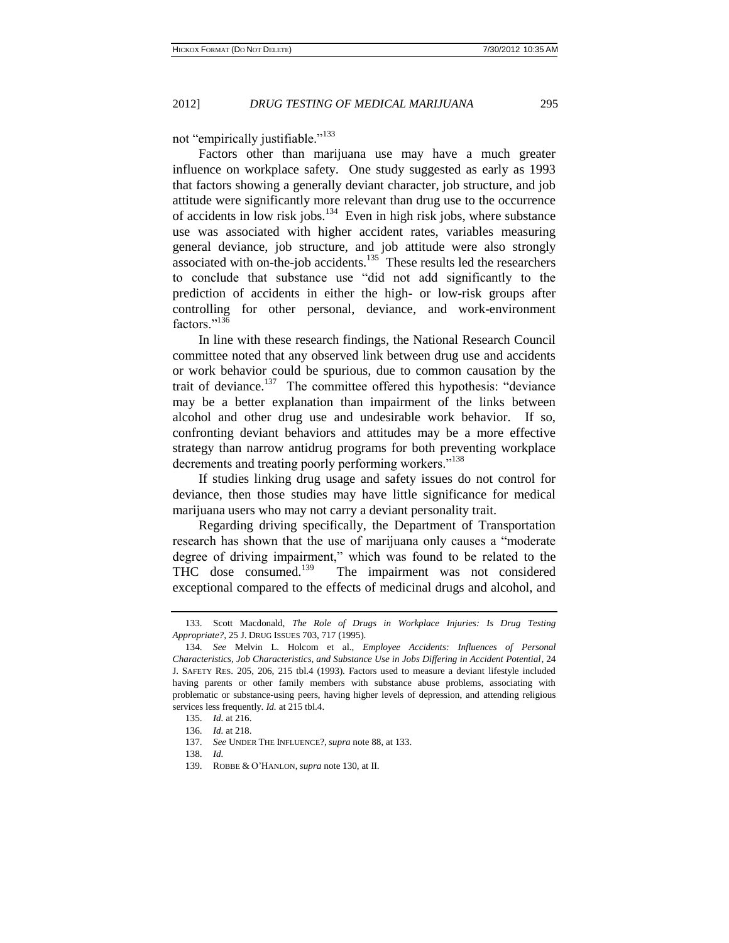not "empirically justifiable."<sup>133</sup>

Factors other than marijuana use may have a much greater influence on workplace safety. One study suggested as early as 1993 that factors showing a generally deviant character, job structure, and job attitude were significantly more relevant than drug use to the occurrence of accidents in low risk jobs.<sup>134</sup> Even in high risk jobs, where substance use was associated with higher accident rates, variables measuring general deviance, job structure, and job attitude were also strongly associated with on-the-job accidents.<sup>135</sup> These results led the researchers to conclude that substance use "did not add significantly to the prediction of accidents in either the high- or low-risk groups after controlling for other personal, deviance, and work-environment factors<sup>"136</sup>

In line with these research findings, the National Research Council committee noted that any observed link between drug use and accidents or work behavior could be spurious, due to common causation by the trait of deviance.<sup>137</sup> The committee offered this hypothesis: "deviance may be a better explanation than impairment of the links between alcohol and other drug use and undesirable work behavior. If so, confronting deviant behaviors and attitudes may be a more effective strategy than narrow antidrug programs for both preventing workplace decrements and treating poorly performing workers."<sup>138</sup>

If studies linking drug usage and safety issues do not control for deviance, then those studies may have little significance for medical marijuana users who may not carry a deviant personality trait.

Regarding driving specifically, the Department of Transportation research has shown that the use of marijuana only causes a "moderate degree of driving impairment," which was found to be related to the THC dose consumed.<sup>139</sup> The impairment was not considered exceptional compared to the effects of medicinal drugs and alcohol, and

<sup>133.</sup> Scott Macdonald, *The Role of Drugs in Workplace Injuries: Is Drug Testing Appropriate?,* 25 J. DRUG ISSUES 703, 717 (1995).

<sup>134.</sup> *See* Melvin L. Holcom et al., *Employee Accidents: Influences of Personal Characteristics, Job Characteristics, and Substance Use in Jobs Differing in Accident Potential*, 24 J. SAFETY RES. 205, 206, 215 tbl.4 (1993). Factors used to measure a deviant lifestyle included having parents or other family members with substance abuse problems, associating with problematic or substance-using peers, having higher levels of depression, and attending religious services less frequently. *Id.* at 215 tbl.4.

<sup>135.</sup> *Id.* at 216.

<sup>136.</sup> *Id.* at 218.

<sup>137.</sup> *See* UNDER THE INFLUENCE?, *supra* note 88, at 133.

<sup>138.</sup> *Id.*

<sup>139.</sup> ROBBE & O'HANLON, *supra* note 130, at II.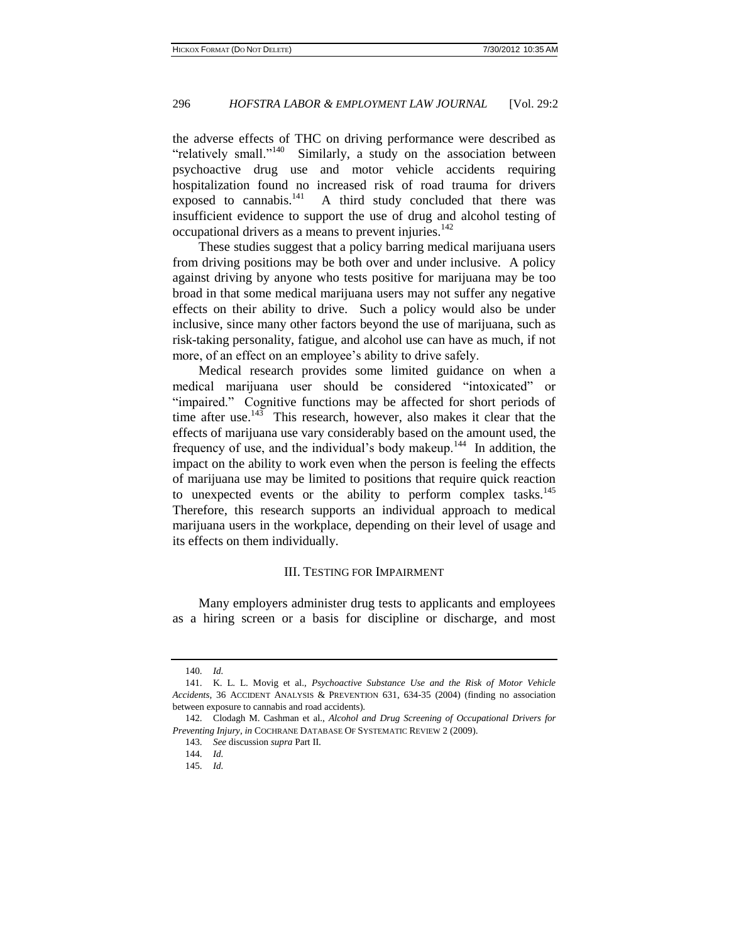the adverse effects of THC on driving performance were described as "relatively small."<sup>140</sup> Similarly, a study on the association between psychoactive drug use and motor vehicle accidents requiring hospitalization found no increased risk of road trauma for drivers exposed to cannabis. $141$  A third study concluded that there was insufficient evidence to support the use of drug and alcohol testing of occupational drivers as a means to prevent injuries.<sup>142</sup>

These studies suggest that a policy barring medical marijuana users from driving positions may be both over and under inclusive. A policy against driving by anyone who tests positive for marijuana may be too broad in that some medical marijuana users may not suffer any negative effects on their ability to drive. Such a policy would also be under inclusive, since many other factors beyond the use of marijuana, such as risk-taking personality, fatigue, and alcohol use can have as much, if not more, of an effect on an employee's ability to drive safely.

Medical research provides some limited guidance on when a medical marijuana user should be considered "intoxicated" or "impaired." Cognitive functions may be affected for short periods of time after use.<sup>143</sup> This research, however, also makes it clear that the effects of marijuana use vary considerably based on the amount used, the frequency of use, and the individual's body makeup.<sup>144</sup> In addition, the impact on the ability to work even when the person is feeling the effects of marijuana use may be limited to positions that require quick reaction to unexpected events or the ability to perform complex tasks.<sup>145</sup> Therefore, this research supports an individual approach to medical marijuana users in the workplace, depending on their level of usage and its effects on them individually.

#### III. TESTING FOR IMPAIRMENT

Many employers administer drug tests to applicants and employees as a hiring screen or a basis for discipline or discharge, and most

<sup>140.</sup> *Id.*

<sup>141.</sup> K. L. L. Movig et al., *Psychoactive Substance Use and the Risk of Motor Vehicle Accidents*, 36 ACCIDENT ANALYSIS & PREVENTION 631, 634-35 (2004) (finding no association between exposure to cannabis and road accidents).

<sup>142.</sup> Clodagh M. Cashman et al., *Alcohol and Drug Screening of Occupational Drivers for Preventing Injury*, *in* COCHRANE DATABASE OF SYSTEMATIC REVIEW 2 (2009).

<sup>143.</sup> *See* discussion *supra* Part II.

<sup>144.</sup> *Id.*

<sup>145.</sup> *Id.*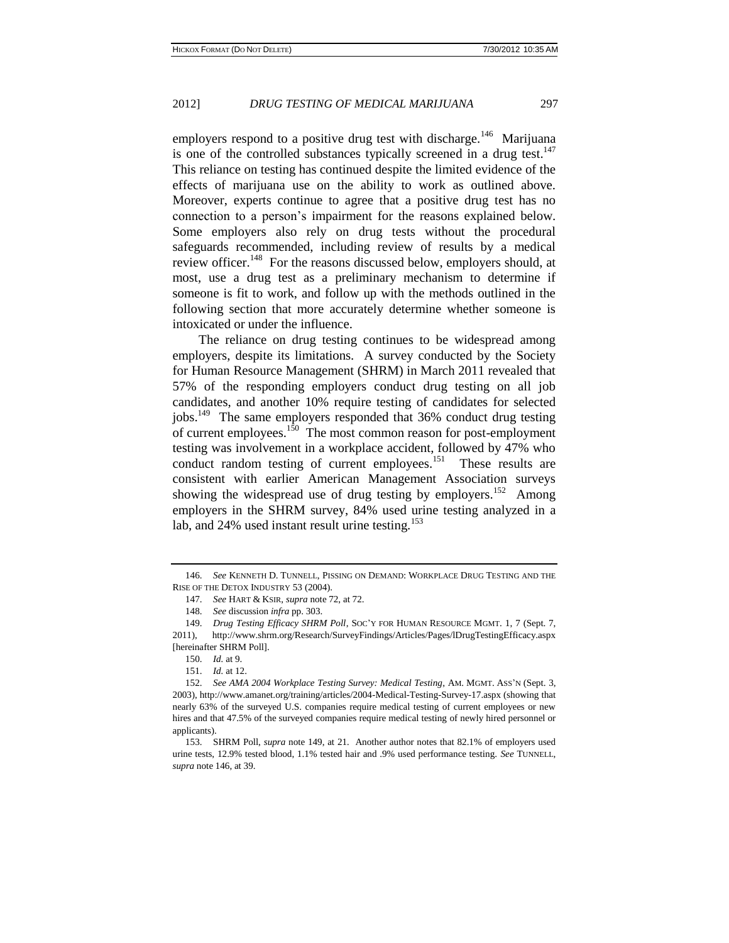employers respond to a positive drug test with discharge.<sup>146</sup> Marijuana is one of the controlled substances typically screened in a drug test. $147$ This reliance on testing has continued despite the limited evidence of the effects of marijuana use on the ability to work as outlined above. Moreover, experts continue to agree that a positive drug test has no connection to a person's impairment for the reasons explained below. Some employers also rely on drug tests without the procedural safeguards recommended, including review of results by a medical review officer.<sup>148</sup> For the reasons discussed below, employers should, at most, use a drug test as a preliminary mechanism to determine if someone is fit to work, and follow up with the methods outlined in the following section that more accurately determine whether someone is intoxicated or under the influence.

The reliance on drug testing continues to be widespread among employers, despite its limitations. A survey conducted by the Society for Human Resource Management (SHRM) in March 2011 revealed that 57% of the responding employers conduct drug testing on all job candidates, and another 10% require testing of candidates for selected jobs.<sup>149</sup> The same employers responded that 36% conduct drug testing of current employees. $150$  The most common reason for post-employment testing was involvement in a workplace accident, followed by 47% who conduct random testing of current employees.<sup>151</sup> These results are consistent with earlier American Management Association surveys showing the widespread use of drug testing by employers.<sup>152</sup> Among employers in the SHRM survey, 84% used urine testing analyzed in a lab, and  $24\%$  used instant result urine testing.<sup>153</sup>

<sup>146.</sup> *See* KENNETH D. TUNNELL, PISSING ON DEMAND: WORKPLACE DRUG TESTING AND THE RISE OF THE DETOX INDUSTRY 53 (2004).

<sup>147.</sup> *See* HART & KSIR, *supra* note 72, at 72.

<sup>148.</sup> *See* discussion *infra* pp. 303.

<sup>149.</sup> *Drug Testing Efficacy SHRM Poll*, SOC'Y FOR HUMAN RESOURCE MGMT. 1, 7 (Sept. 7, 2011), http://www.shrm.org/Research/SurveyFindings/Articles/Pages/lDrugTestingEfficacy.aspx [hereinafter SHRM Poll].

<sup>150.</sup> *Id.* at 9.

<sup>151.</sup> *Id.* at 12.

<sup>152.</sup> *See AMA 2004 Workplace Testing Survey: Medical Testing*, AM. MGMT. ASS'N (Sept. 3, 2003), http://www.amanet.org/training/articles/2004-Medical-Testing-Survey-17.aspx (showing that nearly 63% of the surveyed U.S. companies require medical testing of current employees or new hires and that 47.5% of the surveyed companies require medical testing of newly hired personnel or applicants).

<sup>153.</sup> SHRM Poll, *supra* note 149, at 21*.* Another author notes that 82.1% of employers used urine tests, 12.9% tested blood, 1.1% tested hair and .9% used performance testing. *See* TUNNELL, *supra* note 146, at 39.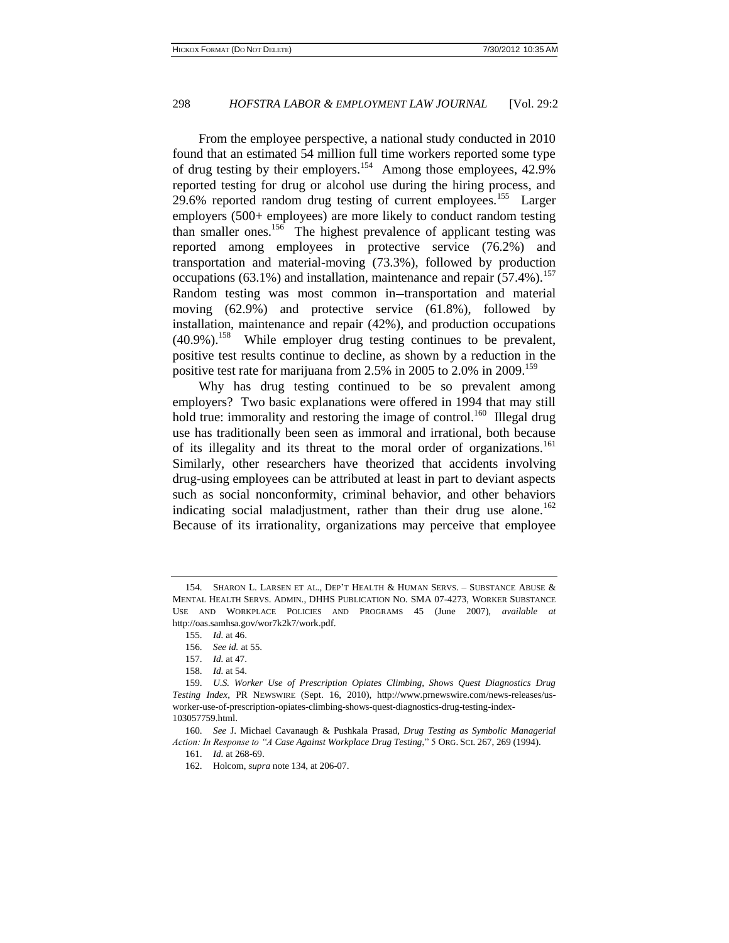From the employee perspective, a national study conducted in 2010 found that an estimated 54 million full time workers reported some type of drug testing by their employers.<sup>154</sup> Among those employees, 42.9% reported testing for drug or alcohol use during the hiring process, and 29.6% reported random drug testing of current employees.<sup>155</sup> Larger employers (500+ employees) are more likely to conduct random testing than smaller ones.<sup>156</sup> The highest prevalence of applicant testing was reported among employees in protective service (76.2%) and transportation and material-moving (73.3%), followed by production occupations (63.1%) and installation, maintenance and repair  $(57.4\%)$ .<sup>157</sup> Random testing was most common in-transportation and material moving (62.9%) and protective service (61.8%), followed by installation, maintenance and repair (42%), and production occupations  $(40.9\%)$ <sup>158</sup> While employer drug testing continues to be prevalent, positive test results continue to decline, as shown by a reduction in the positive test rate for marijuana from 2.5% in 2005 to 2.0% in 2009.<sup>159</sup>

Why has drug testing continued to be so prevalent among employers? Two basic explanations were offered in 1994 that may still hold true: immorality and restoring the image of control.<sup>160</sup> Illegal drug use has traditionally been seen as immoral and irrational, both because of its illegality and its threat to the moral order of organizations.<sup>161</sup> Similarly, other researchers have theorized that accidents involving drug-using employees can be attributed at least in part to deviant aspects such as social nonconformity, criminal behavior, and other behaviors indicating social maladjustment, rather than their drug use alone.<sup>162</sup> Because of its irrationality, organizations may perceive that employee

<sup>154.</sup> SHARON L. LARSEN ET AL., DEP'T HEALTH & HUMAN SERVS. – SUBSTANCE ABUSE & MENTAL HEALTH SERVS. ADMIN., DHHS PUBLICATION NO. SMA 07-4273, WORKER SUBSTANCE USE AND WORKPLACE POLICIES AND PROGRAMS 45 (June 2007), *available at* http://oas.samhsa.gov/wor7k2k7/work.pdf.

<sup>155.</sup> *Id.* at 46.

<sup>156.</sup> *See id.* at 55.

<sup>157.</sup> *Id.* at 47.

<sup>158.</sup> *Id.* at 54.

<sup>159.</sup> *U.S. Worker Use of Prescription Opiates Climbing, Shows Quest Diagnostics Drug Testing Index*, PR NEWSWIRE (Sept. 16, 2010), http://www.prnewswire.com/news-releases/usworker-use-of-prescription-opiates-climbing-shows-quest-diagnostics-drug-testing-index-103057759.html.

<sup>160.</sup> *See* J. Michael Cavanaugh & Pushkala Prasad, *Drug Testing as Symbolic Managerial Action: In Response to "A Case Against Workplace Drug Testing*," 5 ORG. SCI. 267, 269 (1994).

<sup>161.</sup> *Id.* at 268-69.

<sup>162.</sup> Holcom, *supra* note 134, at 206-07.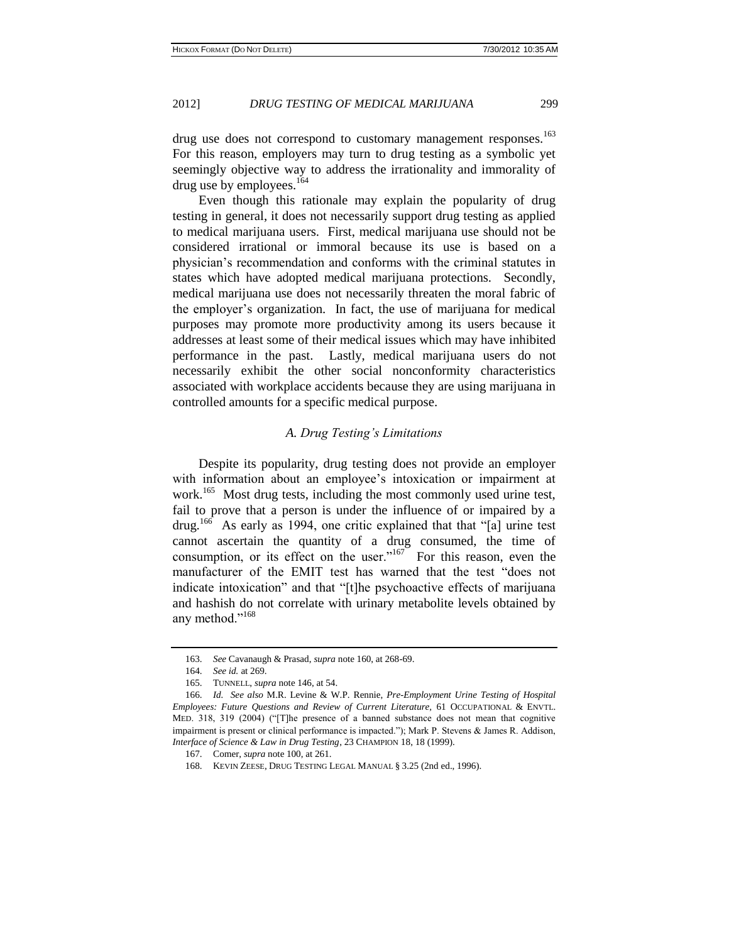drug use does not correspond to customary management responses.<sup>163</sup> For this reason, employers may turn to drug testing as a symbolic yet seemingly objective way to address the irrationality and immorality of drug use by employees.<sup>164</sup>

Even though this rationale may explain the popularity of drug testing in general, it does not necessarily support drug testing as applied to medical marijuana users. First, medical marijuana use should not be considered irrational or immoral because its use is based on a physician's recommendation and conforms with the criminal statutes in states which have adopted medical marijuana protections. Secondly, medical marijuana use does not necessarily threaten the moral fabric of the employer's organization. In fact, the use of marijuana for medical purposes may promote more productivity among its users because it addresses at least some of their medical issues which may have inhibited performance in the past. Lastly, medical marijuana users do not necessarily exhibit the other social nonconformity characteristics associated with workplace accidents because they are using marijuana in controlled amounts for a specific medical purpose.

#### *A. Drug Testing's Limitations*

Despite its popularity, drug testing does not provide an employer with information about an employee's intoxication or impairment at work.<sup>165</sup> Most drug tests, including the most commonly used urine test, fail to prove that a person is under the influence of or impaired by a drug.<sup>166</sup> As early as 1994, one critic explained that that "[a] urine test cannot ascertain the quantity of a drug consumed, the time of consumption, or its effect on the user." $167$  For this reason, even the manufacturer of the EMIT test has warned that the test "does not indicate intoxication" and that "[t]he psychoactive effects of marijuana and hashish do not correlate with urinary metabolite levels obtained by any method."<sup>168</sup>

<sup>163.</sup> *See* Cavanaugh & Prasad, *supra* note 160, at 268-69.

<sup>164.</sup> *See id.* at 269.

<sup>165.</sup> TUNNELL, *supra* note 146, at 54.

<sup>166.</sup> *Id. See also* M.R. Levine & W.P. Rennie, *Pre-Employment Urine Testing of Hospital Employees: Future Questions and Review of Current Literature,* 61 OCCUPATIONAL & ENVTL. MED. 318, 319 (2004) ("[T]he presence of a banned substance does not mean that cognitive impairment is present or clinical performance is impacted."); Mark P. Stevens & James R. Addison, *Interface of Science & Law in Drug Testing*, 23 CHAMPION 18, 18 (1999).

<sup>167.</sup> Comer, *supra* note 100, at 261.

<sup>168.</sup> KEVIN ZEESE, DRUG TESTING LEGAL MANUAL § 3.25 (2nd ed., 1996).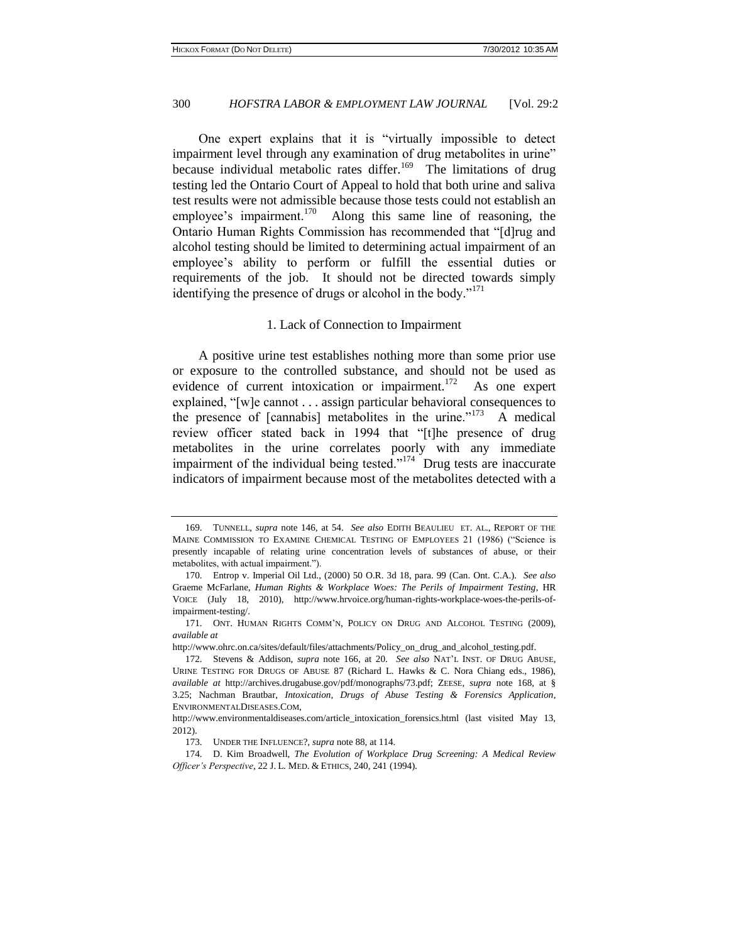One expert explains that it is "virtually impossible to detect impairment level through any examination of drug metabolites in urine" because individual metabolic rates differ.<sup>169</sup> The limitations of drug testing led the Ontario Court of Appeal to hold that both urine and saliva test results were not admissible because those tests could not establish an employee's impairment.<sup>170</sup> Along this same line of reasoning, the Ontario Human Rights Commission has recommended that "[d]rug and alcohol testing should be limited to determining actual impairment of an employee's ability to perform or fulfill the essential duties or requirements of the job. It should not be directed towards simply identifying the presence of drugs or alcohol in the body." $171$ 

#### 1. Lack of Connection to Impairment

A positive urine test establishes nothing more than some prior use or exposure to the controlled substance, and should not be used as evidence of current intoxication or impairment. $172$  As one expert explained, "[w]e cannot . . . assign particular behavioral consequences to the presence of  $[camabis]$  metabolites in the urine."<sup>173</sup> A medical review officer stated back in 1994 that "[t]he presence of drug metabolites in the urine correlates poorly with any immediate impairment of the individual being tested."<sup>174</sup> Drug tests are inaccurate indicators of impairment because most of the metabolites detected with a

<sup>169.</sup> TUNNELL, *supra* note 146, at 54. *See also* EDITH BEAULIEU ET. AL., REPORT OF THE MAINE COMMISSION TO EXAMINE CHEMICAL TESTING OF EMPLOYEES 21 (1986) ("Science is presently incapable of relating urine concentration levels of substances of abuse, or their metabolites, with actual impairment.").

<sup>170.</sup> Entrop v. Imperial Oil Ltd., (2000) 50 O.R. 3d 18, para. 99 (Can. Ont. C.A.). *See also*  Graeme McFarlane, *Human Rights & Workplace Woes: The Perils of Impairment Testing*, HR VOICE (July 18, 2010), http://www.hrvoice.org/human-rights-workplace-woes-the-perils-ofimpairment-testing/.

<sup>171.</sup> ONT. HUMAN RIGHTS COMM'N, POLICY ON DRUG AND ALCOHOL TESTING (2009), *available at*

http://www.ohrc.on.ca/sites/default/files/attachments/Policy\_on\_drug\_and\_alcohol\_testing.pdf.

<sup>172.</sup> Stevens & Addison, *supra* note 166, at 20. *See also* NAT'L INST. OF DRUG ABUSE, URINE TESTING FOR DRUGS OF ABUSE 87 (Richard L. Hawks & C. Nora Chiang eds., 1986), *available at* http://archives.drugabuse.gov/pdf/monographs/73.pdf; ZEESE, *supra* note 168, at § 3.25; Nachman Brautbar, *Intoxication, Drugs of Abuse Testing & Forensics Application*, ENVIRONMENTALDISEASES.COM,

http://www.environmentaldiseases.com/article\_intoxication\_forensics.html (last visited May 13, 2012).

<sup>173.</sup> UNDER THE INFLUENCE?, *supra* note 88, at 114.

<sup>174.</sup> D. Kim Broadwell, *The Evolution of Workplace Drug Screening: A Medical Review Officer's Perspective*, 22 J. L. MED. & ETHICS, 240, 241 (1994).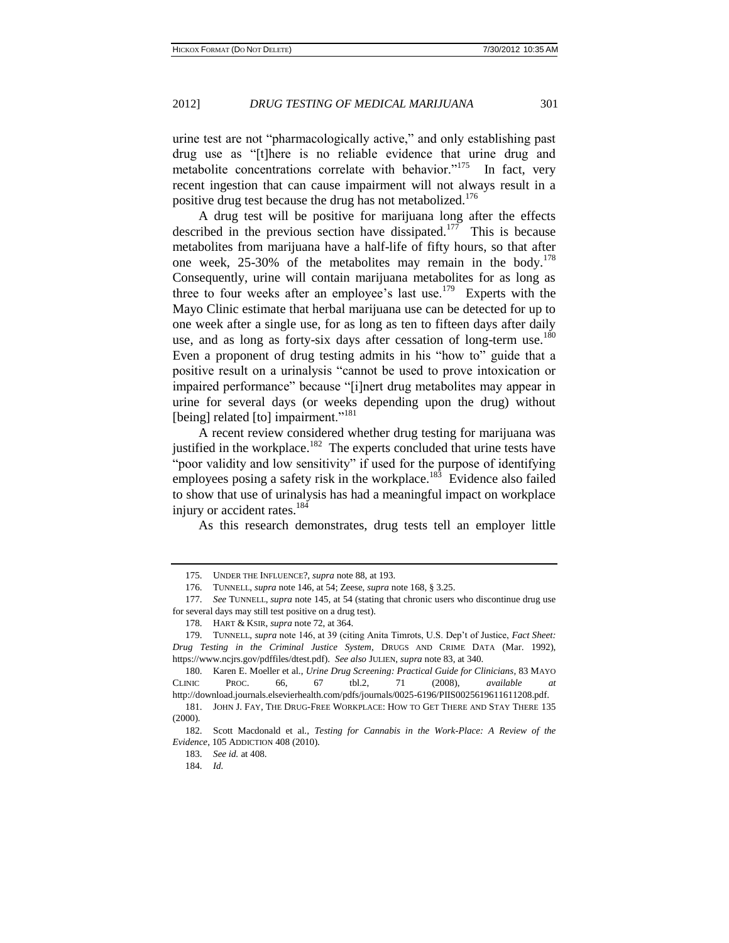urine test are not "pharmacologically active," and only establishing past drug use as "[t]here is no reliable evidence that urine drug and metabolite concentrations correlate with behavior."<sup>175</sup> In fact, very recent ingestion that can cause impairment will not always result in a positive drug test because the drug has not metabolized.<sup>176</sup>

A drug test will be positive for marijuana long after the effects described in the previous section have dissipated.<sup>177</sup> This is because metabolites from marijuana have a half-life of fifty hours, so that after one week,  $25-30\%$  of the metabolites may remain in the body.<sup>178</sup> Consequently, urine will contain marijuana metabolites for as long as three to four weeks after an employee's last use.<sup>179</sup> Experts with the Mayo Clinic estimate that herbal marijuana use can be detected for up to one week after a single use, for as long as ten to fifteen days after daily use, and as long as forty-six days after cessation of long-term use.<sup>180</sup> Even a proponent of drug testing admits in his "how to" guide that a positive result on a urinalysis "cannot be used to prove intoxication or impaired performance" because "[i]nert drug metabolites may appear in urine for several days (or weeks depending upon the drug) without [being] related [to] impairment."<sup>181</sup>

A recent review considered whether drug testing for marijuana was justified in the workplace.<sup>182</sup> The experts concluded that urine tests have "poor validity and low sensitivity" if used for the purpose of identifying employees posing a safety risk in the workplace.<sup>183</sup> Evidence also failed to show that use of urinalysis has had a meaningful impact on workplace injury or accident rates.<sup>184</sup>

As this research demonstrates, drug tests tell an employer little

<sup>175.</sup> UNDER THE INFLUENCE?, *supra* note 88, at 193.

<sup>176.</sup> TUNNELL, *supra* note 146, at 54; Zeese, *supra* note 168, § 3.25.

<sup>177.</sup> *See* TUNNELL, *supra* note 145, at 54 (stating that chronic users who discontinue drug use for several days may still test positive on a drug test).

<sup>178.</sup> HART & KSIR, *supra* note 72, at 364.

<sup>179.</sup> TUNNELL, *supra* note 146, at 39 (citing Anita Timrots, U.S. Dep't of Justice, *Fact Sheet: Drug Testing in the Criminal Justice System*, DRUGS AND CRIME DATA (Mar. 1992), https://www.ncjrs.gov/pdffiles/dtest.pdf). *See also* JULIEN, *supra* note 83, at 340.

<sup>180.</sup> Karen E. Moeller et al., *Urine Drug Screening: Practical Guide for Clinicians*, 83 MAYO CLINIC PROC. 66, 67 tbl.2, 71 (2008), *available at*  http://download.journals.elsevierhealth.com/pdfs/journals/0025-6196/PIIS0025619611611208.pdf.

<sup>181.</sup> JOHN J. FAY, THE DRUG-FREE WORKPLACE: HOW TO GET THERE AND STAY THERE 135 (2000).

<sup>182.</sup> Scott Macdonald et al., *Testing for Cannabis in the Work-Place: A Review of the Evidence*, 105 ADDICTION 408 (2010).

<sup>183.</sup> *See id.* at 408.

<sup>184.</sup> *Id.*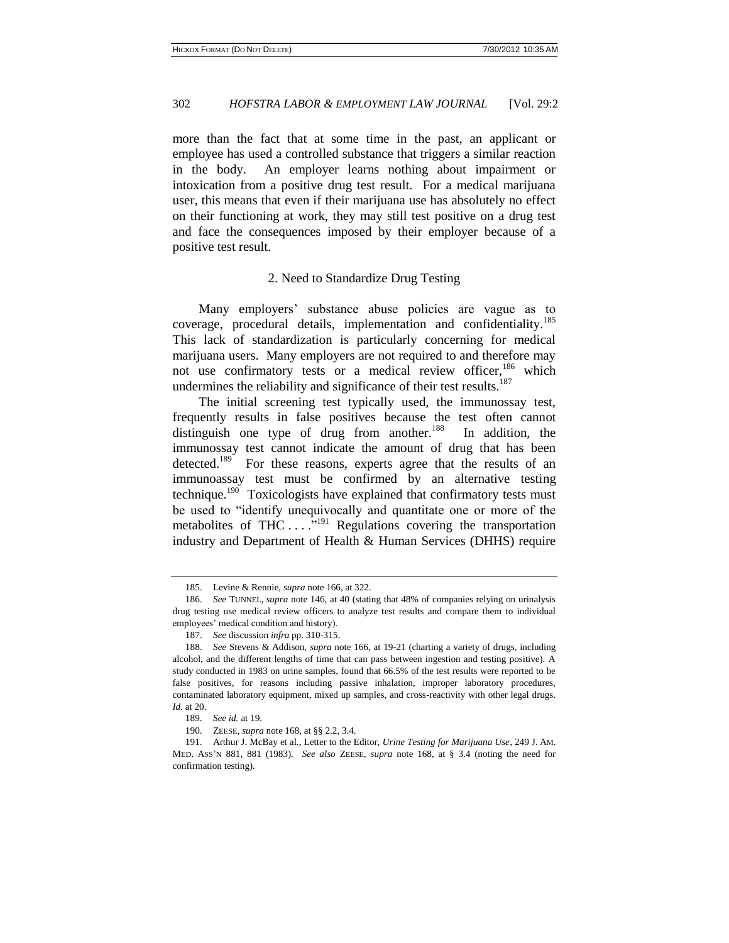more than the fact that at some time in the past, an applicant or employee has used a controlled substance that triggers a similar reaction in the body. An employer learns nothing about impairment or intoxication from a positive drug test result. For a medical marijuana user, this means that even if their marijuana use has absolutely no effect on their functioning at work, they may still test positive on a drug test and face the consequences imposed by their employer because of a positive test result.

#### 2. Need to Standardize Drug Testing

Many employers' substance abuse policies are vague as to coverage, procedural details, implementation and confidentiality.<sup>185</sup> This lack of standardization is particularly concerning for medical marijuana users. Many employers are not required to and therefore may not use confirmatory tests or a medical review officer,<sup>186</sup> which undermines the reliability and significance of their test results.<sup>187</sup>

The initial screening test typically used, the immunossay test, frequently results in false positives because the test often cannot distinguish one type of drug from another.<sup>188</sup> In addition, the immunossay test cannot indicate the amount of drug that has been detected.<sup>189</sup> For these reasons, experts agree that the results of an immunoassay test must be confirmed by an alternative testing technique.<sup>190</sup> Toxicologists have explained that confirmatory tests must be used to "identify unequivocally and quantitate one or more of the metabolites of THC  $\dots$ <sup>5,191</sup> Regulations covering the transportation industry and Department of Health & Human Services (DHHS) require

<sup>185.</sup> Levine & Rennie, *supra* note 166, at 322.

<sup>186.</sup> *See* TUNNEL, *supra* note 146, at 40 (stating that 48% of companies relying on urinalysis drug testing use medical review officers to analyze test results and compare them to individual employees' medical condition and history).

<sup>187.</sup> *See* discussion *infra* pp. 310-315.

<sup>188.</sup> *See* Stevens & Addison, *supra* note 166, at 19-21 (charting a variety of drugs, including alcohol, and the different lengths of time that can pass between ingestion and testing positive). A study conducted in 1983 on urine samples, found that 66.5% of the test results were reported to be false positives, for reasons including passive inhalation, improper laboratory procedures, contaminated laboratory equipment, mixed up samples, and cross-reactivity with other legal drugs. *Id.* at 20.

<sup>189.</sup> *See id.* at 19.

<sup>190.</sup> ZEESE, *supra* note 168, at §§ 2.2, 3.4.

<sup>191.</sup> Arthur J. McBay et al., Letter to the Editor, *Urine Testing for Marijuana Use*, 249 J. AM. MED. ASS'N 881, 881 (1983). *See also* ZEESE, *supra* note 168, at § 3.4 (noting the need for confirmation testing).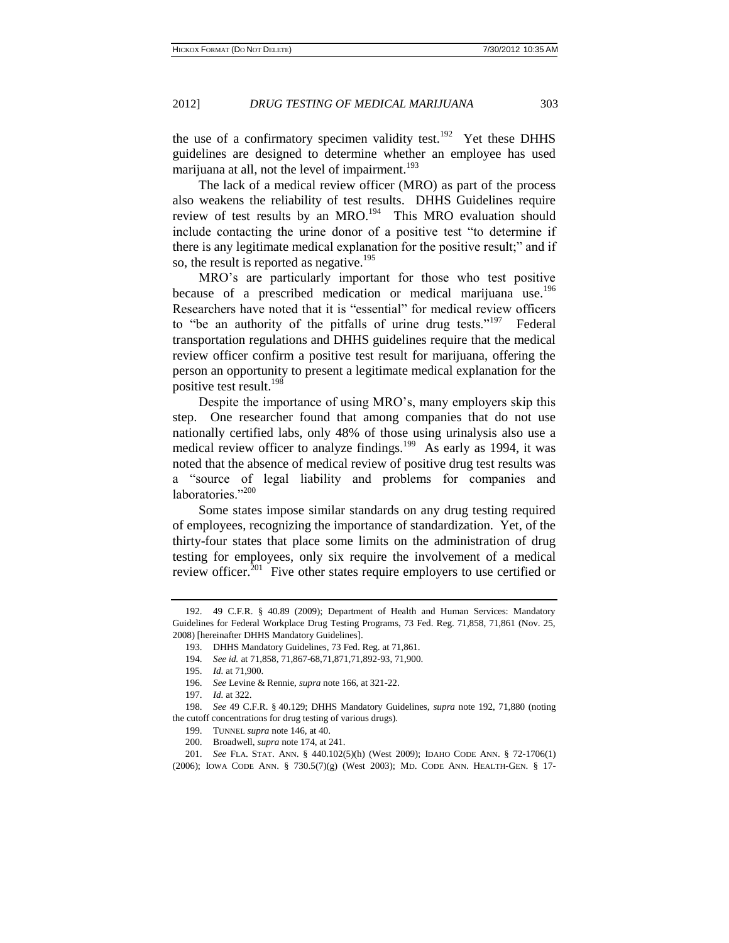the use of a confirmatory specimen validity test.<sup>192</sup> Yet these DHHS guidelines are designed to determine whether an employee has used marijuana at all, not the level of impairment.<sup>193</sup>

The lack of a medical review officer (MRO) as part of the process also weakens the reliability of test results. DHHS Guidelines require review of test results by an MRO.<sup>194</sup> This MRO evaluation should include contacting the urine donor of a positive test "to determine if there is any legitimate medical explanation for the positive result;" and if so, the result is reported as negative.<sup>195</sup>

MRO's are particularly important for those who test positive because of a prescribed medication or medical marijuana use.<sup>196</sup> Researchers have noted that it is "essential" for medical review officers to "be an authority of the pitfalls of urine drug tests."<sup>197</sup> Federal transportation regulations and DHHS guidelines require that the medical review officer confirm a positive test result for marijuana, offering the person an opportunity to present a legitimate medical explanation for the positive test result. $198$ 

Despite the importance of using MRO's, many employers skip this step. One researcher found that among companies that do not use nationally certified labs, only 48% of those using urinalysis also use a medical review officer to analyze findings.<sup>199</sup> As early as 1994, it was noted that the absence of medical review of positive drug test results was a "source of legal liability and problems for companies and laboratories."<sup>200</sup>

Some states impose similar standards on any drug testing required of employees, recognizing the importance of standardization. Yet, of the thirty-four states that place some limits on the administration of drug testing for employees, only six require the involvement of a medical review officer.<sup>201</sup> Five other states require employers to use certified or

<sup>192.</sup> 49 C.F.R. § 40.89 (2009); Department of Health and Human Services: Mandatory Guidelines for Federal Workplace Drug Testing Programs, 73 Fed. Reg. 71,858, 71,861 (Nov. 25, 2008) [hereinafter DHHS Mandatory Guidelines].

<sup>193.</sup> DHHS Mandatory Guidelines, 73 Fed. Reg. at 71,861.

<sup>194.</sup> *See id.* at 71,858, 71,867-68,71,871,71,892-93, 71,900.

<sup>195.</sup> *Id.* at 71,900.

<sup>196.</sup> *See* Levine & Rennie, *supra* note 166, at 321-22.

<sup>197.</sup> *Id.* at 322.

<sup>198.</sup> *See* 49 C.F.R. § 40.129; DHHS Mandatory Guidelines, *supra* note 192, 71,880 (noting the cutoff concentrations for drug testing of various drugs).

<sup>199.</sup> TUNNEL *supra* note 146, at 40.

<sup>200.</sup> Broadwell, *supra* note 174, at 241.

<sup>201.</sup> *See* FLA. STAT. ANN. § 440.102(5)(h) (West 2009); IDAHO CODE ANN. § 72-1706(1) (2006); IOWA CODE ANN. § 730.5(7)(g) (West 2003); MD. CODE ANN. HEALTH-GEN. § 17-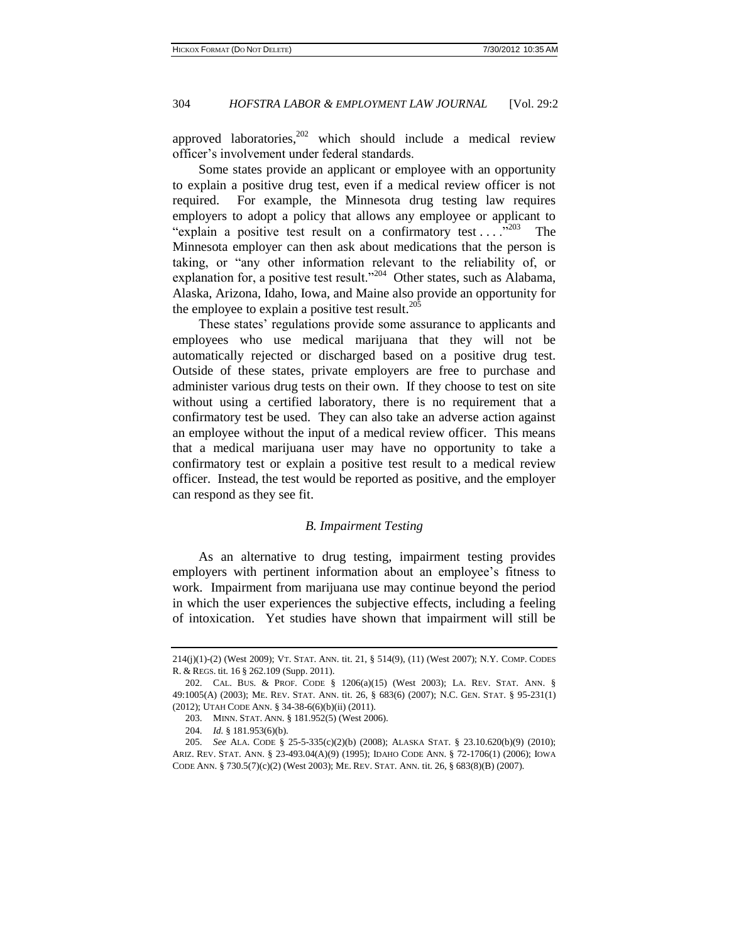approved laboratories,  $202$  which should include a medical review officer's involvement under federal standards.

Some states provide an applicant or employee with an opportunity to explain a positive drug test, even if a medical review officer is not required. For example, the Minnesota drug testing law requires employers to adopt a policy that allows any employee or applicant to "explain a positive test result on a confirmatory test . . . .<sup>203</sup> The Minnesota employer can then ask about medications that the person is taking, or "any other information relevant to the reliability of, or explanation for, a positive test result."<sup>204</sup> Other states, such as Alabama, Alaska, Arizona, Idaho, Iowa, and Maine also provide an opportunity for the employee to explain a positive test result. $^{205}$ 

These states' regulations provide some assurance to applicants and employees who use medical marijuana that they will not be automatically rejected or discharged based on a positive drug test. Outside of these states, private employers are free to purchase and administer various drug tests on their own. If they choose to test on site without using a certified laboratory, there is no requirement that a confirmatory test be used. They can also take an adverse action against an employee without the input of a medical review officer. This means that a medical marijuana user may have no opportunity to take a confirmatory test or explain a positive test result to a medical review officer. Instead, the test would be reported as positive, and the employer can respond as they see fit.

#### *B. Impairment Testing*

As an alternative to drug testing, impairment testing provides employers with pertinent information about an employee's fitness to work. Impairment from marijuana use may continue beyond the period in which the user experiences the subjective effects, including a feeling of intoxication. Yet studies have shown that impairment will still be

<sup>214(</sup>j)(1)-(2) (West 2009); VT. STAT. ANN. tit. 21, § 514(9), (11) (West 2007); N.Y. COMP. CODES R. & REGS. tit. 16 § 262.109 (Supp. 2011).

<sup>202.</sup> CAL. BUS. & PROF. CODE § 1206(a)(15) (West 2003); LA. REV. STAT. ANN. § 49:1005(A) (2003); ME. REV. STAT. ANN. tit. 26, § 683(6) (2007); N.C. GEN. STAT. § 95-231(1) (2012); UTAH CODE ANN. § 34-38-6(6)(b)(ii) (2011).

<sup>203.</sup> MINN. STAT. ANN. § 181.952(5) (West 2006).

<sup>204.</sup> *Id.* § 181.953(6)(b).

<sup>205.</sup> *See* ALA. CODE § 25-5-335(c)(2)(b) (2008); ALASKA STAT. § 23.10.620(b)(9) (2010); ARIZ. REV. STAT. ANN. § 23-493.04(A)(9) (1995); IDAHO CODE ANN. § 72-1706(1) (2006); IOWA CODE ANN. § 730.5(7)(c)(2) (West 2003); ME. REV. STAT. ANN. tit. 26, § 683(8)(B) (2007).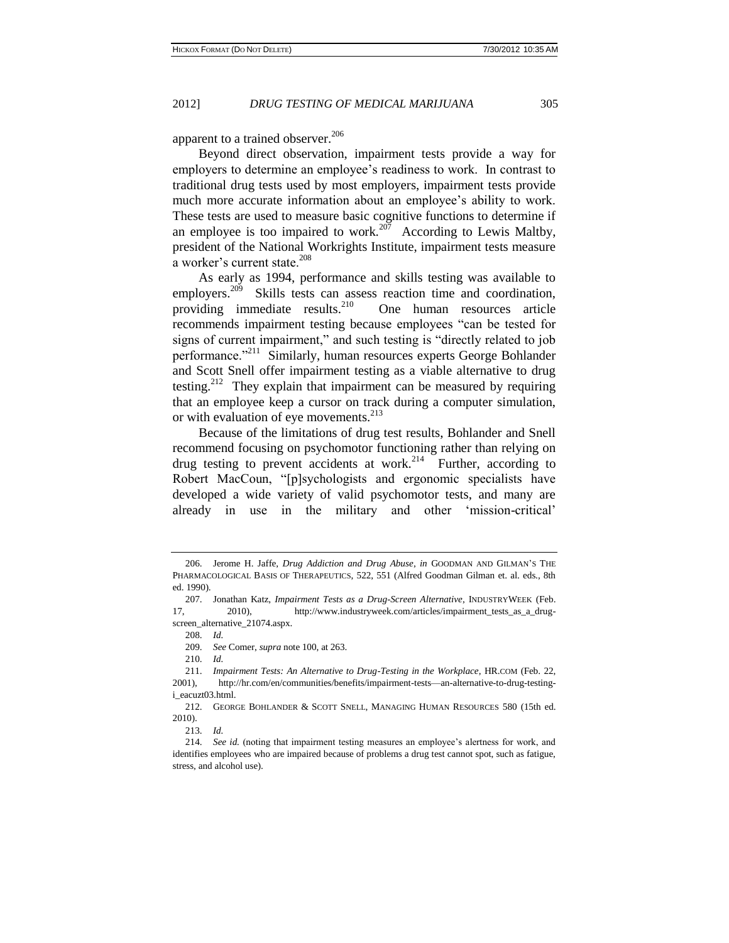apparent to a trained observer.<sup>206</sup>

Beyond direct observation, impairment tests provide a way for employers to determine an employee's readiness to work. In contrast to traditional drug tests used by most employers, impairment tests provide much more accurate information about an employee's ability to work. These tests are used to measure basic cognitive functions to determine if an employee is too impaired to work.<sup>207</sup> According to Lewis Maltby, president of the National Workrights Institute, impairment tests measure a worker's current state.<sup>208</sup>

As early as 1994, performance and skills testing was available to employers.<sup>209</sup> Skills tests can assess reaction time and coordination, providing immediate results. $^{210}$  One human resources article recommends impairment testing because employees "can be tested for signs of current impairment," and such testing is "directly related to job performance."<sup>211</sup> Similarly, human resources experts George Bohlander and Scott Snell offer impairment testing as a viable alternative to drug testing.<sup>212</sup> They explain that impairment can be measured by requiring that an employee keep a cursor on track during a computer simulation, or with evaluation of eye movements.<sup>213</sup>

Because of the limitations of drug test results, Bohlander and Snell recommend focusing on psychomotor functioning rather than relying on drug testing to prevent accidents at work.<sup>214</sup> Further, according to Robert MacCoun, "[p]sychologists and ergonomic specialists have developed a wide variety of valid psychomotor tests, and many are already in use in the military and other 'mission-critical'

208. *Id.*

209. *See* Comer, *supra* note 100, at 263.

210. *Id.*

<sup>206.</sup> Jerome H. Jaffe, *Drug Addiction and Drug Abuse*, *in* GOODMAN AND GILMAN'S THE PHARMACOLOGICAL BASIS OF THERAPEUTICS, 522, 551 (Alfred Goodman Gilman et. al. eds., 8th ed. 1990).

<sup>207.</sup> Jonathan Katz, *Impairment Tests as a Drug-Screen Alternative*, INDUSTRYWEEK (Feb. 17, 2010), http://www.industryweek.com/articles/impairment\_tests\_as\_a\_drug-

screen\_alternative\_21074.aspx.

<sup>211.</sup> *Impairment Tests: An Alternative to Drug-Testing in the Workplace*, HR.COM (Feb. 22, 2001), http://hr.com/en/communities/benefits/impairment-tests—an-alternative-to-drug-testingi\_eacuzt03.html.

<sup>212.</sup> GEORGE BOHLANDER & SCOTT SNELL, MANAGING HUMAN RESOURCES 580 (15th ed. 2010).

<sup>213.</sup> *Id.*

<sup>214.</sup> *See id.* (noting that impairment testing measures an employee's alertness for work, and identifies employees who are impaired because of problems a drug test cannot spot, such as fatigue, stress, and alcohol use).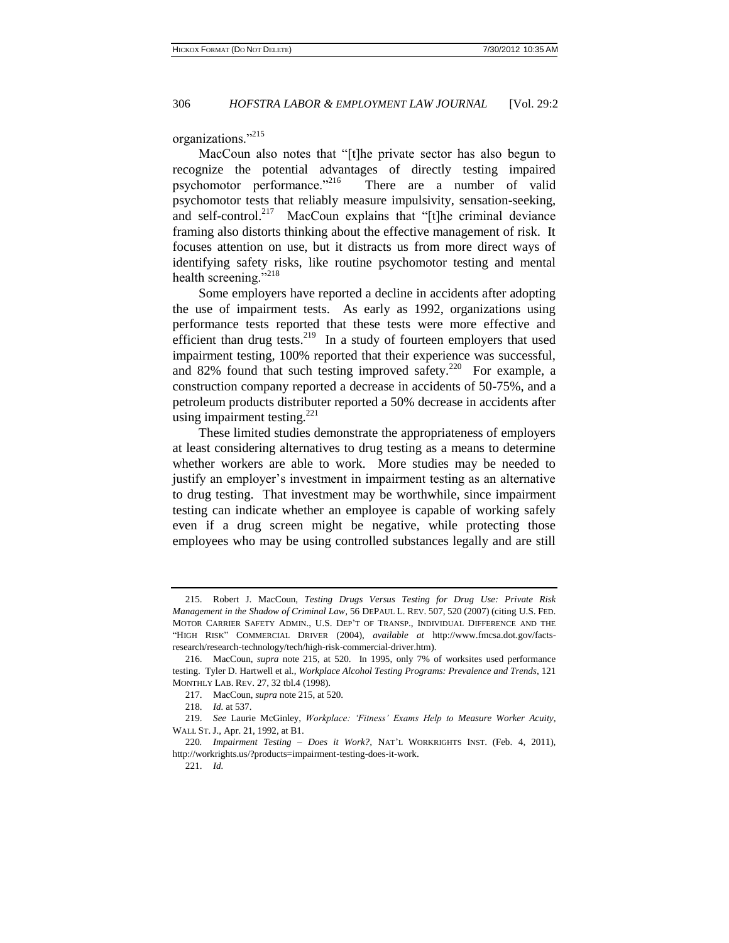organizations."<sup>215</sup>

MacCoun also notes that "[t]he private sector has also begun to recognize the potential advantages of directly testing impaired psychomotor performance."<sup>216</sup> There are a number of valid psychomotor tests that reliably measure impulsivity, sensation-seeking, and self-control.<sup>217</sup> MacCoun explains that "[t]he criminal deviance framing also distorts thinking about the effective management of risk. It focuses attention on use, but it distracts us from more direct ways of identifying safety risks, like routine psychomotor testing and mental health screening."<sup>218</sup>

Some employers have reported a decline in accidents after adopting the use of impairment tests. As early as 1992, organizations using performance tests reported that these tests were more effective and efficient than drug tests.<sup>219</sup> In a study of fourteen employers that used impairment testing, 100% reported that their experience was successful, and 82% found that such testing improved safety.<sup>220</sup> For example, a construction company reported a decrease in accidents of 50-75%, and a petroleum products distributer reported a 50% decrease in accidents after using impairment testing. $221$ 

These limited studies demonstrate the appropriateness of employers at least considering alternatives to drug testing as a means to determine whether workers are able to work. More studies may be needed to justify an employer's investment in impairment testing as an alternative to drug testing. That investment may be worthwhile, since impairment testing can indicate whether an employee is capable of working safely even if a drug screen might be negative, while protecting those employees who may be using controlled substances legally and are still

<sup>215.</sup> Robert J. MacCoun, *Testing Drugs Versus Testing for Drug Use: Private Risk Management in the Shadow of Criminal Law*, 56 DEPAUL L. REV. 507, 520 (2007) (citing U.S. FED. MOTOR CARRIER SAFETY ADMIN., U.S. DEP'T OF TRANSP., INDIVIDUAL DIFFERENCE AND THE "HIGH RISK" COMMERCIAL DRIVER (2004), *available at* http://www.fmcsa.dot.gov/factsresearch/research-technology/tech/high-risk-commercial-driver.htm).

<sup>216.</sup> MacCoun, *supra* note 215, at 520. In 1995, only 7% of worksites used performance testing. Tyler D. Hartwell et al., *Workplace Alcohol Testing Programs: Prevalence and Trends*, 121 MONTHLY LAB. REV. 27, 32 tbl.4 (1998).

<sup>217.</sup> MacCoun, *supra* note 215, at 520.

<sup>218.</sup> *Id.* at 537.

<sup>219.</sup> *See* Laurie McGinley, *Workplace: 'Fitness' Exams Help to Measure Worker Acuity*, WALL ST. J., Apr. 21, 1992, at B1.

<sup>220</sup>*. Impairment Testing – Does it Work?,* NAT'L WORKRIGHTS INST. (Feb. 4, 2011), http://workrights.us/?products=impairment-testing-does-it-work.

<sup>221.</sup> *Id.*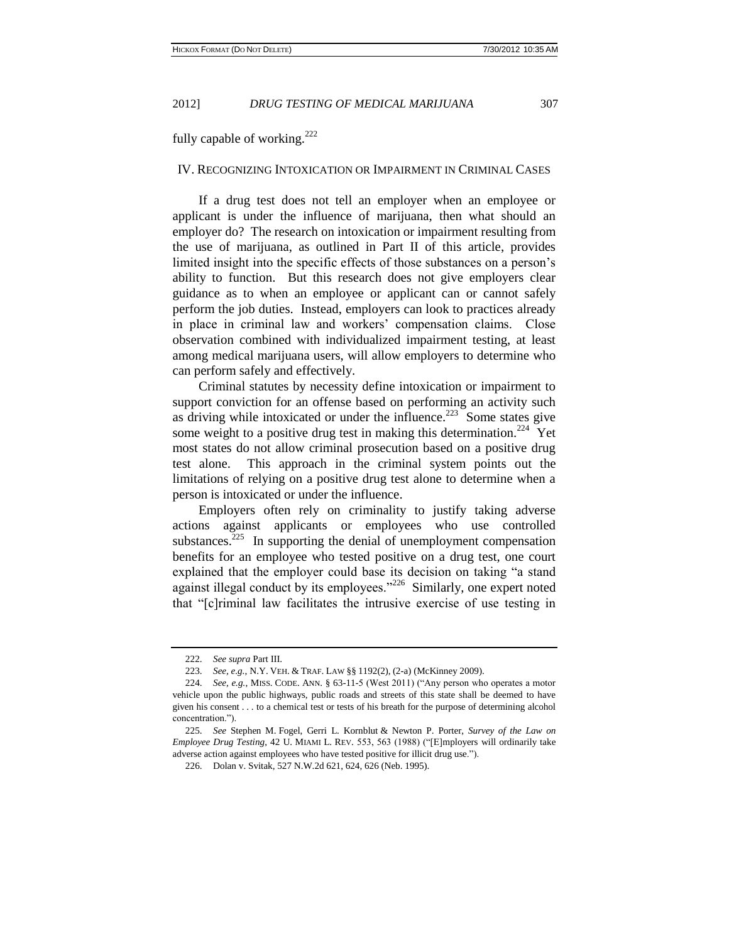fully capable of working. $^{222}$ 

# IV. RECOGNIZING INTOXICATION OR IMPAIRMENT IN CRIMINAL CASES

If a drug test does not tell an employer when an employee or applicant is under the influence of marijuana, then what should an employer do? The research on intoxication or impairment resulting from the use of marijuana, as outlined in Part II of this article, provides limited insight into the specific effects of those substances on a person's ability to function. But this research does not give employers clear guidance as to when an employee or applicant can or cannot safely perform the job duties. Instead, employers can look to practices already in place in criminal law and workers' compensation claims. Close observation combined with individualized impairment testing, at least among medical marijuana users, will allow employers to determine who can perform safely and effectively.

Criminal statutes by necessity define intoxication or impairment to support conviction for an offense based on performing an activity such as driving while intoxicated or under the influence.<sup>223</sup> Some states give some weight to a positive drug test in making this determination.<sup>224</sup> Yet most states do not allow criminal prosecution based on a positive drug test alone. This approach in the criminal system points out the limitations of relying on a positive drug test alone to determine when a person is intoxicated or under the influence.

Employers often rely on criminality to justify taking adverse actions against applicants or employees who use controlled substances. $225$  In supporting the denial of unemployment compensation benefits for an employee who tested positive on a drug test, one court explained that the employer could base its decision on taking "a stand against illegal conduct by its employees."<sup>226</sup> Similarly, one expert noted that "[c]riminal law facilitates the intrusive exercise of use testing in

<sup>222.</sup> *See supra* Part III.

<sup>223.</sup> *See, e.g.*, N.Y. VEH. & TRAF. LAW §§ 1192(2), (2-a) (McKinney 2009).

<sup>224.</sup> *See, e.g.*, MISS. CODE. ANN. § 63-11-5 (West 2011) ("Any person who operates a motor vehicle upon the public highways, public roads and streets of this state shall be deemed to have given his consent . . . to a chemical test or tests of his breath for the purpose of determining alcohol concentration.").

<sup>225.</sup> *See* Stephen M. Fogel, Gerri L. Kornblut & Newton P. Porter, *Survey of the Law on Employee Drug Testing*, 42 U. MIAMI L. REV. 553, 563 (1988) ("[E]mployers will ordinarily take adverse action against employees who have tested positive for illicit drug use.").

<sup>226.</sup> Dolan v. Svitak, 527 N.W.2d 621, 624, 626 (Neb. 1995).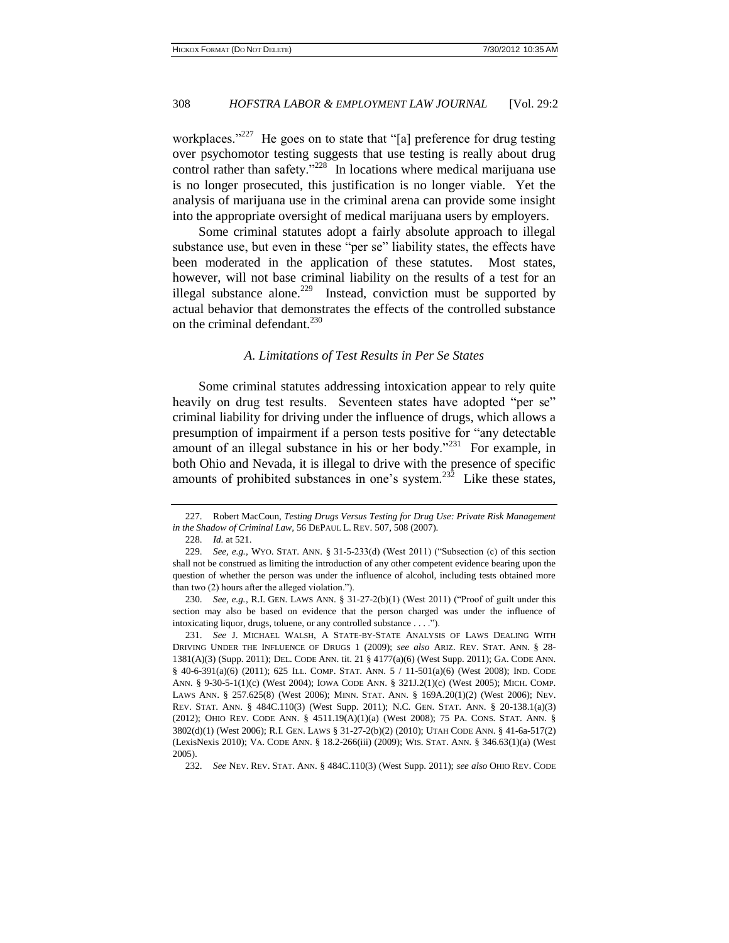workplaces."<sup>227</sup> He goes on to state that "[a] preference for drug testing over psychomotor testing suggests that use testing is really about drug control rather than safety."<sup>228</sup> In locations where medical marijuana use is no longer prosecuted, this justification is no longer viable. Yet the analysis of marijuana use in the criminal arena can provide some insight into the appropriate oversight of medical marijuana users by employers.

Some criminal statutes adopt a fairly absolute approach to illegal substance use, but even in these "per se" liability states, the effects have been moderated in the application of these statutes. Most states, however, will not base criminal liability on the results of a test for an illegal substance alone.<sup>229</sup> Instead, conviction must be supported by actual behavior that demonstrates the effects of the controlled substance on the criminal defendant.<sup>230</sup>

#### *A. Limitations of Test Results in Per Se States*

Some criminal statutes addressing intoxication appear to rely quite heavily on drug test results. Seventeen states have adopted "per se" criminal liability for driving under the influence of drugs, which allows a presumption of impairment if a person tests positive for "any detectable amount of an illegal substance in his or her body."<sup>231</sup> For example, in both Ohio and Nevada, it is illegal to drive with the presence of specific amounts of prohibited substances in one's system.<sup>232</sup> Like these states,

<sup>227.</sup> Robert MacCoun, *Testing Drugs Versus Testing for Drug Use: Private Risk Management in the Shadow of Criminal Law,* 56 DEPAUL L. REV. 507, 508 (2007).

<sup>228.</sup> *Id.* at 521.

<sup>229.</sup> *See, e.g.*, WYO. STAT. ANN. § 31-5-233(d) (West 2011) ("Subsection (c) of this section shall not be construed as limiting the introduction of any other competent evidence bearing upon the question of whether the person was under the influence of alcohol, including tests obtained more than two (2) hours after the alleged violation.").

<sup>230.</sup> *See, e.g.*, R.I. GEN. LAWS ANN. § 31-27-2(b)(1) (West 2011) ("Proof of guilt under this section may also be based on evidence that the person charged was under the influence of intoxicating liquor, drugs, toluene, or any controlled substance . . . .").

<sup>231.</sup> *See* J. MICHAEL WALSH, A STATE-BY-STATE ANALYSIS OF LAWS DEALING WITH DRIVING UNDER THE INFLUENCE OF DRUGS 1 (2009); *see also* ARIZ. REV. STAT. ANN. [§ 28-](http://www.lexisnexis.com.proxy1.cl.msu.edu/lnacui2api/mungo/lexseestat.do?bct=A&risb=21_T12177190449&homeCsi=270077&A=0.3166391066137123&urlEnc=ISO-8859-1&&citeString=AZCODE%2028-1381&countryCode=USA) [1381\(A\)\(3\)](http://www.lexisnexis.com.proxy1.cl.msu.edu/lnacui2api/mungo/lexseestat.do?bct=A&risb=21_T12177190449&homeCsi=270077&A=0.3166391066137123&urlEnc=ISO-8859-1&&citeString=AZCODE%2028-1381&countryCode=USA) (Supp. 2011); DEL. CODE ANN[. tit. 21 § 4177\(a\)\(6\)](http://www.lexisnexis.com.proxy1.cl.msu.edu/lnacui2api/mungo/lexseestat.do?bct=A&risb=21_T12177190449&homeCsi=270077&A=0.3166391066137123&urlEnc=ISO-8859-1&&citeString=21%20DECODE%204177&countryCode=USA) (West Supp. 2011); GA. C[ODE](http://www.lexisnexis.com.proxy1.cl.msu.edu/lnacui2api/mungo/lexseestat.do?bct=A&risb=21_T12177190449&homeCsi=270077&A=0.3166391066137123&urlEnc=ISO-8859-1&&citeString=GACODE%2040-6-391&countryCode=USA) ANN. [§ 40-6-391\(a\)\(6\)](http://www.lexisnexis.com.proxy1.cl.msu.edu/lnacui2api/mungo/lexseestat.do?bct=A&risb=21_T12177190449&homeCsi=270077&A=0.3166391066137123&urlEnc=ISO-8859-1&&citeString=GACODE%2040-6-391&countryCode=USA) (2011); 625 ILL. COMP. STAT. ANN. 5 / 11-501(a)(6) (West 2008); IND. CODE ANN. § 9-30-5-1(1)(c) (West 2004); IOWA CODE ANN[. § 321J.2\(1\)\(c\)](http://www.lexisnexis.com.proxy1.cl.msu.edu/lnacui2api/mungo/lexseestat.do?bct=A&risb=21_T12177190449&homeCsi=270077&A=0.3166391066137123&urlEnc=ISO-8859-1&&citeString=IACODE%20321J.2&countryCode=USA) (West 2005); MICH. C[OMP](http://www.lexisnexis.com.proxy1.cl.msu.edu/lnacui2api/mungo/lexseestat.do?bct=A&risb=21_T12177190449&homeCsi=270077&A=0.3166391066137123&urlEnc=ISO-8859-1&&citeString=MICODE%20257.625&countryCode=USA). LAWS ANN[. § 257.625\(8\)](http://www.lexisnexis.com.proxy1.cl.msu.edu/lnacui2api/mungo/lexseestat.do?bct=A&risb=21_T12177190449&homeCsi=270077&A=0.3166391066137123&urlEnc=ISO-8859-1&&citeString=MICODE%20257.625&countryCode=USA) (West 2006); MINN. STAT. ANN. [§ 169A.20\(1\)\(2\)](http://www.lexisnexis.com.proxy1.cl.msu.edu/lnacui2api/mungo/lexseestat.do?bct=A&risb=21_T12177190449&homeCsi=270077&A=0.3166391066137123&urlEnc=ISO-8859-1&&citeString=MNCODE%20169A.20&countryCode=USA) (West 2006); NEV. REV. STAT. ANN. § 484C.110(3) (West Supp. 2011); N.C. GEN. STAT. ANN[. § 20-138.1\(a\)\(3\)](http://www.lexisnexis.com.proxy1.cl.msu.edu/lnacui2api/mungo/lexseestat.do?bct=A&risb=21_T12177190449&homeCsi=270077&A=0.3166391066137123&urlEnc=ISO-8859-1&&citeString=NCCODE%2020-138.1&countryCode=USA) (2012); OHIO REV. CODE ANN[. § 4511.19\(A\)\(1\)\(a\)](http://www.lexisnexis.com.proxy1.cl.msu.edu/lnacui2api/mungo/lexseestat.do?bct=A&risb=21_T12177190449&homeCsi=270077&A=0.3166391066137123&urlEnc=ISO-8859-1&&citeString=OHCODE%204511.19&countryCode=USA) (West 2008); [75 P](http://www.lexisnexis.com.proxy1.cl.msu.edu/lnacui2api/mungo/lexseestat.do?bct=A&risb=21_T12177190449&homeCsi=270077&A=0.3166391066137123&urlEnc=ISO-8859-1&&citeString=75%20PACODE%203802&countryCode=USA)A. CONS. STAT. ANN. § [3802\(d\)\(](http://www.lexisnexis.com.proxy1.cl.msu.edu/lnacui2api/mungo/lexseestat.do?bct=A&risb=21_T12177190449&homeCsi=270077&A=0.3166391066137123&urlEnc=ISO-8859-1&&citeString=75%20PACODE%203802&countryCode=USA)1) (West 2006); R.I. GEN. LAWS [§ 31-27-2\(b\)\(2\)](http://www.lexisnexis.com.proxy1.cl.msu.edu/lnacui2api/mungo/lexseestat.do?bct=A&risb=21_T12177190449&homeCsi=270077&A=0.3166391066137123&urlEnc=ISO-8859-1&&citeString=RICODE%2031-27-2&countryCode=USA) (2010); UTAH CODE ANN[. § 41-6a-517\(2\)](http://www.lexisnexis.com.proxy1.cl.msu.edu/lnacui2api/mungo/lexseestat.do?bct=A&risb=21_T12177190449&homeCsi=270077&A=0.3166391066137123&urlEnc=ISO-8859-1&&citeString=UTCODE%2041-6A-517&countryCode=USA) (LexisNexis 2010); VA. CODE ANN[. § 18.2-266\(](http://www.lexisnexis.com.proxy1.cl.msu.edu/lnacui2api/mungo/lexseestat.do?bct=A&risb=21_T12177190449&homeCsi=270077&A=0.3166391066137123&urlEnc=ISO-8859-1&&citeString=VACODE%2018.2-266&countryCode=USA)iii) (2009); WIS. STAT. ANN[. § 346.63\(1\)\(a\)](http://www.lexisnexis.com.proxy1.cl.msu.edu/lnacui2api/mungo/lexseestat.do?bct=A&risb=21_T12177190449&homeCsi=270077&A=0.3166391066137123&urlEnc=ISO-8859-1&&citeString=WICODE%20346.63&countryCode=USA) (West 2005).

<sup>232.</sup> *See* NEV. REV. STAT. ANN. § 484C.110(3) (West Supp. 2011); *see also* OHIO REV. CODE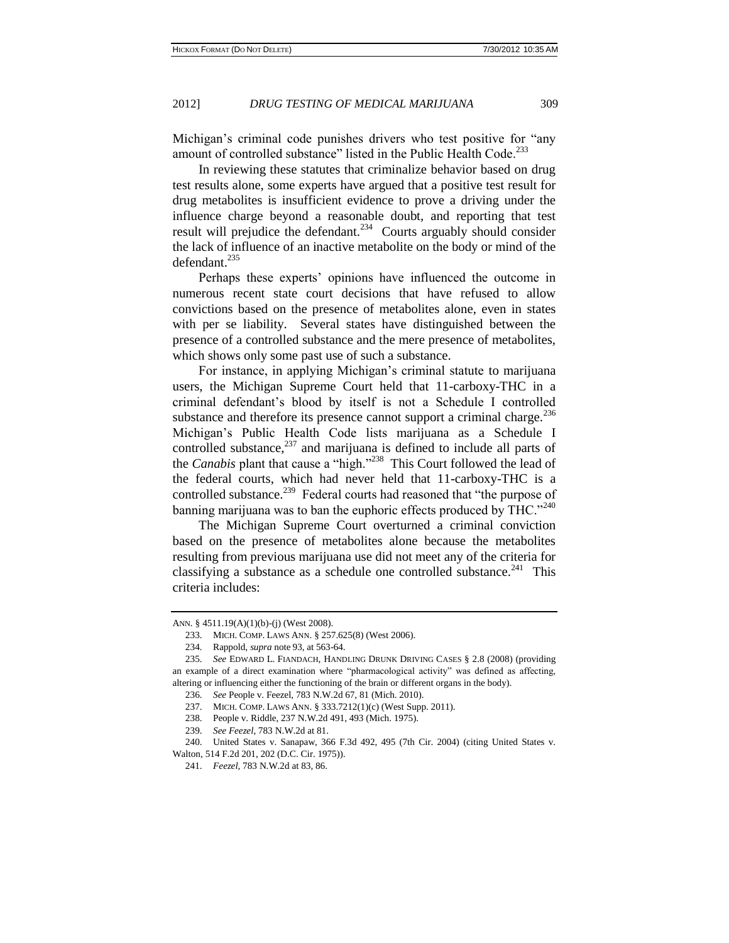Michigan's criminal code punishes drivers who test positive for "any amount of controlled substance" listed in the Public Health Code.<sup>233</sup>

In reviewing these statutes that criminalize behavior based on drug test results alone, some experts have argued that a positive test result for drug metabolites is insufficient evidence to prove a driving under the influence charge beyond a reasonable doubt, and reporting that test result will prejudice the defendant.<sup>234</sup> Courts arguably should consider the lack of influence of an inactive metabolite on the body or mind of the defendant.<sup>235</sup>

Perhaps these experts' opinions have influenced the outcome in numerous recent state court decisions that have refused to allow convictions based on the presence of metabolites alone, even in states with per se liability. Several states have distinguished between the presence of a controlled substance and the mere presence of metabolites, which shows only some past use of such a substance.

For instance, in applying Michigan's criminal statute to marijuana users, the Michigan Supreme Court held that 11-carboxy-THC in a criminal defendant's blood by itself is not a Schedule I controlled substance and therefore its presence cannot support a criminal charge. $236$ Michigan's Public Health Code lists marijuana as a Schedule I controlled substance, $^{237}$  and marijuana is defined to include all parts of the *Canabis* plant that cause a "high."<sup>238</sup> This Court followed the lead of the federal courts, which had never held that 11-carboxy-THC is a controlled substance.<sup>239</sup> Federal courts had reasoned that "the purpose of banning marijuana was to ban the euphoric effects produced by THC." $240$ 

The Michigan Supreme Court overturned a criminal conviction based on the presence of metabolites alone because the metabolites resulting from previous marijuana use did not meet any of the criteria for classifying a substance as a schedule one controlled substance.<sup>241</sup> This criteria includes:

ANN. § 4511.19(A)(1)(b)-(j) (West 2008).

<sup>233.</sup> MICH. COMP. LAWS ANN. § 257.625(8) (West 2006).

<sup>234.</sup> Rappold, *supra* note 93, at 563-64.

<sup>235.</sup> *See* EDWARD L. FIANDACH, HANDLING DRUNK DRIVING CASES § 2.8 (2008) (providing an example of a direct examination where "pharmacological activity" was defined as affecting, altering or influencing either the functioning of the brain or different organs in the body).

<sup>236.</sup> *See* People v. Feezel, 783 N.W.2d 67, 81 (Mich. 2010).

<sup>237.</sup> MICH. COMP. LAWS ANN. § 333.7212(1)(c) (West Supp. 2011).

<sup>238.</sup> People v. Riddle, 237 N.W.2d 491, 493 (Mich. 1975).

<sup>239.</sup> *See Feezel*, 783 N.W.2d at 81.

<sup>240.</sup> United States v. Sanapaw, 366 F.3d 492, 495 (7th Cir. 2004) (citing United States v. Walton, 514 F.2d 201, 202 (D.C. Cir. 1975)).

<sup>241.</sup> *Feezel*, 783 N.W.2d at 83, 86.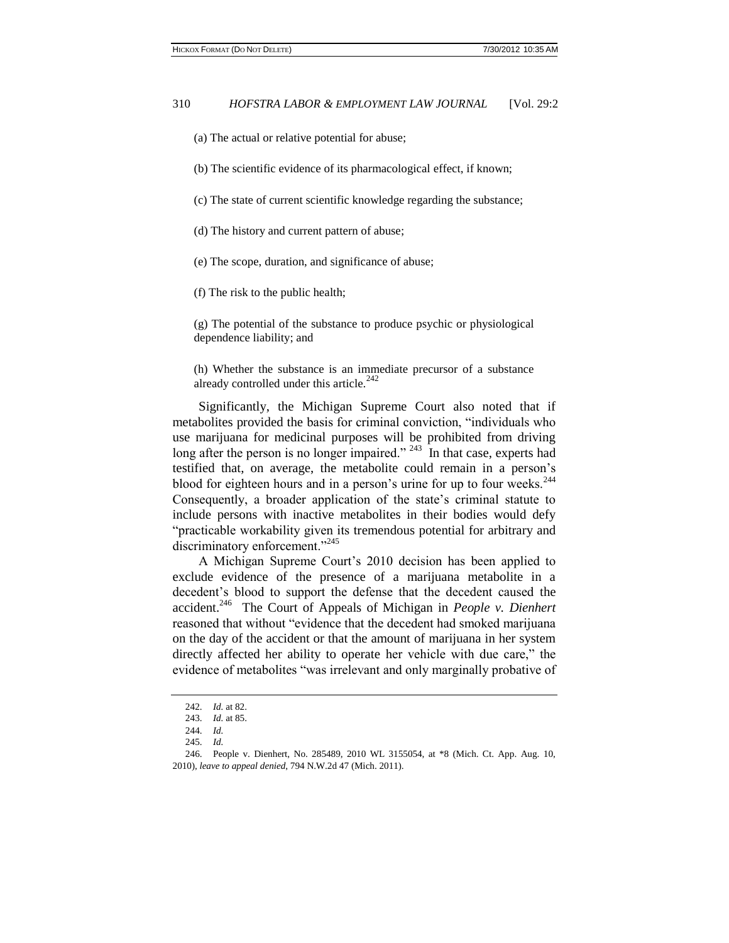- (a) The actual or relative potential for abuse;
- (b) The scientific evidence of its pharmacological effect, if known;
- (c) The state of current scientific knowledge regarding the substance;
- (d) The history and current pattern of abuse;
- (e) The scope, duration, and significance of abuse;
- (f) The risk to the public health;

(g) The potential of the substance to produce psychic or physiological dependence liability; and

(h) Whether the substance is an immediate precursor of a substance already controlled under this article.<sup>242</sup>

Significantly, the Michigan Supreme Court also noted that if metabolites provided the basis for criminal conviction, "individuals who use marijuana for medicinal purposes will be prohibited from driving long after the person is no longer impaired."  $243$  In that case, experts had testified that, on average, the metabolite could remain in a person's blood for eighteen hours and in a person's urine for up to four weeks.<sup>244</sup> Consequently, a broader application of the state's criminal statute to include persons with inactive metabolites in their bodies would defy "practicable workability given its tremendous potential for arbitrary and discriminatory enforcement."<sup>245</sup>

A Michigan Supreme Court's 2010 decision has been applied to exclude evidence of the presence of a marijuana metabolite in a decedent's blood to support the defense that the decedent caused the accident.<sup>246</sup> The Court of Appeals of Michigan in *People v. Dienhert* reasoned that without "evidence that the decedent had smoked marijuana on the day of the accident or that the amount of marijuana in her system directly affected her ability to operate her vehicle with due care," the evidence of metabolites "was irrelevant and only marginally probative of

<sup>242.</sup> *Id.* at 82.

<sup>243.</sup> *Id.* at 85.

<sup>244.</sup> *Id.*

<sup>245.</sup> *Id.*

<sup>246.</sup> People v. Dienhert, No. 285489, 2010 WL 3155054, at \*8 (Mich. Ct. App. Aug. 10, 2010), *leave to appeal denied*, 794 N.W.2d 47 (Mich. 2011).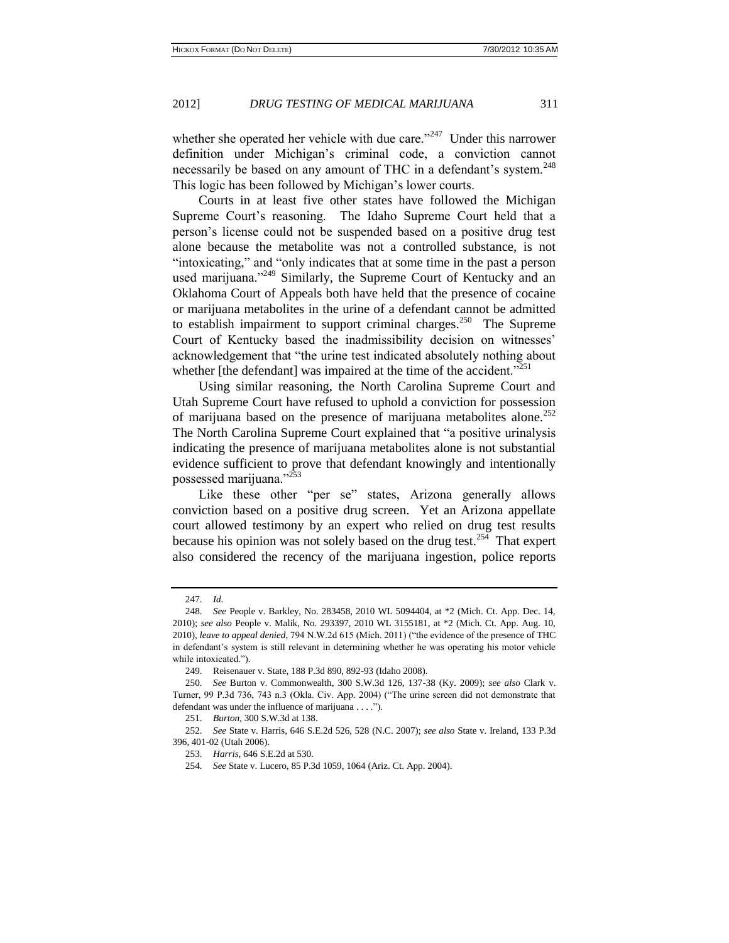whether she operated her vehicle with due care."<sup>247</sup> Under this narrower definition under Michigan's criminal code, a conviction cannot necessarily be based on any amount of THC in a defendant's system.<sup>248</sup> This logic has been followed by Michigan's lower courts.

Courts in at least five other states have followed the Michigan Supreme Court's reasoning. The Idaho Supreme Court held that a person's license could not be suspended based on a positive drug test alone because the metabolite was not a controlled substance, is not "intoxicating," and "only indicates that at some time in the past a person used marijuana."<sup>249</sup> Similarly, the Supreme Court of Kentucky and an Oklahoma Court of Appeals both have held that the presence of cocaine or marijuana metabolites in the urine of a defendant cannot be admitted to establish impairment to support criminal charges.<sup>250</sup> The Supreme Court of Kentucky based the inadmissibility decision on witnesses' acknowledgement that "the urine test indicated absolutely nothing about whether [the defendant] was impaired at the time of the accident."<sup>251</sup>

Using similar reasoning, the North Carolina Supreme Court and Utah Supreme Court have refused to uphold a conviction for possession of marijuana based on the presence of marijuana metabolites alone.<sup>252</sup> The North Carolina Supreme Court explained that "a positive urinalysis indicating the presence of marijuana metabolites alone is not substantial evidence sufficient to prove that defendant knowingly and intentionally possessed marijuana."<sup>253</sup>

Like these other "per se" states, Arizona generally allows conviction based on a positive drug screen. Yet an Arizona appellate court allowed testimony by an expert who relied on drug test results because his opinion was not solely based on the drug test.<sup>254</sup> That expert also considered the recency of the marijuana ingestion, police reports

<sup>247.</sup> *Id.*

<sup>248.</sup> *See* People v. Barkley, No. 283458, 2010 WL 5094404, at \*2 (Mich. Ct. App. Dec. 14, 2010); *see also* People v. Malik, No. 293397, 2010 WL 3155181, at \*2 (Mich. Ct. App. Aug. 10, 2010), *leave to appeal denied*, 794 N.W.2d 615 (Mich. 2011) ("the evidence of the presence of THC in defendant's system is still relevant in determining whether he was operating his motor vehicle while intoxicated.").

<sup>249.</sup> Reisenauer v. State, 188 P.3d 890, 892-93 (Idaho 2008).

<sup>250.</sup> *See* Burton v. Commonwealth, 300 S.W.3d 126, 137-38 (Ky. 2009); *see also* Clark v. Turner, 99 P.3d 736, 743 n.3 (Okla. Civ. App. 2004) ("The urine screen did not demonstrate that defendant was under the influence of marijuana . . . .").

<sup>251.</sup> *Burton*, 300 S.W.3d at 138.

<sup>252.</sup> *See* State v. Harris, 646 S.E.2d 526, 528 (N.C. 2007); *see also* State v. Ireland, 133 P.3d 396, 401-02 (Utah 2006).

<sup>253.</sup> *Harris*, 646 S.E.2d at 530.

<sup>254.</sup> *See* State v. Lucero, 85 P.3d 1059, 1064 (Ariz. Ct. App. 2004).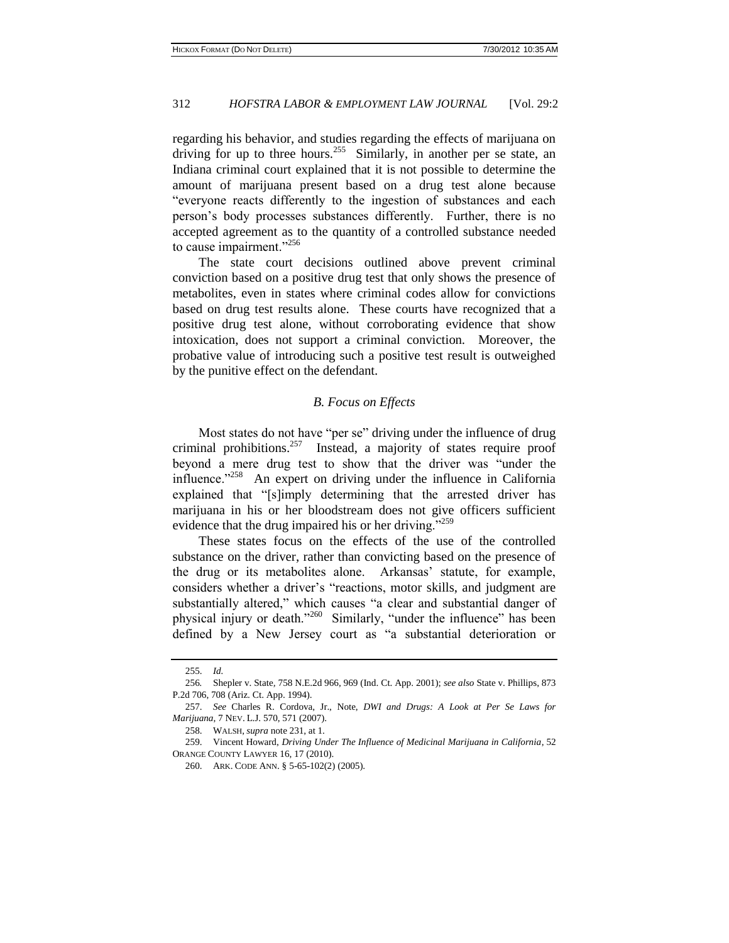regarding his behavior, and studies regarding the effects of marijuana on driving for up to three hours.<sup>255</sup> Similarly, in another per se state, an Indiana criminal court explained that it is not possible to determine the amount of marijuana present based on a drug test alone because "everyone reacts differently to the ingestion of substances and each person's body processes substances differently. Further, there is no accepted agreement as to the quantity of a controlled substance needed to cause impairment."<sup>256</sup>

The state court decisions outlined above prevent criminal conviction based on a positive drug test that only shows the presence of metabolites, even in states where criminal codes allow for convictions based on drug test results alone. These courts have recognized that a positive drug test alone, without corroborating evidence that show intoxication, does not support a criminal conviction. Moreover, the probative value of introducing such a positive test result is outweighed by the punitive effect on the defendant.

#### *B. Focus on Effects*

Most states do not have "per se" driving under the influence of drug criminal prohibitions.<sup>257</sup> Instead, a majority of states require proof beyond a mere drug test to show that the driver was "under the influence."<sup>258</sup> An expert on driving under the influence in California explained that "[s]imply determining that the arrested driver has marijuana in his or her bloodstream does not give officers sufficient evidence that the drug impaired his or her driving."<sup>259</sup>

These states focus on the effects of the use of the controlled substance on the driver, rather than convicting based on the presence of the drug or its metabolites alone. Arkansas' statute, for example, considers whether a driver's "reactions, motor skills, and judgment are substantially altered," which causes "a clear and substantial danger of physical injury or death."<sup>260</sup> Similarly, "under the influence" has been defined by a New Jersey court as "a substantial deterioration or

<sup>255.</sup> *Id.*

<sup>256</sup>*.* Shepler v. State*,* 758 N.E.2d 966, 969 (Ind. Ct. App. 2001); *see also* State v. Phillips, 873 P.2d 706, 708 (Ariz. Ct. App. 1994).

<sup>257.</sup> *See* Charles R. Cordova, Jr., Note, *DWI and Drugs: A Look at Per Se Laws for Marijuana*, 7 NEV. L.J. 570, 571 (2007).

<sup>258.</sup> WALSH, *supra* note 231, at 1.

<sup>259.</sup> Vincent Howard, *Driving Under The Influence of Medicinal Marijuana in California*, 52 ORANGE COUNTY LAWYER 16, 17 (2010).

<sup>260.</sup> ARK. CODE ANN. § 5-65-102(2) (2005).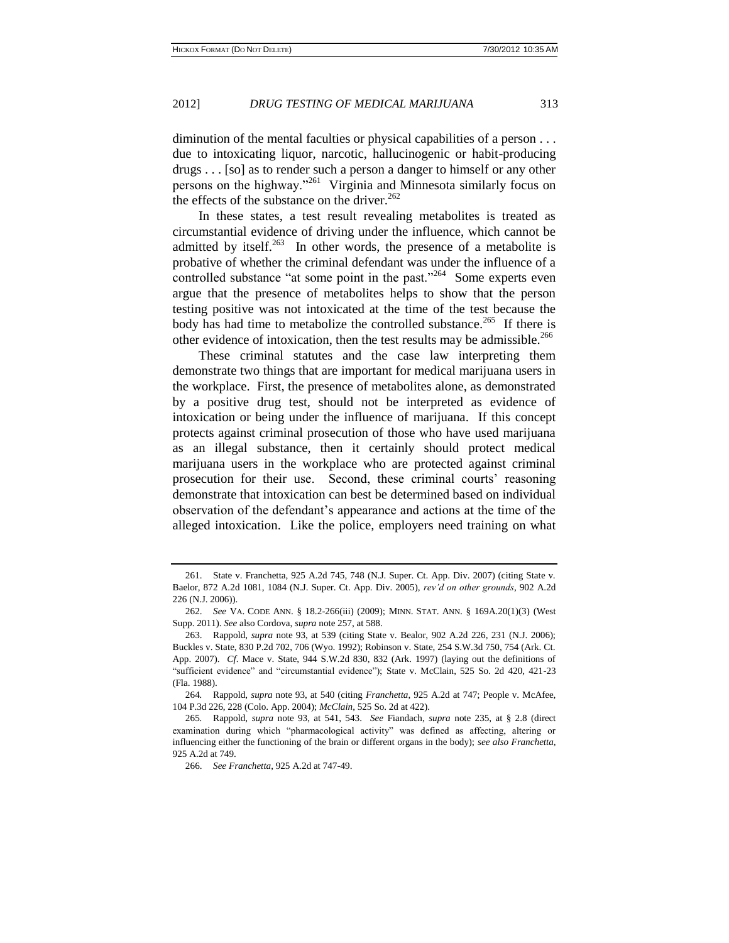diminution of the mental faculties or physical capabilities of a person . . . due to intoxicating liquor, narcotic, hallucinogenic or habit-producing drugs . . . [so] as to render such a person a danger to himself or any other persons on the highway."<sup>261</sup> Virginia and Minnesota similarly focus on the effects of the substance on the driver.<sup>262</sup>

In these states, a test result revealing metabolites is treated as circumstantial evidence of driving under the influence, which cannot be admitted by itself.<sup>263</sup> In other words, the presence of a metabolite is probative of whether the criminal defendant was under the influence of a controlled substance "at some point in the past."<sup>264</sup> Some experts even argue that the presence of metabolites helps to show that the person testing positive was not intoxicated at the time of the test because the body has had time to metabolize the controlled substance.<sup>265</sup> If there is other evidence of intoxication, then the test results may be admissible.<sup>266</sup>

These criminal statutes and the case law interpreting them demonstrate two things that are important for medical marijuana users in the workplace. First, the presence of metabolites alone, as demonstrated by a positive drug test, should not be interpreted as evidence of intoxication or being under the influence of marijuana. If this concept protects against criminal prosecution of those who have used marijuana as an illegal substance, then it certainly should protect medical marijuana users in the workplace who are protected against criminal prosecution for their use. Second, these criminal courts' reasoning demonstrate that intoxication can best be determined based on individual observation of the defendant's appearance and actions at the time of the alleged intoxication. Like the police, employers need training on what

<sup>261.</sup> State v. Franchetta, 925 A.2d 745, 748 (N.J. Super. Ct. App. Div. 2007) (citing State v. Baelor, 872 A.2d 1081, 1084 (N.J. Super. Ct. App. Div. 2005), *rev'd on other grounds*, 902 A.2d 226 (N.J. 2006)).

<sup>262.</sup> *See* VA. CODE ANN. § 18.2-266(iii) (2009); MINN. STAT. ANN[. § 169A.20\(1\)\(3\)](http://www.lexisnexis.com.proxy1.cl.msu.edu/lnacui2api/mungo/lexseestat.do?bct=A&risb=21_T12177190449&homeCsi=270077&A=0.3166391066137123&urlEnc=ISO-8859-1&&citeString=MNCODE%20169A.20&countryCode=USA) (West Supp. 2011). *See* also Cordova, *supra* note 257, at 588.

<sup>263.</sup> Rappold, *supra* note 93, at 539 (citing State v. Bealor, 902 A.2d 226, 231 (N.J. 2006); Buckles v. State, 830 P.2d 702, 706 (Wyo. 1992); Robinson v. State, 254 S.W.3d 750, 754 (Ark. Ct. App. 2007). *Cf*. Mace v. State, 944 S.W.2d 830, 832 (Ark. 1997) (laying out the definitions of "sufficient evidence" and "circumstantial evidence"); State v. McClain, 525 So. 2d 420, 421-23 (Fla. 1988).

<sup>264</sup>*.* Rappold, *supra* note 93, at 540 (citing *Franchetta*[, 925 A.2d at 747;](http://www.lexisnexis.com.proxy1.cl.msu.edu/lnacui2api/mungo/lexseestat.do?bct=A&risb=21_T12177791269&homeCsi=143889&A=0.7986090488271249&urlEnc=ISO-8859-1&&citeString=925%20A.2d%20745,at%20747&countryCode=USA) People v. McAfee, 104 P.3d 226, 228 (Colo. App. 2004); *McClain*[, 525 So. 2d at 422\).](http://www.lexisnexis.com.proxy1.cl.msu.edu/lnacui2api/mungo/lexseestat.do?bct=A&risb=21_T12177791269&homeCsi=143889&A=0.7986090488271249&urlEnc=ISO-8859-1&&citeString=525%20So.%202d%20420,at%20422&countryCode=USA)

<sup>265</sup>*.* Rappold, *supra* note 93, at 541, 543. *See* Fiandach, *supra* note 235, at § 2.8 (direct examination during which "pharmacological activity" was defined as affecting, altering or influencing either the functioning of the brain or different organs in the body); *see also Franchetta*, 925 A.2d at 749.

<sup>266.</sup> *See Franchetta*, 925 A.2d at 747-49.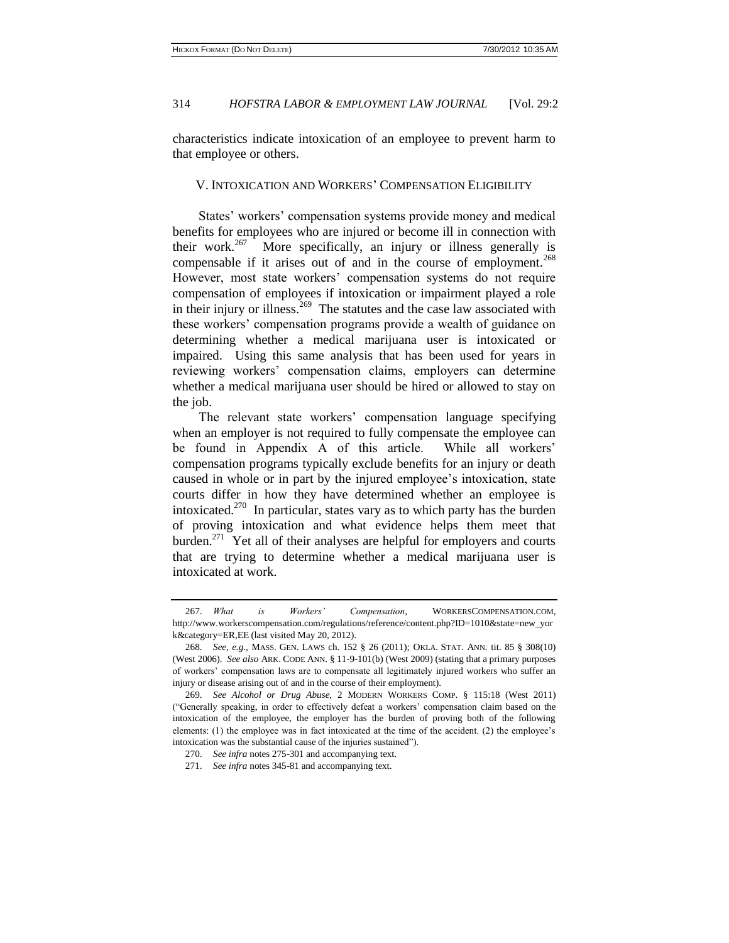characteristics indicate intoxication of an employee to prevent harm to that employee or others.

#### V. INTOXICATION AND WORKERS' COMPENSATION ELIGIBILITY

States' workers' compensation systems provide money and medical benefits for employees who are injured or become ill in connection with their work.<sup>267</sup> More specifically, an injury or illness generally is compensable if it arises out of and in the course of employment.<sup>268</sup> However, most state workers' compensation systems do not require compensation of employees if intoxication or impairment played a role in their injury or illness.<sup>269</sup> The statutes and the case law associated with these workers' compensation programs provide a wealth of guidance on determining whether a medical marijuana user is intoxicated or impaired. Using this same analysis that has been used for years in reviewing workers' compensation claims, employers can determine whether a medical marijuana user should be hired or allowed to stay on the job.

The relevant state workers' compensation language specifying when an employer is not required to fully compensate the employee can be found in Appendix A of this article. While all workers' compensation programs typically exclude benefits for an injury or death caused in whole or in part by the injured employee's intoxication, state courts differ in how they have determined whether an employee is intoxicated.<sup>270</sup> In particular, states vary as to which party has the burden of proving intoxication and what evidence helps them meet that burden.<sup>271</sup> Yet all of their analyses are helpful for employers and courts that are trying to determine whether a medical marijuana user is intoxicated at work.

<sup>267.</sup> *What is Workers' Compensation*, WORKERSCOMPENSATION.COM, http://www.workerscompensation.com/regulations/reference/content.php?ID=1010&state=new\_yor k&category=ER,EE (last visited May 20, 2012).

<sup>268.</sup> *See, e.g.*, MASS. GEN. LAWS ch. 152 § 26 (2011); OKLA. STAT. ANN. tit. 85 § 308(10) (West 2006). *See also* ARK. CODE ANN. § 11-9-101(b) (West 2009) (stating that a primary purposes of workers' compensation laws are to compensate all legitimately injured workers who suffer an injury or disease arising out of and in the course of their employment).

<sup>269.</sup> *See Alcohol or Drug Abuse,* 2 MODERN WORKERS COMP. § 115:18 (West 2011) ("Generally speaking, in order to effectively defeat a workers' compensation claim based on the intoxication of the employee, the employer has the burden of proving both of the following elements: (1) the employee was in fact intoxicated at the time of the accident. (2) the employee's intoxication was the substantial cause of the injuries sustained").

<sup>270.</sup> *See infra* notes 275-301 and accompanying text.

<sup>271.</sup> *See infra* notes 345-81 and accompanying text.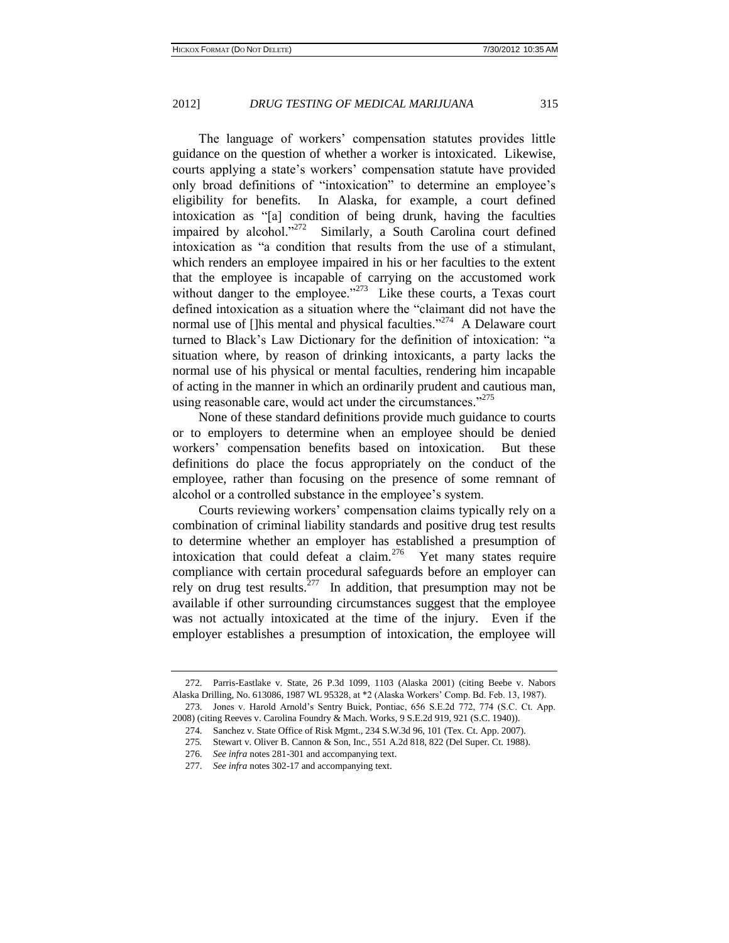The language of workers' compensation statutes provides little guidance on the question of whether a worker is intoxicated. Likewise, courts applying a state's workers' compensation statute have provided only broad definitions of "intoxication" to determine an employee's eligibility for benefits. In Alaska, for example, a court defined intoxication as "[a] condition of being drunk, having the faculties impaired by alcohol."<sup>272</sup> Similarly, a South Carolina court defined intoxication as "a condition that results from the use of a stimulant, which renders an employee impaired in his or her faculties to the extent that the employee is incapable of carrying on the accustomed work without danger to the employee."<sup> $273$ </sup> Like these courts, a Texas court defined intoxication as a situation where the "claimant did not have the normal use of [Jhis mental and physical faculties."<sup>274</sup> A Delaware court turned to Black's Law Dictionary for the definition of intoxication: "a situation where, by reason of drinking intoxicants, a party lacks the normal use of his physical or mental faculties, rendering him incapable of acting in the manner in which an ordinarily prudent and cautious man, using reasonable care, would act under the circumstances."<sup>275</sup>

None of these standard definitions provide much guidance to courts or to employers to determine when an employee should be denied workers' compensation benefits based on intoxication. But these definitions do place the focus appropriately on the conduct of the employee, rather than focusing on the presence of some remnant of alcohol or a controlled substance in the employee's system.

Courts reviewing workers' compensation claims typically rely on a combination of criminal liability standards and positive drug test results to determine whether an employer has established a presumption of intoxication that could defeat a claim.<sup>276</sup> Yet many states require compliance with certain procedural safeguards before an employer can rely on drug test results. $277$  In addition, that presumption may not be available if other surrounding circumstances suggest that the employee was not actually intoxicated at the time of the injury. Even if the employer establishes a presumption of intoxication, the employee will

<sup>272.</sup> Parris-Eastlake v. State, 26 P.3d 1099, 1103 (Alaska 2001) (citing Beebe v. Nabors Alaska Drilling, No. 613086, 1987 WL 95328, at \*2 (Alaska Workers' Comp. Bd. Feb. 13, 1987).

<sup>273.</sup> Jones v. Harold Arnold's Sentry Buick, Pontiac, 656 S.E.2d 772, 774 (S.C. Ct. App. 2008) (citing Reeves v. Carolina Foundry & Mach. Works, 9 S.E.2d 919, 921 (S.C. 1940)).

<sup>274.</sup> Sanchez v. State Office of Risk Mgmt., 234 S.W.3d 96, 101 (Tex. Ct. App. 2007).

<sup>275</sup>*.* Stewart v. Oliver B. Cannon & Son, Inc., 551 A.2d 818, 822 (Del Super. Ct. 1988).

<sup>276.</sup> *See infra* notes 281-301 and accompanying text.

<sup>277.</sup> *See infra* notes 302-17 and accompanying text.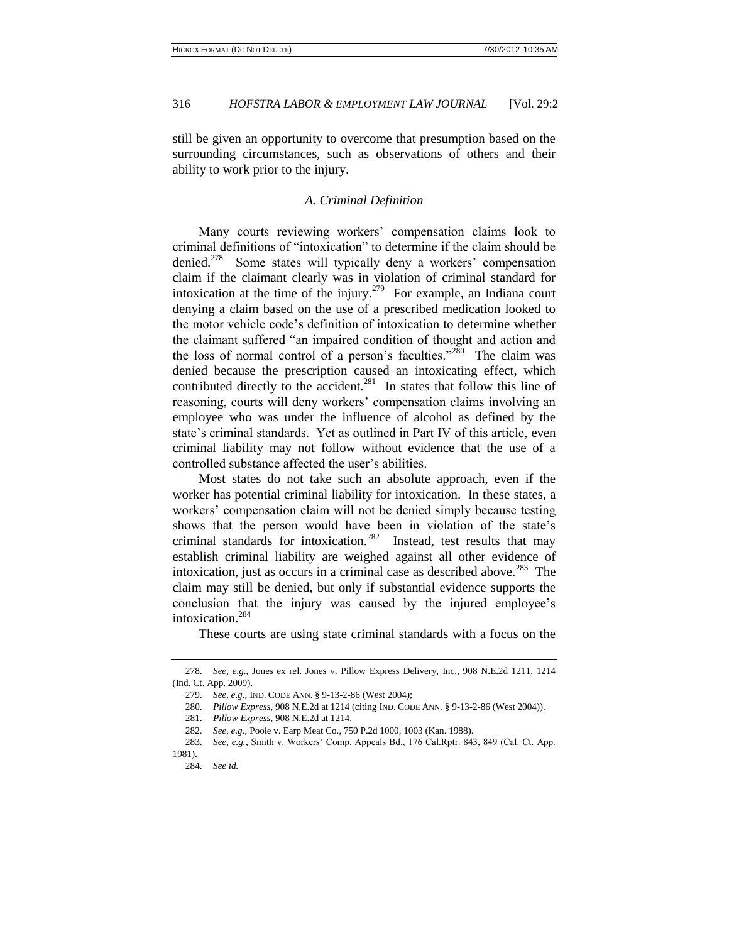still be given an opportunity to overcome that presumption based on the surrounding circumstances, such as observations of others and their ability to work prior to the injury.

#### *A. Criminal Definition*

Many courts reviewing workers' compensation claims look to criminal definitions of "intoxication" to determine if the claim should be denied.<sup>278</sup> Some states will typically deny a workers' compensation claim if the claimant clearly was in violation of criminal standard for intoxication at the time of the injury.<sup>279</sup> For example, an Indiana court denying a claim based on the use of a prescribed medication looked to the motor vehicle code's definition of intoxication to determine whether the claimant suffered "an impaired condition of thought and action and the loss of normal control of a person's faculties."<sup>280</sup> The claim was denied because the prescription caused an intoxicating effect, which contributed directly to the accident.<sup>281</sup> In states that follow this line of reasoning, courts will deny workers' compensation claims involving an employee who was under the influence of alcohol as defined by the state's criminal standards. Yet as outlined in Part IV of this article, even criminal liability may not follow without evidence that the use of a controlled substance affected the user's abilities.

Most states do not take such an absolute approach, even if the worker has potential criminal liability for intoxication. In these states, a workers' compensation claim will not be denied simply because testing shows that the person would have been in violation of the state's criminal standards for intoxication.<sup>282</sup> Instead, test results that may establish criminal liability are weighed against all other evidence of intoxication, just as occurs in a criminal case as described above.<sup>283</sup> The claim may still be denied, but only if substantial evidence supports the conclusion that the injury was caused by the injured employee's intoxication.<sup>284</sup>

These courts are using state criminal standards with a focus on the

<sup>278.</sup> *See, e.g.*, Jones ex rel. Jones v. Pillow Express Delivery, Inc., 908 N.E.2d 1211, 1214 (Ind. Ct. App. 2009).

<sup>279.</sup> *See, e.g.*, IND. CODE ANN. § 9-13-2-86 (West 2004);

<sup>280.</sup> *Pillow Express*, 908 N.E.2d at 1214 (citing IND. CODE ANN. § 9-13-2-86 (West 2004)).

<sup>281.</sup> *Pillow Express*, 908 N.E.2d at 1214.

<sup>282.</sup> *See, e.g.*, Poole v. Earp Meat Co., 750 P.2d 1000, 1003 (Kan. 1988).

<sup>283.</sup> *See, e.g.*, Smith v. Workers' Comp. Appeals Bd., 176 Cal.Rptr. 843, 849 (Cal. Ct. App. 1981).

<sup>284.</sup> *See id.*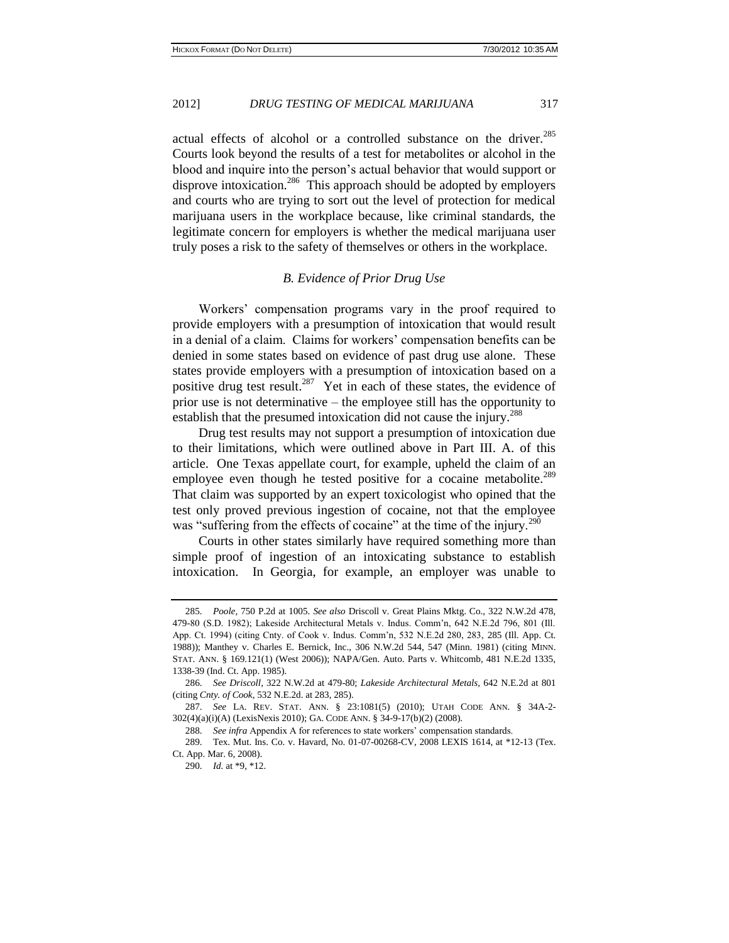actual effects of alcohol or a controlled substance on the driver.<sup>285</sup> Courts look beyond the results of a test for metabolites or alcohol in the blood and inquire into the person's actual behavior that would support or disprove intoxication.<sup>286</sup> This approach should be adopted by employers and courts who are trying to sort out the level of protection for medical marijuana users in the workplace because, like criminal standards, the legitimate concern for employers is whether the medical marijuana user truly poses a risk to the safety of themselves or others in the workplace.

#### *B. Evidence of Prior Drug Use*

Workers' compensation programs vary in the proof required to provide employers with a presumption of intoxication that would result in a denial of a claim. Claims for workers' compensation benefits can be denied in some states based on evidence of past drug use alone. These states provide employers with a presumption of intoxication based on a positive drug test result.<sup>287</sup> Yet in each of these states, the evidence of prior use is not determinative – the employee still has the opportunity to establish that the presumed intoxication did not cause the injury.<sup>288</sup>

Drug test results may not support a presumption of intoxication due to their limitations, which were outlined above in Part III. A. of this article. One Texas appellate court, for example, upheld the claim of an employee even though he tested positive for a cocaine metabolite.<sup>289</sup> That claim was supported by an expert toxicologist who opined that the test only proved previous ingestion of cocaine, not that the employee was "suffering from the effects of cocaine" at the time of the injury.<sup>290</sup>

Courts in other states similarly have required something more than simple proof of ingestion of an intoxicating substance to establish intoxication. In Georgia, for example, an employer was unable to

<sup>285.</sup> *Poole,* 750 P.2d at 1005. *See also* Driscoll v. Great Plains Mktg. Co., 322 N.W.2d 478, 479-80 (S.D. 1982); Lakeside Architectural Metals v. Indus. Comm'n, 642 N.E.2d 796, 801 (Ill. App. Ct. 1994) (citing Cnty. of Cook v. Indus. Comm'n, 532 N.E.2d 280, 283, 285 (Ill. App. Ct. 1988)); Manthey v. Charles E. Bernick, Inc., 306 N.W.2d 544, 547 (Minn. 1981) (citing [M](http://www.lexisnexis.com.proxy1.cl.msu.edu/lnacui2api/mungo/lexseestat.do?bct=A&risb=21_T12125728165&homeCsi=7841&A=0.9934112520225237&urlEnc=ISO-8859-1&&citeString=MINN.%20STAT.%20169.121&countryCode=USA)INN. STAT. ANN. [§ 169.121\(1\)](http://www.lexisnexis.com.proxy1.cl.msu.edu/lnacui2api/mungo/lexseestat.do?bct=A&risb=21_T12125728165&homeCsi=7841&A=0.9934112520225237&urlEnc=ISO-8859-1&&citeString=MINN.%20STAT.%20169.121&countryCode=USA) (West 2006)); [NAPA/Gen. Auto. Parts v. Whitcomb, 481 N.E.2d 1335,](http://www.lexisnexis.com.proxy2.cl.msu.edu/lnacui2api/mungo/lexseestat.do?bct=A&risb=21_T11853255437&homeCsi=6718&A=0.489848789127317&urlEnc=ISO-8859-1&&citeString=481%20N.E.2d%201335&countryCode=USA)  [1338-39 \(Ind. Ct. App. 1985\).](http://www.lexisnexis.com.proxy2.cl.msu.edu/lnacui2api/mungo/lexseestat.do?bct=A&risb=21_T11853255437&homeCsi=6718&A=0.489848789127317&urlEnc=ISO-8859-1&&citeString=481%20N.E.2d%201335&countryCode=USA)

<sup>286.</sup> *See Driscoll*, 322 N.W.2d at 479-80; *Lakeside Architectural Metals,* 642 N.E.2d at 801 (citing *Cnty. of Cook*, 532 N.E.2d. at 283, 285).

<sup>287.</sup> *See* LA. REV. STAT. ANN. § 23:1081(5) (2010); UTAH CODE ANN. § 34A-2- 302(4)(a)(i)(A) (LexisNexis 2010); GA. CODE ANN. § 34-9-17(b)(2) (2008).

<sup>288.</sup> *See infra* Appendix A for references to state workers' compensation standards.

<sup>289.</sup> Tex. Mut. Ins. Co. v. Havard, No. 01-07-00268-CV, 2008 LEXIS 1614, at \*12-13 (Tex. Ct. App. Mar. 6, 2008).

<sup>290.</sup> *Id.* at \*9, \*12.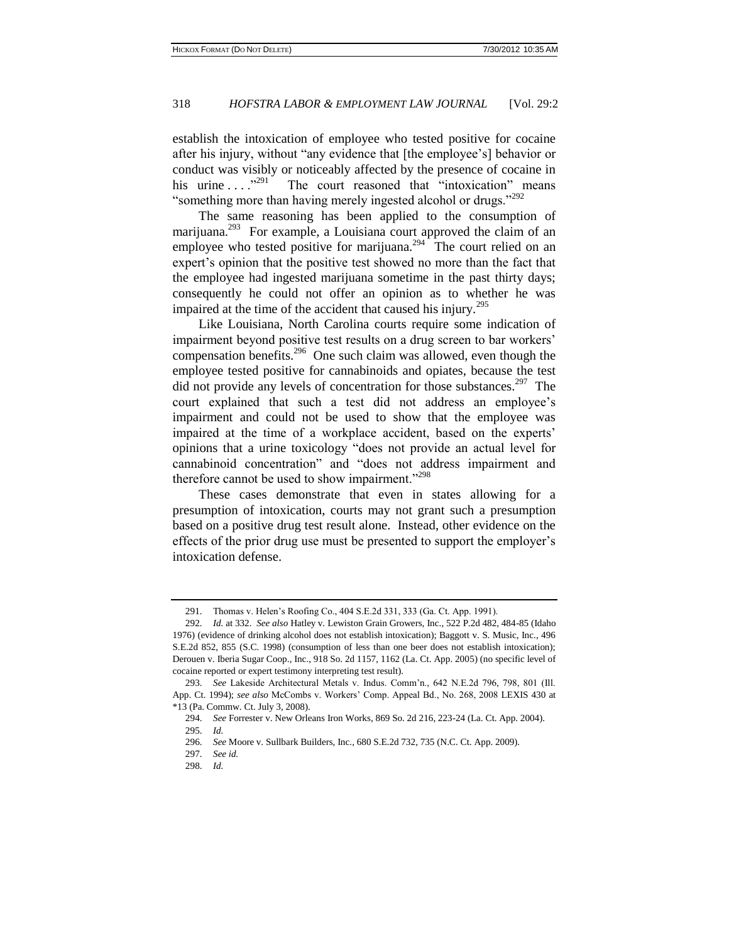establish the intoxication of employee who tested positive for cocaine after his injury, without "any evidence that [the employee's] behavior or conduct was visibly or noticeably affected by the presence of cocaine in his urine  $\ldots$  .  $^{3291}$  The court reasoned that "intoxication" means "something more than having merely ingested alcohol or drugs."<sup>292</sup>

The same reasoning has been applied to the consumption of marijuana.<sup>293</sup> For example, a Louisiana court approved the claim of an employee who tested positive for marijuana.<sup>294</sup> The court relied on an expert's opinion that the positive test showed no more than the fact that the employee had ingested marijuana sometime in the past thirty days; consequently he could not offer an opinion as to whether he was impaired at the time of the accident that caused his injury.<sup>295</sup>

Like Louisiana, North Carolina courts require some indication of impairment beyond positive test results on a drug screen to bar workers' compensation benefits.<sup>296</sup> One such claim was allowed, even though the employee tested positive for cannabinoids and opiates, because the test did not provide any levels of concentration for those substances.<sup>297</sup> The court explained that such a test did not address an employee's impairment and could not be used to show that the employee was impaired at the time of a workplace accident, based on the experts' opinions that a urine toxicology "does not provide an actual level for cannabinoid concentration" and "does not address impairment and therefore cannot be used to show impairment."<sup>298</sup>

These cases demonstrate that even in states allowing for a presumption of intoxication, courts may not grant such a presumption based on a positive drug test result alone. Instead, other evidence on the effects of the prior drug use must be presented to support the employer's intoxication defense.

<sup>291.</sup> Thomas v. Helen's Roofing Co., 404 S.E.2d 331, 333 (Ga. Ct. App. 1991).

<sup>292.</sup> *Id.* at 332. *See also* Hatley v. Lewiston Grain Growers, Inc., 522 P.2d 482, 484-85 (Idaho 1976) (evidence of drinking alcohol does not establish intoxication); Baggott v. S. Music, Inc., 496 S.E.2d 852, 855 (S.C. 1998) (consumption of less than one beer does not establish intoxication); Derouen v. Iberia Sugar Coop., Inc., 918 So. 2d 1157, 1162 (La. Ct. App. 2005) (no specific level of cocaine reported or expert testimony interpreting test result).

<sup>293.</sup> *See* Lakeside Architectural Metals v. Indus. Comm'n., 642 N.E.2d 796, 798, 801 (Ill. App. Ct. 1994); *see also* McCombs v. Workers' Comp. Appeal Bd., No. 268, 2008 LEXIS 430 at \*13 (Pa. Commw. Ct. July 3, 2008).

<sup>294.</sup> *See* Forrester v. New Orleans Iron Works, 869 So. 2d 216, 223-24 (La. Ct. App. 2004).

<sup>295.</sup> *Id.*

<sup>296.</sup> *See* Moore v. Sullbark Builders, Inc., 680 S.E.2d 732, 735 (N.C. Ct. App. 2009).

<sup>297.</sup> *See id.*

<sup>298.</sup> *Id.*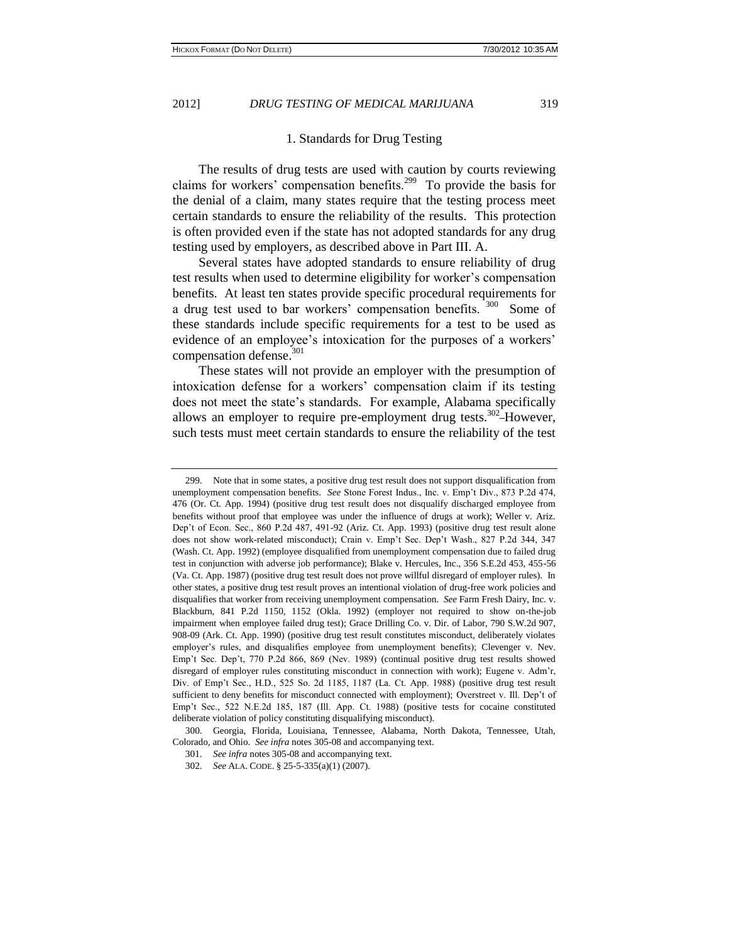#### 1. Standards for Drug Testing

The results of drug tests are used with caution by courts reviewing claims for workers' compensation benefits.<sup>299</sup> To provide the basis for the denial of a claim, many states require that the testing process meet certain standards to ensure the reliability of the results. This protection is often provided even if the state has not adopted standards for any drug testing used by employers, as described above in Part III. A.

Several states have adopted standards to ensure reliability of drug test results when used to determine eligibility for worker's compensation benefits. At least ten states provide specific procedural requirements for a drug test used to bar workers' compensation benefits. <sup>300</sup> Some of these standards include specific requirements for a test to be used as evidence of an employee's intoxication for the purposes of a workers' compensation defense.<sup>301</sup>

These states will not provide an employer with the presumption of intoxication defense for a workers' compensation claim if its testing does not meet the state's standards. For example, Alabama specifically allows an employer to require pre-employment drug tests.<sup>302</sup>-However, such tests must meet certain standards to ensure the reliability of the test

<sup>299.</sup> Note that in some states, a positive drug test result does not support disqualification from unemployment compensation benefits. *See* Stone Forest Indus., Inc. v. Emp't Div., 873 P.2d 474, 476 (Or. Ct. App. 1994) (positive drug test result does not disqualify discharged employee from benefits without proof that employee was under the influence of drugs at work); Weller v. Ariz. Dep't of Econ. Sec., 860 P.2d 487, 491-92 (Ariz. Ct. App. 1993) (positive drug test result alone does not show work-related misconduct); Crain v. Emp't Sec. Dep't Wash., 827 P.2d 344, 347 (Wash. Ct. App. 1992) (employee disqualified from unemployment compensation due to failed drug test in conjunction with adverse job performance); Blake v. Hercules, Inc., 356 S.E.2d 453, 455-56 (Va. Ct. App. 1987) (positive drug test result does not prove willful disregard of employer rules). In other states, a positive drug test result proves an intentional violation of drug-free work policies and disqualifies that worker from receiving unemployment compensation. *See* Farm Fresh Dairy, Inc. v. Blackburn, 841 P.2d 1150, 1152 (Okla. 1992) (employer not required to show on-the-job impairment when employee failed drug test); [Grace Drilling Co. v. Dir. of Labor, 790 S.W.2d 907,](http://www.lexisnexis.com.proxy2.cl.msu.edu/lnacui2api/mungo/lexseestat.do?bct=A&risb=21_T12829665476&homeCsi=6496&A=0.14546470720779847&urlEnc=ISO-8859-1&&citeString=31%20Ark.%20App.%2081&countryCode=USA)  [908-09 \(Ark. Ct. App. 1990\)](http://www.lexisnexis.com.proxy2.cl.msu.edu/lnacui2api/mungo/lexseestat.do?bct=A&risb=21_T12829665476&homeCsi=6496&A=0.14546470720779847&urlEnc=ISO-8859-1&&citeString=31%20Ark.%20App.%2081&countryCode=USA) (positive drug test result constitutes misconduct, deliberately violates employer's rules, and disqualifies employee from unemployment benefits); [Clevenger v. Nev.](http://www.lexisnexis.com.proxy2.cl.msu.edu/lnacui2api/mungo/lexseestat.do?bct=A&risb=21_T12829665476&homeCsi=6496&A=0.14546470720779847&urlEnc=ISO-8859-1&&citeString=105%20Nev.%20145&countryCode=USA)  [Emp't Sec. Dep't, 770 P.2d 866, 869 \(Nev. 1989\)](http://www.lexisnexis.com.proxy2.cl.msu.edu/lnacui2api/mungo/lexseestat.do?bct=A&risb=21_T12829665476&homeCsi=6496&A=0.14546470720779847&urlEnc=ISO-8859-1&&citeString=105%20Nev.%20145&countryCode=USA) (continual positive drug test results showed disregard of employer rules constituting misconduct in connection with work); [Eugene v. Adm'r,](http://www.lexisnexis.com.proxy2.cl.msu.edu/lnacui2api/mungo/lexseestat.do?bct=A&risb=21_T12829665476&homeCsi=6496&A=0.14546470720779847&urlEnc=ISO-8859-1&&citeString=525%20So.%202d%201185&countryCode=USA)  [Div. of Emp't Sec., H.D., 525 So. 2d 1185, 1187 \(La. Ct. App. 1988\)](http://www.lexisnexis.com.proxy2.cl.msu.edu/lnacui2api/mungo/lexseestat.do?bct=A&risb=21_T12829665476&homeCsi=6496&A=0.14546470720779847&urlEnc=ISO-8859-1&&citeString=525%20So.%202d%201185&countryCode=USA) (positive drug test result sufficient to deny benefits for misconduct connected with employment); [Overstreet v. Ill. Dep't of](http://www.lexisnexis.com.proxy2.cl.msu.edu/lnacui2api/mungo/lexseestat.do?bct=A&risb=21_T12829665476&homeCsi=6496&A=0.14546470720779847&urlEnc=ISO-8859-1&&citeString=168%20Ill.%20App.%203d%2024&countryCode=USA)  [Emp't Sec., 522 N.E.2d 185, 187 \(Ill. App. Ct. 1988\)](http://www.lexisnexis.com.proxy2.cl.msu.edu/lnacui2api/mungo/lexseestat.do?bct=A&risb=21_T12829665476&homeCsi=6496&A=0.14546470720779847&urlEnc=ISO-8859-1&&citeString=168%20Ill.%20App.%203d%2024&countryCode=USA) (positive tests for cocaine constituted deliberate violation of policy constituting disqualifying misconduct).

<sup>300.</sup> Georgia, Florida, Louisiana, Tennessee, Alabama, North Dakota, Tennessee, Utah, Colorado, and Ohio. *See infra* notes 305-08 and accompanying text.

<sup>301.</sup> *See infra* notes 305-08 and accompanying text.

<sup>302.</sup> *See* ALA. CODE. § 25-5-335(a)(1) (2007).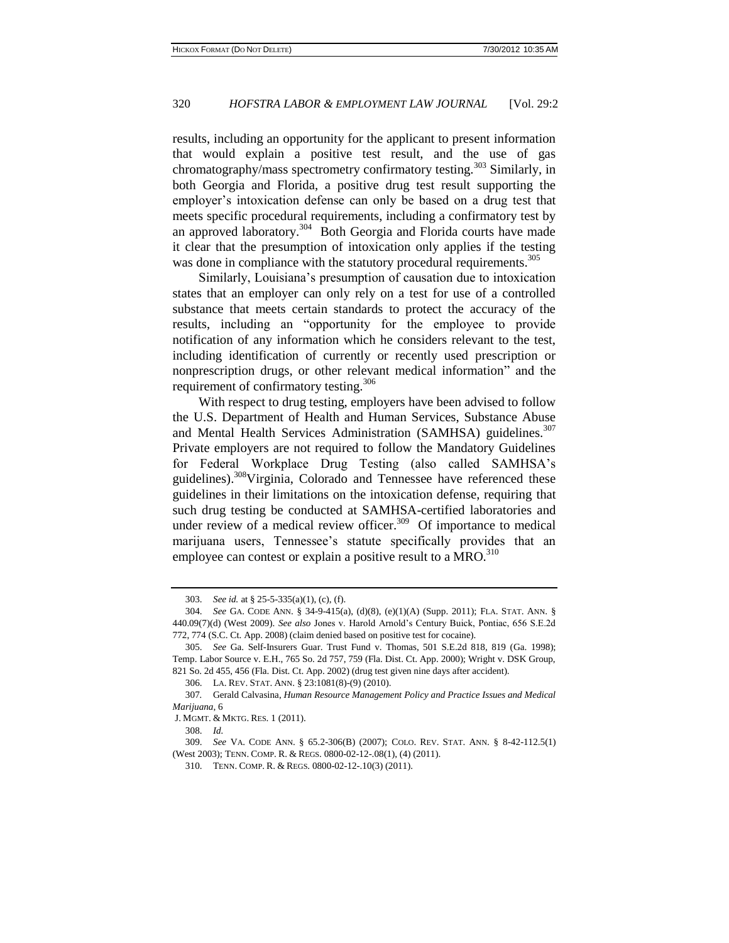results, including an opportunity for the applicant to present information that would explain a positive test result, and the use of gas chromatography/mass spectrometry confirmatory testing.<sup>303</sup> Similarly, in both Georgia and Florida, a positive drug test result supporting the employer's intoxication defense can only be based on a drug test that meets specific procedural requirements, including a confirmatory test by an approved laboratory.<sup>304</sup> Both Georgia and Florida courts have made it clear that the presumption of intoxication only applies if the testing was done in compliance with the statutory procedural requirements.<sup>305</sup>

Similarly, Louisiana's presumption of causation due to intoxication states that an employer can only rely on a test for use of a controlled substance that meets certain standards to protect the accuracy of the results, including an "opportunity for the employee to provide notification of any information which he considers relevant to the test, including identification of currently or recently used prescription or nonprescription drugs, or other relevant medical information" and the requirement of confirmatory testing.<sup>306</sup>

With respect to drug testing, employers have been advised to follow the U.S. Department of Health and Human Services, Substance Abuse and Mental Health Services Administration (SAMHSA) guidelines.<sup>307</sup> Private employers are not required to follow the Mandatory Guidelines for Federal Workplace Drug Testing (also called SAMHSA's guidelines).<sup>308</sup>Virginia, Colorado and Tennessee have referenced these guidelines in their limitations on the intoxication defense, requiring that such drug testing be conducted at SAMHSA-certified laboratories and under review of a medical review officer.<sup>309</sup> Of importance to medical marijuana users, Tennessee's statute specifically provides that an employee can contest or explain a positive result to a MRO.<sup>310</sup>

<sup>303.</sup> *See id.* at § 25-5-335(a)(1), (c), (f).

<sup>304.</sup> *See* GA. CODE ANN. § 34-9-415(a), (d)(8), (e)(1)(A) (Supp. 2011); FLA. STAT. ANN. § 440.09(7)(d) (West 2009). *See also* Jones v. Harold Arnold's Century Buick, Pontiac, 656 S.E.2d 772, 774 (S.C. Ct. App. 2008) (claim denied based on positive test for cocaine).

<sup>305.</sup> *See* Ga. Self-Insurers Guar. Trust Fund v. Thomas, 501 S.E.2d 818, 819 (Ga. 1998); Temp. Labor Source v. E.H., 765 So. 2d 757, 759 (Fla. Dist. Ct. App. 2000); Wright v. DSK Group, 821 So. 2d 455, 456 (Fla. Dist. Ct. App. 2002) (drug test given nine days after accident).

<sup>306.</sup> LA. REV. STAT. ANN. § 23:1081(8)-(9) (2010).

<sup>307</sup>*.* Gerald Calvasina, *Human Resource Management Policy and Practice Issues and Medical Marijuana*, 6

J. M[GMT](http://search.proquest.com.proxy1.cl.msu.edu/docview.lateralsearchlink_1:lateralsearch/sng/pubtitle/Journal+of+Management+and+Marketing+Research/$N?site=abicomplete&t:ac=847386567/130CC13DD2B552A3A9F/138&t:cp=maintain/resultcitationblocks). & MKTG. RES. 1 (2011).

<sup>308.</sup> *Id.*

<sup>309.</sup> *See* VA. CODE ANN. § 65.2-306(B) (2007); COLO. REV. STAT. ANN. § 8-42-112.5(1) (West 2003); TENN. COMP. R. & REGS. 0800-02-12-.08(1), (4) (2011).

<sup>310.</sup> TENN. COMP. R. & REGS. 0800-02-12-.10(3) (2011).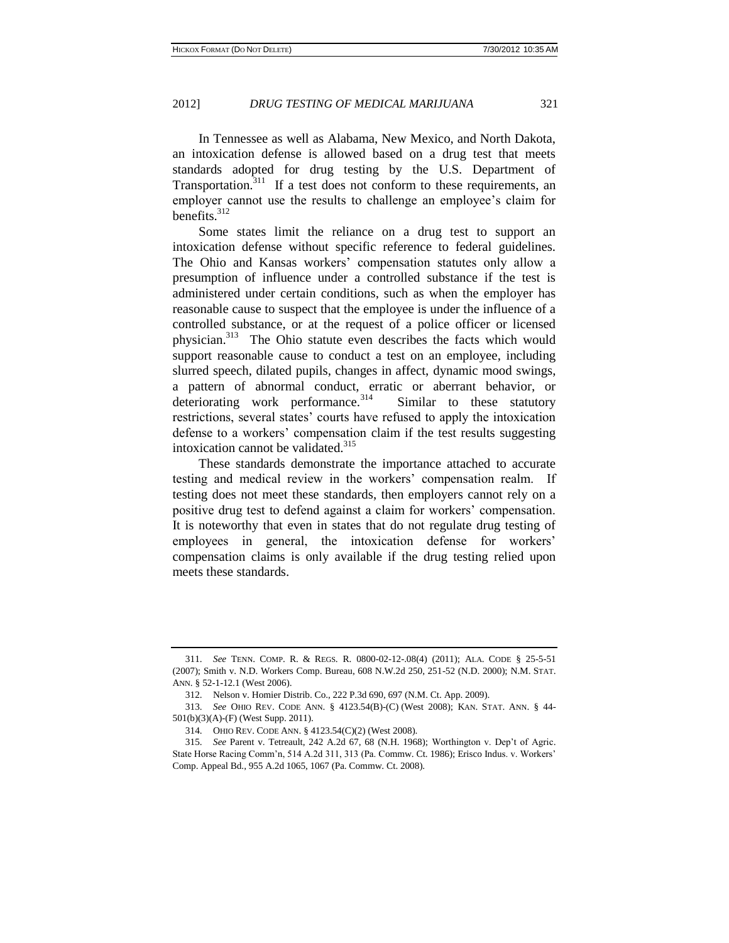In Tennessee as well as Alabama, New Mexico, and North Dakota, an intoxication defense is allowed based on a drug test that meets standards adopted for drug testing by the U.S. Department of Transportation.<sup>311</sup> If a test does not conform to these requirements, an employer cannot use the results to challenge an employee's claim for benefits.<sup>312</sup>

Some states limit the reliance on a drug test to support an intoxication defense without specific reference to federal guidelines. The Ohio and Kansas workers' compensation statutes only allow a presumption of influence under a controlled substance if the test is administered under certain conditions, such as when the employer has reasonable cause to suspect that the employee is under the influence of a controlled substance, or at the request of a police officer or licensed physician.<sup>313</sup> The Ohio statute even describes the facts which would support reasonable cause to conduct a test on an employee, including slurred speech, dilated pupils, changes in affect, dynamic mood swings, a pattern of abnormal conduct, erratic or aberrant behavior, or deteriorating work performance.<sup>314</sup> Similar to these statutory restrictions, several states' courts have refused to apply the intoxication defense to a workers' compensation claim if the test results suggesting intoxication cannot be validated.<sup>315</sup>

These standards demonstrate the importance attached to accurate testing and medical review in the workers' compensation realm. If testing does not meet these standards, then employers cannot rely on a positive drug test to defend against a claim for workers' compensation. It is noteworthy that even in states that do not regulate drug testing of employees in general, the intoxication defense for workers' compensation claims is only available if the drug testing relied upon meets these standards.

<sup>311.</sup> *See* TENN. COMP. R. & REGS. R. 0800-02-12-.08(4) (2011); ALA. CODE § 25-5-51 (2007); Smith v. N.D. Workers Comp. Bureau, 608 N.W.2d 250, 251-52 (N.D. 2000); N.M. STAT. ANN. § 52-1-12.1 (West 2006).

<sup>312.</sup> Nelson v. Homier Distrib. Co., 222 P.3d 690, 697 (N.M. Ct. App. 2009).

<sup>313.</sup> *See* OHIO REV. CODE ANN. § 4123.54(B)-(C) (West 2008); KAN. STAT. ANN. § 44- 501(b)(3)(A)-(F) (West Supp. 2011).

<sup>314.</sup> OHIO REV. CODE ANN. § 4123.54(C)(2) (West 2008).

<sup>315.</sup> *See* Parent v. Tetreault, 242 A.2d 67, 68 (N.H. 1968); [Worthington v. Dep't of Agric.](http://www.lexisnexis.com.proxy2.cl.msu.edu/lnacui2api/mungo/lexseestat.do?bct=A&risb=21_T11972626135&homeCsi=6496&A=0.8907026894275701&urlEnc=ISO-8859-1&&citeString=514%20A.2d%20311&countryCode=USA) [State Horse Racing Comm'n, 514 A.2d 311, 313 \(Pa. Commw. Ct. 1986\);](http://www.lexisnexis.com.proxy2.cl.msu.edu/lnacui2api/mungo/lexseestat.do?bct=A&risb=21_T11972626135&homeCsi=6496&A=0.8907026894275701&urlEnc=ISO-8859-1&&citeString=514%20A.2d%20311&countryCode=USA) [Erisco Indus. v. Workers'](http://www.lexisnexis.com.proxy1.cl.msu.edu/lnacui2api/mungo/lexseestat.do?bct=A&risb=21_T11941132842&homeCsi=9311&A=0.8364082300202969&urlEnc=ISO-8859-1&&citeString=955%20A.2d%201065&countryCode=USA)  [Comp. Appeal Bd., 955 A.2d 1065, 1067 \(Pa. Commw. Ct. 2008\).](http://www.lexisnexis.com.proxy1.cl.msu.edu/lnacui2api/mungo/lexseestat.do?bct=A&risb=21_T11941132842&homeCsi=9311&A=0.8364082300202969&urlEnc=ISO-8859-1&&citeString=955%20A.2d%201065&countryCode=USA)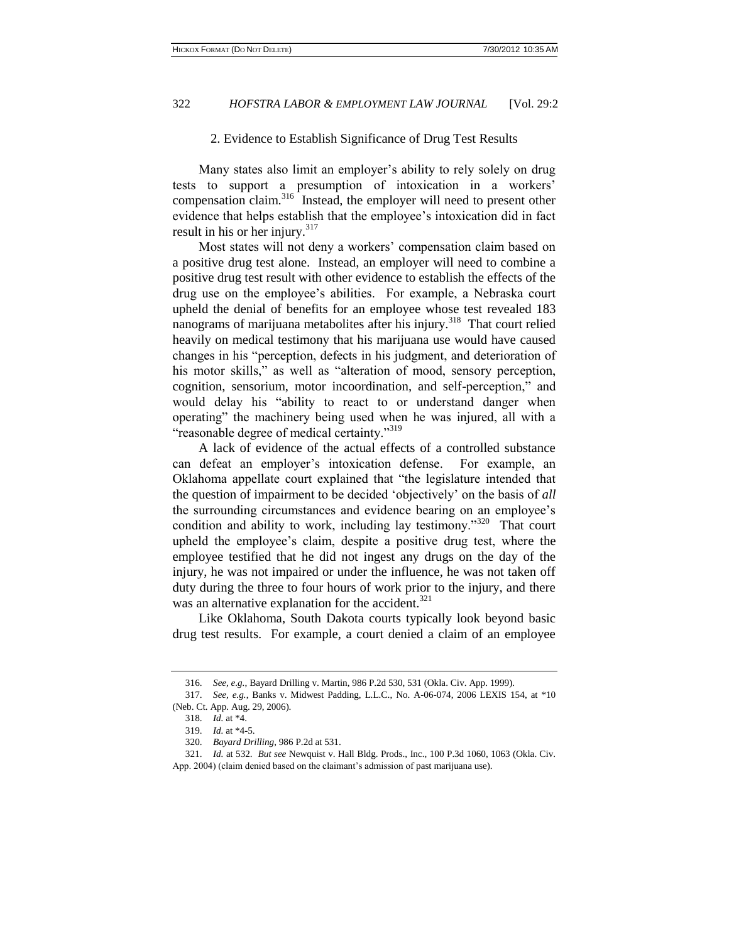#### 2. Evidence to Establish Significance of Drug Test Results

Many states also limit an employer's ability to rely solely on drug tests to support a presumption of intoxication in a workers' compensation claim.<sup>316</sup> Instead, the employer will need to present other evidence that helps establish that the employee's intoxication did in fact result in his or her injury. $317$ 

Most states will not deny a workers' compensation claim based on a positive drug test alone. Instead, an employer will need to combine a positive drug test result with other evidence to establish the effects of the drug use on the employee's abilities. For example, a Nebraska court upheld the denial of benefits for an employee whose test revealed 183 nanograms of marijuana metabolites after his injury.<sup>318</sup> That court relied heavily on medical testimony that his marijuana use would have caused changes in his "perception, defects in his judgment, and deterioration of his motor skills," as well as "alteration of mood, sensory perception, cognition, sensorium, motor incoordination, and self-perception," and would delay his "ability to react to or understand danger when operating" the machinery being used when he was injured, all with a "reasonable degree of medical certainty."<sup>319</sup>

A lack of evidence of the actual effects of a controlled substance can defeat an employer's intoxication defense. For example, an Oklahoma appellate court explained that "the legislature intended that the question of impairment to be decided 'objectively' on the basis of *all*  the surrounding circumstances and evidence bearing on an employee's condition and ability to work, including lay testimony."<sup>320</sup> That court upheld the employee's claim, despite a positive drug test, where the employee testified that he did not ingest any drugs on the day of the injury, he was not impaired or under the influence, he was not taken off duty during the three to four hours of work prior to the injury, and there was an alternative explanation for the accident.<sup>321</sup>

Like Oklahoma, South Dakota courts typically look beyond basic drug test results. For example, a court denied a claim of an employee

<sup>316.</sup> *See, e.g.*, Bayard Drilling v. Martin, 986 P.2d 530, 531 (Okla. Civ. App. 1999).

<sup>317.</sup> *See, e.g.*, Banks v. Midwest Padding, L.L.C., No. A-06-074, 2006 LEXIS 154, at \*10 (Neb. Ct. App. Aug. 29, 2006).

<sup>318.</sup> *Id.* at \*4.

<sup>319.</sup> *Id.* at \*4-5.

<sup>320.</sup> *Bayard Drilling*, 986 P.2d at 531.

<sup>321.</sup> *Id.* at 532. *But see* Newquist v. Hall Bldg. Prods., Inc., 100 P.3d 1060, 1063 (Okla. Civ. App. 2004) (claim denied based on the claimant's admission of past marijuana use).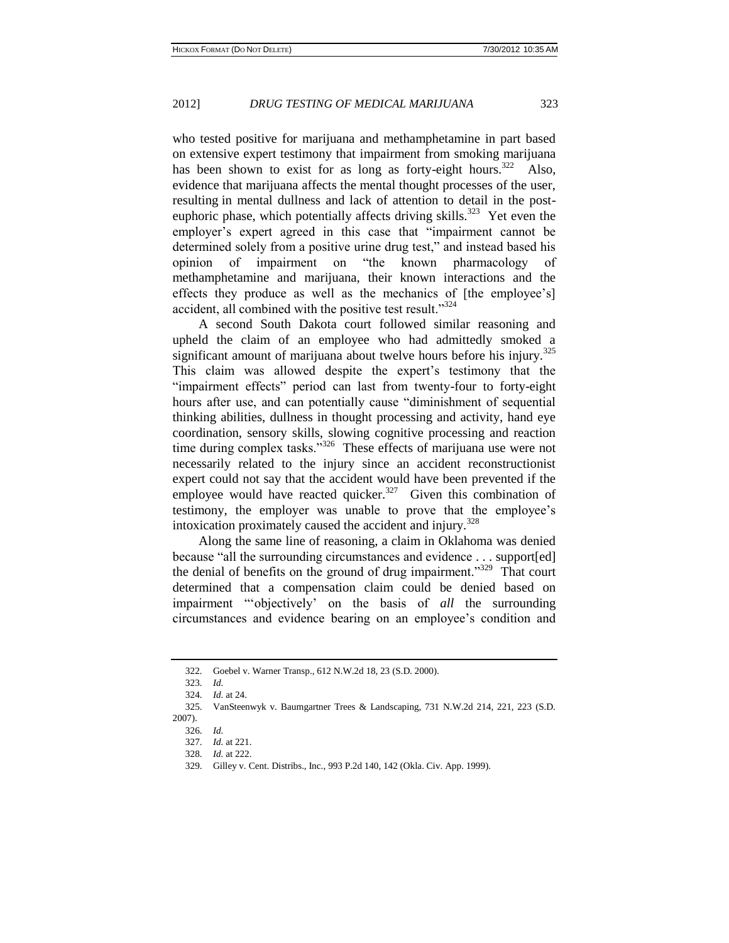who tested positive for marijuana and methamphetamine in part based on extensive expert testimony that impairment from smoking marijuana has been shown to exist for as long as forty-eight hours.<sup>322</sup> Also, evidence that marijuana affects the mental thought processes of the user, resulting in mental dullness and lack of attention to detail in the posteuphoric phase, which potentially affects driving skills.<sup>323</sup> Yet even the employer's expert agreed in this case that "impairment cannot be determined solely from a positive urine drug test," and instead based his opinion of impairment on "the known pharmacology of methamphetamine and marijuana, their known interactions and the effects they produce as well as the mechanics of [the employee's] accident, all combined with the positive test result."<sup>324</sup>

A second South Dakota court followed similar reasoning and upheld the claim of an employee who had admittedly smoked a significant amount of marijuana about twelve hours before his injury.<sup>325</sup> This claim was allowed despite the expert's testimony that the "impairment effects" period can last from twenty-four to forty-eight hours after use, and can potentially cause "diminishment of sequential thinking abilities, dullness in thought processing and activity, hand eye coordination, sensory skills, slowing cognitive processing and reaction time during complex tasks."<sup>326</sup> These effects of marijuana use were not necessarily related to the injury since an accident reconstructionist expert could not say that the accident would have been prevented if the employee would have reacted quicker.<sup>327</sup> Given this combination of testimony, the employer was unable to prove that the employee's intoxication proximately caused the accident and injury.<sup>328</sup>

Along the same line of reasoning, a claim in Oklahoma was denied because "all the surrounding circumstances and evidence . . . support[ed] the denial of benefits on the ground of drug impairment."<sup>329</sup> That court determined that a compensation claim could be denied based on impairment "'objectively' on the basis of *all* the surrounding circumstances and evidence bearing on an employee's condition and

<sup>322.</sup> Goebel v. Warner Transp., 612 N.W.2d 18, 23 (S.D. 2000).

<sup>323.</sup> *Id.*

<sup>324.</sup> *Id.* at 24.

<sup>325.</sup> VanSteenwyk v. Baumgartner Trees & Landscaping, 731 N.W.2d 214, 221, 223 (S.D. 2007).

<sup>326.</sup> *Id.*

<sup>327.</sup> *Id.* at 221.

<sup>328.</sup> *Id.* at 222.

<sup>329.</sup> Gilley v. Cent. Distribs., Inc., 993 P.2d 140, 142 (Okla. Civ. App. 1999).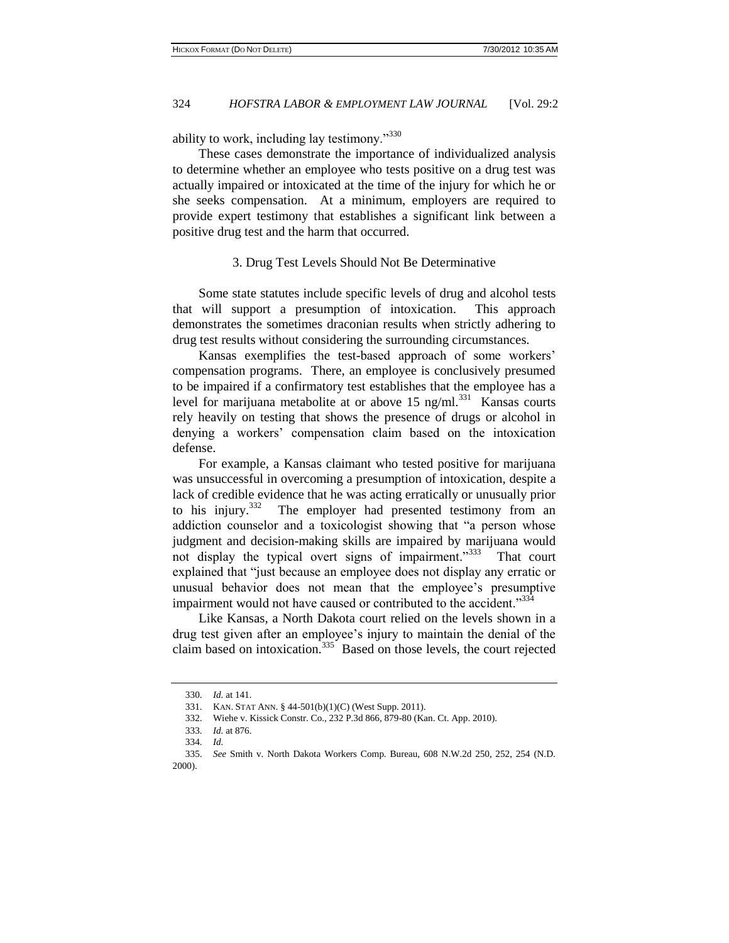ability to work, including lay testimony."<sup>330</sup>

These cases demonstrate the importance of individualized analysis to determine whether an employee who tests positive on a drug test was actually impaired or intoxicated at the time of the injury for which he or she seeks compensation. At a minimum, employers are required to provide expert testimony that establishes a significant link between a positive drug test and the harm that occurred.

#### 3. Drug Test Levels Should Not Be Determinative

Some state statutes include specific levels of drug and alcohol tests that will support a presumption of intoxication. This approach demonstrates the sometimes draconian results when strictly adhering to drug test results without considering the surrounding circumstances.

Kansas exemplifies the test-based approach of some workers' compensation programs. There, an employee is conclusively presumed to be impaired if a confirmatory test establishes that the employee has a level for marijuana metabolite at or above 15 ng/ml. $^{331}$  Kansas courts rely heavily on testing that shows the presence of drugs or alcohol in denying a workers' compensation claim based on the intoxication defense.

For example, a Kansas claimant who tested positive for marijuana was unsuccessful in overcoming a presumption of intoxication, despite a lack of credible evidence that he was acting erratically or unusually prior to his injury.<sup>332</sup> The employer had presented testimony from an addiction counselor and a toxicologist showing that "a person whose judgment and decision-making skills are impaired by marijuana would not display the typical overt signs of impairment."333 That court explained that "just because an employee does not display any erratic or unusual behavior does not mean that the employee's presumptive impairment would not have caused or contributed to the accident."334

Like Kansas, a North Dakota court relied on the levels shown in a drug test given after an employee's injury to maintain the denial of the claim based on intoxication.<sup>335</sup> Based on those levels, the court rejected

<sup>330.</sup> *Id.* at 141.

<sup>331.</sup> KAN. STAT ANN. § 44-501(b)(1)(C) (West Supp. 2011).

<sup>332.</sup> Wiehe v. Kissick Constr. Co., 232 P.3d 866, 879-80 (Kan. Ct. App. 2010).

<sup>333.</sup> *Id.* at 876.

<sup>334.</sup> *Id.*

<sup>335.</sup> *See* Smith v. North Dakota Workers Comp. Bureau, 608 N.W.2d 250, 252, 254 (N.D. 2000).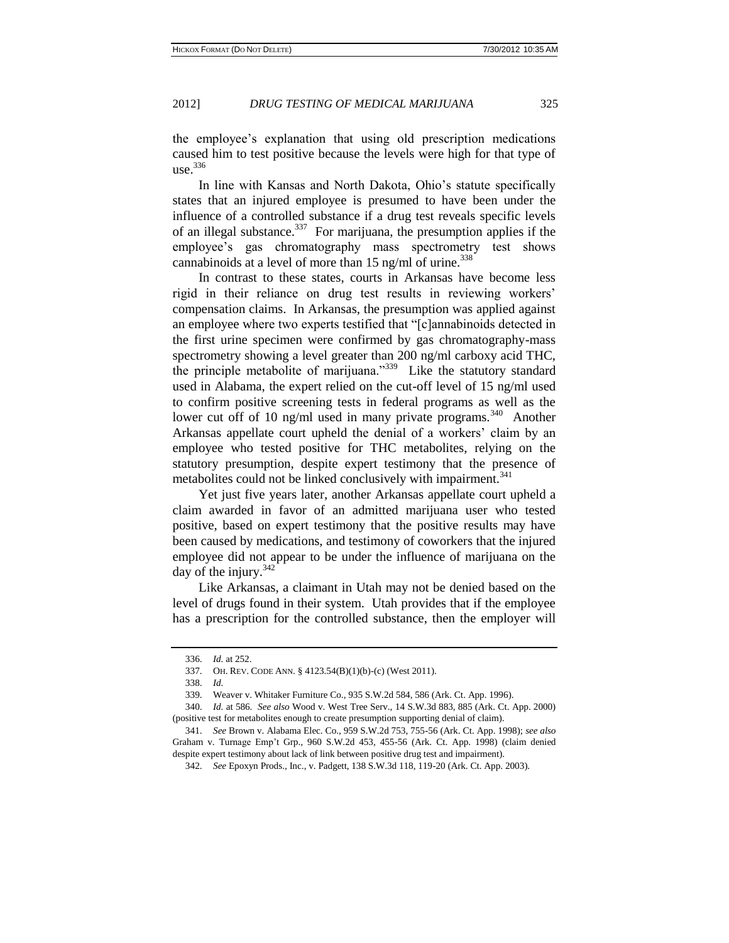the employee's explanation that using old prescription medications caused him to test positive because the levels were high for that type of  $use.<sup>336</sup>$ 

In line with Kansas and North Dakota, Ohio's statute specifically states that an injured employee is presumed to have been under the influence of a controlled substance if a drug test reveals specific levels of an illegal substance.<sup>337</sup> For marijuana, the presumption applies if the employee's gas chromatography mass spectrometry test shows cannabinoids at a level of more than  $15$  ng/ml of urine.<sup>338</sup>

In contrast to these states, courts in Arkansas have become less rigid in their reliance on drug test results in reviewing workers' compensation claims. In Arkansas, the presumption was applied against an employee where two experts testified that "[c]annabinoids detected in the first urine specimen were confirmed by gas chromatography-mass spectrometry showing a level greater than 200 ng/ml carboxy acid THC, the principle metabolite of marijuana."<sup>339</sup> Like the statutory standard used in Alabama, the expert relied on the cut-off level of 15 ng/ml used to confirm positive screening tests in federal programs as well as the lower cut off of 10 ng/ml used in many private programs.<sup>340</sup> Another Arkansas appellate court upheld the denial of a workers' claim by an employee who tested positive for THC metabolites, relying on the statutory presumption, despite expert testimony that the presence of metabolites could not be linked conclusively with impairment.<sup>341</sup>

Yet just five years later, another Arkansas appellate court upheld a claim awarded in favor of an admitted marijuana user who tested positive, based on expert testimony that the positive results may have been caused by medications, and testimony of coworkers that the injured employee did not appear to be under the influence of marijuana on the day of the injury. $342$ 

Like Arkansas, a claimant in Utah may not be denied based on the level of drugs found in their system. Utah provides that if the employee has a prescription for the controlled substance, then the employer will

<sup>336.</sup> *Id.* at 252.

<sup>337.</sup> OH. REV. CODE ANN. § 4123.54(B)(1)(b)-(c) (West 2011).

<sup>338.</sup> *Id.*

<sup>339.</sup> Weaver v. Whitaker Furniture Co., 935 S.W.2d 584, 586 (Ark. Ct. App. 1996).

<sup>340.</sup> *Id.* at 586. *See also* Wood v. West Tree Serv., 14 S.W.3d 883, 885 (Ark. Ct. App. 2000) (positive test for metabolites enough to create presumption supporting denial of claim).

<sup>341.</sup> *See* Brown v. Alabama Elec. Co., 959 S.W.2d 753, 755-56 (Ark. Ct. App. 1998); *see also* Graham v. Turnage Emp't [Grp., 960 S.W.2d 453, 455-56 \(Ark. Ct. App. 1998\)](http://www.lexisnexis.com.proxy2.cl.msu.edu/lnacui2api/mungo/lexseestat.do?bct=A&risb=21_T11852818350&homeCsi=4302&A=0.13098430344901835&urlEnc=ISO-8859-1&&citeString=60%20Ark.%20App.%20150&countryCode=USA) (claim denied despite expert testimony about lack of link between positive drug test and impairment).

<sup>342.</sup> *See* Epoxyn Prods., Inc., v. Padgett, 138 S.W.3d 118, 119-20 (Ark. Ct. App. 2003).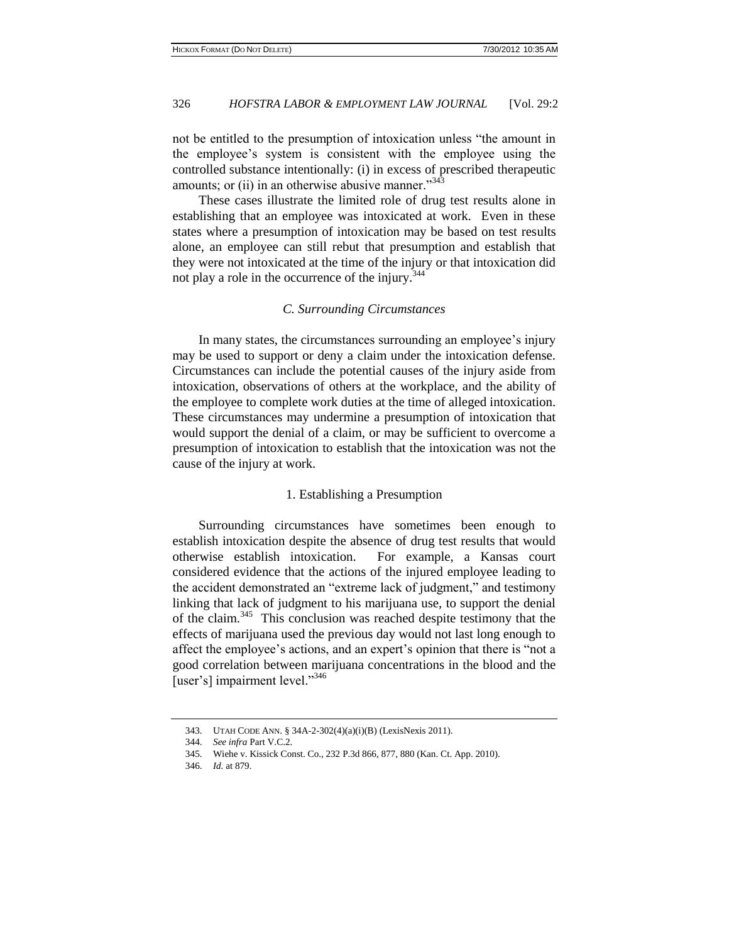not be entitled to the presumption of intoxication unless "the amount in the employee's system is consistent with the employee using the controlled substance intentionally: (i) in excess of prescribed therapeutic amounts; or (ii) in an otherwise abusive manner."<sup>343</sup>

These cases illustrate the limited role of drug test results alone in establishing that an employee was intoxicated at work. Even in these states where a presumption of intoxication may be based on test results alone, an employee can still rebut that presumption and establish that they were not intoxicated at the time of the injury or that intoxication did not play a role in the occurrence of the injury.<sup>344</sup>

#### *C. Surrounding Circumstances*

In many states, the circumstances surrounding an employee's injury may be used to support or deny a claim under the intoxication defense. Circumstances can include the potential causes of the injury aside from intoxication, observations of others at the workplace, and the ability of the employee to complete work duties at the time of alleged intoxication. These circumstances may undermine a presumption of intoxication that would support the denial of a claim, or may be sufficient to overcome a presumption of intoxication to establish that the intoxication was not the cause of the injury at work.

#### 1. Establishing a Presumption

Surrounding circumstances have sometimes been enough to establish intoxication despite the absence of drug test results that would otherwise establish intoxication. For example, a Kansas court considered evidence that the actions of the injured employee leading to the accident demonstrated an "extreme lack of judgment," and testimony linking that lack of judgment to his marijuana use, to support the denial of the claim.<sup>345</sup> This conclusion was reached despite testimony that the effects of marijuana used the previous day would not last long enough to affect the employee's actions, and an expert's opinion that there is "not a good correlation between marijuana concentrations in the blood and the [user's] impairment level."<sup>346</sup>

<sup>343.</sup> UTAH CODE ANN. § 34A-2-302(4)(a)(i)(B) (LexisNexis 2011).

<sup>344.</sup> *See infra* Part V.C.2.

<sup>345.</sup> Wiehe v. Kissick Const. Co., 232 P.3d 866, 877, 880 (Kan. Ct. App. 2010).

<sup>346.</sup> *Id.* at 879.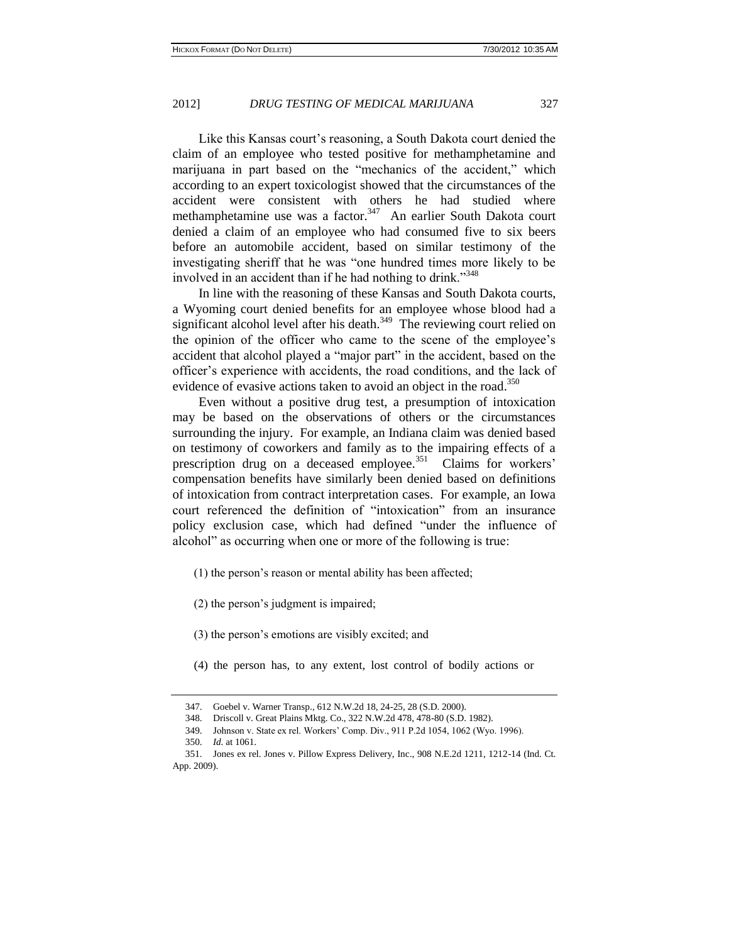Like this Kansas court's reasoning, a South Dakota court denied the claim of an employee who tested positive for methamphetamine and marijuana in part based on the "mechanics of the accident," which according to an expert toxicologist showed that the circumstances of the accident were consistent with others he had studied where methamphetamine use was a factor.<sup>347</sup> An earlier South Dakota court denied a claim of an employee who had consumed five to six beers before an automobile accident, based on similar testimony of the investigating sheriff that he was "one hundred times more likely to be involved in an accident than if he had nothing to drink."<sup>348</sup>

In line with the reasoning of these Kansas and South Dakota courts, a Wyoming court denied benefits for an employee whose blood had a significant alcohol level after his death.<sup>349</sup> The reviewing court relied on the opinion of the officer who came to the scene of the employee's accident that alcohol played a "major part" in the accident, based on the officer's experience with accidents, the road conditions, and the lack of evidence of evasive actions taken to avoid an object in the road.<sup>350</sup>

Even without a positive drug test, a presumption of intoxication may be based on the observations of others or the circumstances surrounding the injury. For example, an Indiana claim was denied based on testimony of coworkers and family as to the impairing effects of a prescription drug on a deceased employee.<sup>351</sup> Claims for workers' compensation benefits have similarly been denied based on definitions of intoxication from contract interpretation cases. For example, an Iowa court referenced the definition of "intoxication" from an insurance policy exclusion case, which had defined "under the influence of alcohol" as occurring when one or more of the following is true:

- (1) the person's reason or mental ability has been affected;
- (2) the person's judgment is impaired;
- (3) the person's emotions are visibly excited; and
- (4) the person has, to any extent, lost control of bodily actions or

<sup>347.</sup> Goebel v. Warner Transp.*,* 612 N.W.2d 18, 24-25, 28 (S.D. 2000).

<sup>348.</sup> Driscoll v. Great Plains Mktg. Co., 322 N.W.2d 478, 478-80 (S.D. 1982).

<sup>349.</sup> [Johnson v. State ex rel. Workers' Comp. Div., 911 P.2d 1054, 1062 \(Wyo. 1996\).](http://www.lexisnexis.com.proxy1.cl.msu.edu/lnacui2api/mungo/lexseestat.do?bct=A&risb=21_T11941442216&homeCsi=11012&A=0.14005568762139398&urlEnc=ISO-8859-1&&citeString=911%20P.2d%201054&countryCode=USA)

<sup>350.</sup> *Id.* at 1061.

<sup>351.</sup> Jones ex rel. Jones v. Pillow Express Delivery, Inc., 908 N.E.2d 1211, 1212-14 (Ind. Ct. App. 2009).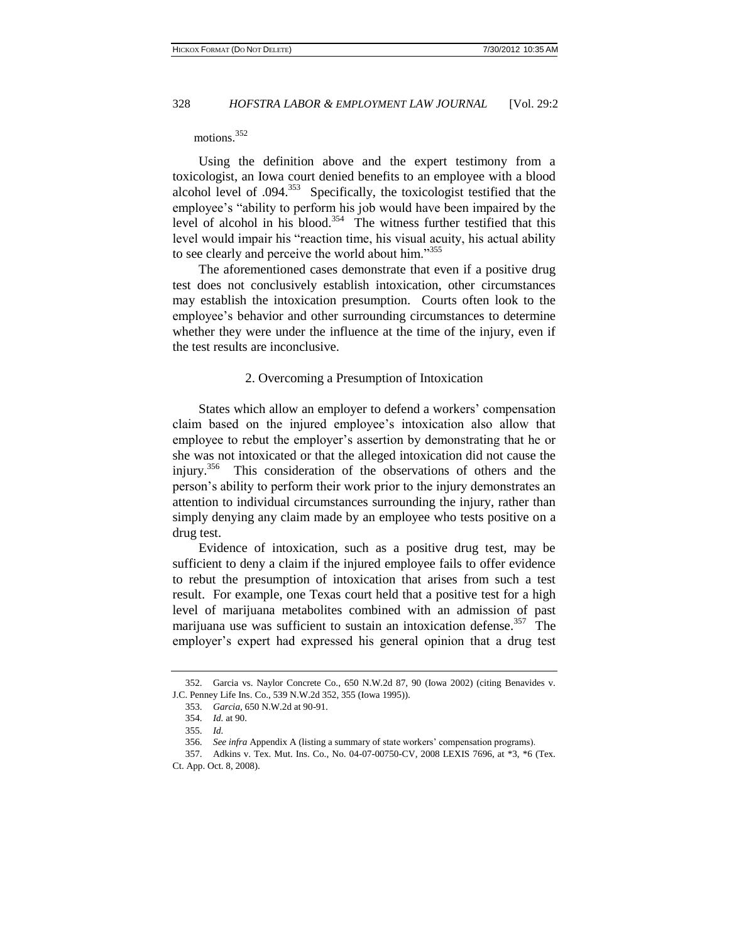#### motions.<sup>352</sup>

Using the definition above and the expert testimony from a toxicologist, an Iowa court denied benefits to an employee with a blood alcohol level of  $.094<sup>353</sup>$  Specifically, the toxicologist testified that the employee's "ability to perform his job would have been impaired by the level of alcohol in his blood.<sup>354</sup> The witness further testified that this level would impair his "reaction time, his visual acuity, his actual ability to see clearly and perceive the world about him."<sup>355</sup>

The aforementioned cases demonstrate that even if a positive drug test does not conclusively establish intoxication, other circumstances may establish the intoxication presumption. Courts often look to the employee's behavior and other surrounding circumstances to determine whether they were under the influence at the time of the injury, even if the test results are inconclusive.

#### 2. Overcoming a Presumption of Intoxication

States which allow an employer to defend a workers' compensation claim based on the injured employee's intoxication also allow that employee to rebut the employer's assertion by demonstrating that he or she was not intoxicated or that the alleged intoxication did not cause the injury.<sup>356</sup> This consideration of the observations of others and the person's ability to perform their work prior to the injury demonstrates an attention to individual circumstances surrounding the injury, rather than simply denying any claim made by an employee who tests positive on a drug test.

Evidence of intoxication, such as a positive drug test, may be sufficient to deny a claim if the injured employee fails to offer evidence to rebut the presumption of intoxication that arises from such a test result. For example, one Texas court held that a positive test for a high level of marijuana metabolites combined with an admission of past marijuana use was sufficient to sustain an intoxication defense.<sup>357</sup> The employer's expert had expressed his general opinion that a drug test

<sup>352.</sup> Garcia vs. Naylor Concrete Co., 650 N.W.2d 87, 90 (Iowa 2002) (citing Benavides v. J.C. Penney Life Ins. Co., 539 N.W.2d 352, 355 (Iowa 1995)).

<sup>353.</sup> *Garcia*, 650 N.W.2d at 90-91.

<sup>354.</sup> *Id.* at 90.

<sup>355.</sup> *Id.*

<sup>356.</sup> *See infra* Appendix A (listing a summary of state workers' compensation programs).

<sup>357.</sup> Adkins v. Tex. Mut. Ins. Co., No. 04-07-00750-CV, 2008 LEXIS 7696, at \*3, \*6 (Tex. Ct. App. Oct. 8, 2008).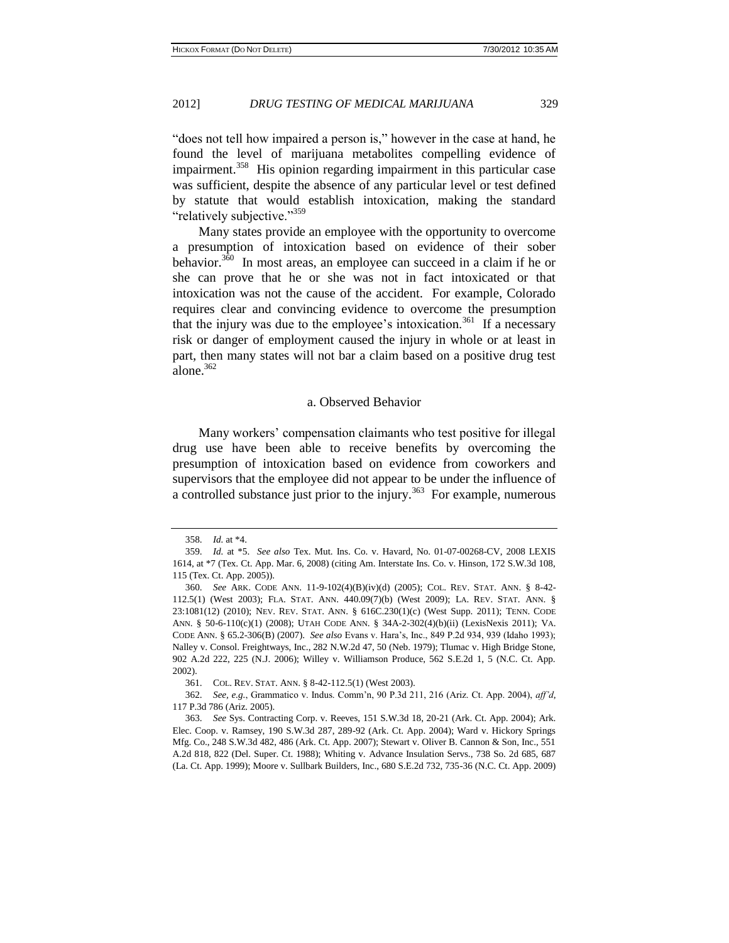"does not tell how impaired a person is," however in the case at hand, he found the level of marijuana metabolites compelling evidence of impairment.<sup>358</sup> His opinion regarding impairment in this particular case was sufficient, despite the absence of any particular level or test defined by statute that would establish intoxication, making the standard "relatively subjective."<sup>359</sup>

Many states provide an employee with the opportunity to overcome a presumption of intoxication based on evidence of their sober behavior.<sup>3 $\bar{60}$ </sup> In most areas, an employee can succeed in a claim if he or she can prove that he or she was not in fact intoxicated or that intoxication was not the cause of the accident. For example, Colorado requires clear and convincing evidence to overcome the presumption that the injury was due to the employee's intoxication.<sup>361</sup> If a necessary risk or danger of employment caused the injury in whole or at least in part, then many states will not bar a claim based on a positive drug test alone. $362$ 

#### a. Observed Behavior

Many workers' compensation claimants who test positive for illegal drug use have been able to receive benefits by overcoming the presumption of intoxication based on evidence from coworkers and supervisors that the employee did not appear to be under the influence of a controlled substance just prior to the injury.<sup>363</sup> For example, numerous

<sup>358.</sup> *Id.* at \*4.

<sup>359.</sup> *Id.* at \*5. *See also* Tex. Mut. Ins. Co. v. Havard, No. 01-07-00268-CV, 2008 LEXIS 1614, at \*7 (Tex. Ct. App. Mar. 6, 2008) (citing Am. Interstate Ins. Co. v. Hinson, 172 S.W.3d 108, 115 (Tex. Ct. App. 2005)).

<sup>360.</sup> *See* ARK. CODE ANN. 11-9-102(4)(B)(iv)(d) (2005); COL. REV. STAT. ANN. § 8-42- 112.5(1) (West 2003); FLA. STAT. ANN. 440.09(7)(b) (West 2009); LA. REV. STAT. ANN. § 23:1081(12) (2010); NEV. REV. STAT. ANN. § 616C.230(1)(c) (West Supp. 2011); TENN. CODE ANN. § 50-6-110(c)(1) (2008); UTAH CODE ANN. § 34A-2-302(4)(b)(ii) (LexisNexis 2011); VA. CODE ANN. § 65.2-306(B) (2007). *See also* Evans v. Hara's, Inc., 849 P.2d 934, 939 (Idaho 1993); Nalley v. Consol. Freightways, Inc., 282 N.W.2d 47, 50 (Neb. 1979); Tlumac v. High Bridge Stone, 902 A.2d 222, 225 (N.J. 2006); Willey v. Williamson Produce, 562 S.E.2d 1, 5 (N.C. Ct. App. 2002).

<sup>361.</sup> COL. REV. STAT. ANN. § 8-42-112.5(1) (West 2003).

<sup>362.</sup> *See, e.g.*, Grammatico v. Indus. Comm'n, 90 P.3d 211, 216 (Ariz. Ct. App. 2004), *aff'd*, 117 P.3d 786 (Ariz. 2005).

<sup>363.</sup> *See* Sys. Contracting Corp. v. Reeves, 151 S.W.3d 18, 20-21 (Ark. Ct. App. 2004); Ark. Elec. Coop. v. Ramsey, 190 S.W.3d 287, 289-92 (Ark. Ct. App. 2004); Ward v. Hickory Springs Mfg. Co., 248 S.W.3d 482, 486 (Ark. Ct. App. 2007); Stewart v. Oliver B. Cannon & Son, Inc., 551 A.2d 818, 822 (Del. Super. Ct. 1988); Whiting v. Advance Insulation Servs., 738 So. 2d 685, 687 (La. Ct. App. 1999); Moore v. Sullbark Builders, Inc., 680 S.E.2d 732, 735-36 (N.C. Ct. App. 2009)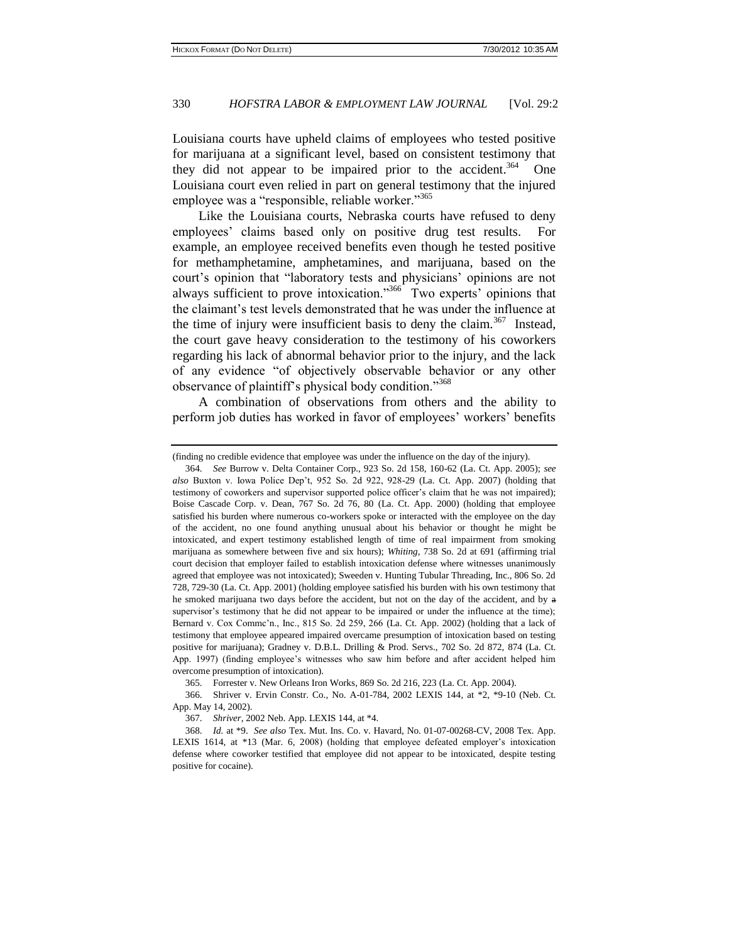Louisiana courts have upheld claims of employees who tested positive for marijuana at a significant level, based on consistent testimony that they did not appear to be impaired prior to the accident.<sup>364</sup> One Louisiana court even relied in part on general testimony that the injured employee was a "responsible, reliable worker."<sup>365</sup>

Like the Louisiana courts, Nebraska courts have refused to deny employees' claims based only on positive drug test results. For example, an employee received benefits even though he tested positive for methamphetamine, amphetamines, and marijuana, based on the court's opinion that "laboratory tests and physicians' opinions are not always sufficient to prove intoxication."<sup>366</sup> Two experts' opinions that the claimant's test levels demonstrated that he was under the influence at the time of injury were insufficient basis to deny the claim.<sup>367</sup> Instead, the court gave heavy consideration to the testimony of his coworkers regarding his lack of abnormal behavior prior to the injury, and the lack of any evidence "of objectively observable behavior or any other observance of plaintiff's physical body condition."<sup>368</sup>

A combination of observations from others and the ability to perform job duties has worked in favor of employees' workers' benefits

<sup>(</sup>finding no credible evidence that employee was under the influence on the day of the injury).

<sup>364.</sup> *See* Burrow v. Delta Container Corp., 923 So. 2d 158, 160-62 (La. Ct. App. 2005); *see also* Buxton v. Iowa Police Dep't, 952 So. 2d 922, 928-29 (La. Ct. App. 2007) (holding that testimony of coworkers and supervisor supported police officer's claim that he was not impaired); [Boise Cascade Corp. v. Dean, 767 So. 2d 76, 80](http://www.lexisnexis.com.proxy2.cl.msu.edu/lnacui2api/mungo/lexseestat.do?bct=A&risb=21_T11947851926&homeCsi=7256&A=0.9377488568093727&urlEnc=ISO-8859-1&&citeString=767%20So.%202d%2076,%2080&countryCode=USA) (La. Ct. App. 2000) (holding that employee satisfied his burden where numerous co-workers spoke or interacted with the employee on the day of the accident, no one found anything unusual about his behavior or thought he might be intoxicated, and expert testimony established length of time of real impairment from smoking marijuana as somewhere between five and six hours); *Whiting*, 738 So. 2d at 691 (affirming trial court decision that employer failed to establish intoxication defense where witnesses unanimously agreed that employee was not intoxicated); Sweeden v. Hunting Tubular Threading, Inc., 806 So. 2d 728, 729-30 (La. Ct. App. 2001) (holding employee satisfied his burden with his own testimony that he smoked marijuana two days before the accident, but not on the day of the accident, and by a supervisor's testimony that he did not appear to be impaired or under the influence at the time); [Bernard v. Cox Commc'n., Inc., 815 So. 2d 259, 266](http://www.lexisnexis.com.proxy2.cl.msu.edu/lnacui2api/mungo/lexseestat.do?bct=A&risb=21_T11853413004&homeCsi=7262&A=0.018470833220014526&urlEnc=ISO-8859-1&&citeString=815%20So.%202d%20259&countryCode=USA) (La. Ct. App. 2002) (holding that a lack of testimony that employee appeared impaired overcame presumption of intoxication based on testing positive for marijuana); [Gradney v. D.B.L. Drilling & Prod. Servs., 702 So. 2d 872, 8](http://www.lexisnexis.com.proxy2.cl.msu.edu/lnacui2api/mungo/lexseestat.do?bct=A&risb=21_T11853413004&homeCsi=7262&A=0.018470833220014526&urlEnc=ISO-8859-1&&citeString=702%20So.%202d%20872&countryCode=USA)74 (La. Ct. App. 1997) (finding employee's witnesses who saw him before and after accident helped him overcome presumption of intoxication).

<sup>365.</sup> Forrester v. New Orleans Iron Works, 869 So. 2d 216, 223 (La. Ct. App. 2004).

<sup>366.</sup> [Shriver v. Ervin Constr. Co., No. A-01-784, 2002 LEXIS 144,](http://www.lexisnexis.com.proxy2.cl.msu.edu/lnacui2api/mungo/lexseestat.do?bct=A&risb=21_T11854845166&homeCsi=7883&A=0.6707954976220802&urlEnc=ISO-8859-1&&citeString=2002%20Neb.%20App.%20LEXIS%20144&countryCode=USA) at \*2, \*9-10 (Neb. Ct. App. May 14, 2002).

<sup>367.</sup> *Shriver*, 2002 Neb. App. LEXIS 144, at \*4.

<sup>368.</sup> *Id.* at \*9. *See also* Tex. Mut. Ins. Co. v. Havard, No. 01-07-00268-CV, 2008 Tex. App. LEXIS 1614, at \*13 (Mar. 6, 2008) (holding that employee defeated employer's intoxication defense where coworker testified that employee did not appear to be intoxicated, despite testing positive for cocaine).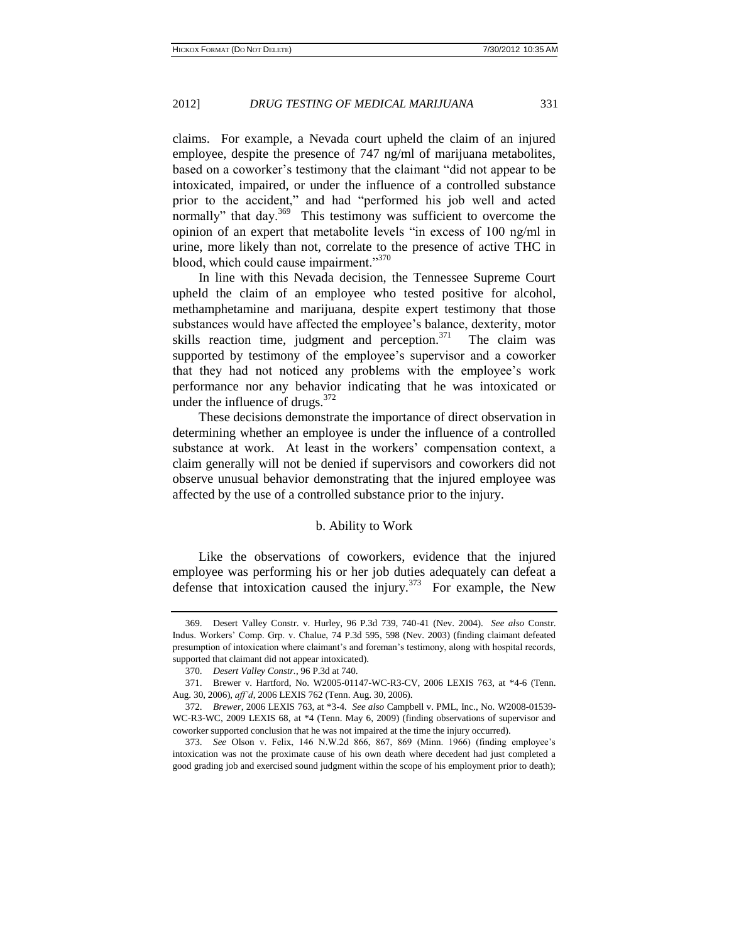claims. For example, a Nevada court upheld the claim of an injured employee, despite the presence of 747 ng/ml of marijuana metabolites, based on a coworker's testimony that the claimant "did not appear to be intoxicated, impaired, or under the influence of a controlled substance prior to the accident," and had "performed his job well and acted normally" that day.<sup>369</sup> This testimony was sufficient to overcome the opinion of an expert that metabolite levels "in excess of 100 ng/ml in urine, more likely than not, correlate to the presence of active THC in blood, which could cause impairment."<sup>370</sup>

In line with this Nevada decision, the Tennessee Supreme Court upheld the claim of an employee who tested positive for alcohol, methamphetamine and marijuana, despite expert testimony that those substances would have affected the employee's balance, dexterity, motor skills reaction time, judgment and perception. $371$  The claim was supported by testimony of the employee's supervisor and a coworker that they had not noticed any problems with the employee's work performance nor any behavior indicating that he was intoxicated or under the influence of drugs. $372$ 

These decisions demonstrate the importance of direct observation in determining whether an employee is under the influence of a controlled substance at work. At least in the workers' compensation context, a claim generally will not be denied if supervisors and coworkers did not observe unusual behavior demonstrating that the injured employee was affected by the use of a controlled substance prior to the injury.

#### b. Ability to Work

Like the observations of coworkers, evidence that the injured employee was performing his or her job duties adequately can defeat a defense that intoxication caused the injury. $373$  For example, the New

<sup>369.</sup> Desert Valley Constr. v. Hurley, 96 P.3d 739, 740-41 (Nev. 2004). *See also* Constr. Indus. Workers' Comp. Grp. v. Chalue, [74 P.3d 595,](http://www.lexisnexis.com.proxy1.cl.msu.edu/lnacui2api/mungo/lexseestat.do?bct=A&risb=21_T12073143711&homeCsi=144909&A=0.3564302454127035&urlEnc=ISO-8859-1&&citeString=74%20P.3d%20595&countryCode=USA) 598 (Nev. 2003) (finding claimant defeated presumption of intoxication where claimant's and foreman's testimony, along with hospital records, supported that claimant did not appear intoxicated).

<sup>370.</sup> *Desert Valley Constr.*, 96 P.3d at 740.

<sup>371.</sup> [Brewer v. Hartford, No. W2005-01147-WC-R3-CV, 2006 LEXIS 763,](http://www.lexisnexis.com.proxy1.cl.msu.edu/lnacui2api/mungo/lexseestat.do?bct=A&risb=21_T11941243487&homeCsi=10650&A=0.12398093890951012&urlEnc=ISO-8859-1&&citeString=2006%20Tenn.%20LEXIS%20763&countryCode=USA) at \*4-6 (Tenn. Aug. 30, 2006), *aff'd*, 2006 LEXIS 762 (Tenn. Aug. 30, 2006).

<sup>372.</sup> *Brewer*, 2006 LEXIS 763, at \*3-4. *See also* Campbell v. PML, Inc., No. W2008-01539- WC-R3-WC, 2009 LEXIS 68, at \*4 (Tenn. May 6, 2009) (finding observations of supervisor and coworker supported conclusion that he was not impaired at the time the injury occurred).

<sup>373.</sup> *See* Olson v. Felix, 146 N.W.2d 866, 867, 869 (Minn. 1966) (finding employee's intoxication was not the proximate cause of his own death where decedent had just completed a good grading job and exercised sound judgment within the scope of his employment prior to death);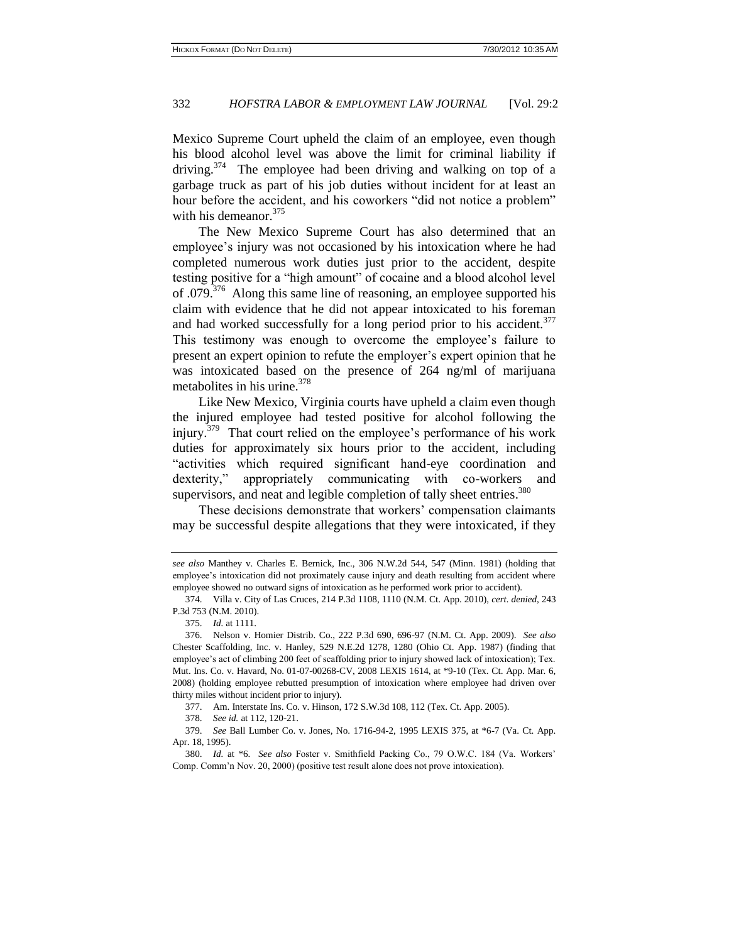Mexico Supreme Court upheld the claim of an employee, even though his blood alcohol level was above the limit for criminal liability if driving.<sup>374</sup> The employee had been driving and walking on top of a garbage truck as part of his job duties without incident for at least an hour before the accident, and his coworkers "did not notice a problem" with his demeanor.<sup>375</sup>

The New Mexico Supreme Court has also determined that an employee's injury was not occasioned by his intoxication where he had completed numerous work duties just prior to the accident, despite testing positive for a "high amount" of cocaine and a blood alcohol level of .079.<sup>376</sup> Along this same line of reasoning, an employee supported his claim with evidence that he did not appear intoxicated to his foreman and had worked successfully for a long period prior to his accident.<sup>377</sup> This testimony was enough to overcome the employee's failure to present an expert opinion to refute the employer's expert opinion that he was intoxicated based on the presence of 264 ng/ml of marijuana metabolites in his urine.<sup>378</sup>

Like New Mexico, Virginia courts have upheld a claim even though the injured employee had tested positive for alcohol following the injury.<sup>379</sup> That court relied on the employee's performance of his work duties for approximately six hours prior to the accident, including "activities which required significant hand-eye coordination and dexterity," appropriately communicating with co-workers and supervisors, and neat and legible completion of tally sheet entries.<sup>380</sup>

These decisions demonstrate that workers' compensation claimants may be successful despite allegations that they were intoxicated, if they

*see also* Manthey v. Charles E. Bernick, Inc., 306 N.W.2d 544, 547 (Minn. 1981) (holding that employee's intoxication did not proximately cause injury and death resulting from accident where employee showed no outward signs of intoxication as he performed work prior to accident).

<sup>374.</sup> Villa v. City of Las Cruces, [214 P.3d 1108, 1110 \(N.M. Ct. App. 2010\),](http://www.lexisnexis.com.proxy1.cl.msu.edu/lnacui2api/mungo/lexseestat.do?bct=A&risb=21_T12073448182&homeCsi=9088&A=0.3128398209078065&urlEnc=ISO-8859-1&&citeString=148%20N.M.%20668&countryCode=USA) *cert. denied*[, 243](http://www.lexisnexis.com.proxy1.cl.msu.edu/lnacui2api/mungo/lexseestat.do?bct=A&risb=21_T12073448182&homeCsi=9088&A=0.3128398209078065&urlEnc=ISO-8859-1&&citeString=243%20P.3d%20753&countryCode=USA)  [P.3d 753](http://www.lexisnexis.com.proxy1.cl.msu.edu/lnacui2api/mungo/lexseestat.do?bct=A&risb=21_T12073448182&homeCsi=9088&A=0.3128398209078065&urlEnc=ISO-8859-1&&citeString=243%20P.3d%20753&countryCode=USA) (N.M. 2010).

<sup>375.</sup> *Id.* at 1111.

<sup>376.</sup> Nelson v. Homier Distrib. Co., [222 P.3d 690, 696-97 \(N.M. Ct. App. 2009\).](http://www.lexisnexis.com.proxy1.cl.msu.edu/lnacui2api/mungo/lexseestat.do?bct=A&risb=21_T12073448182&homeCsi=9088&A=0.3128398209078065&urlEnc=ISO-8859-1&&citeString=147%20N.M.%20318&countryCode=USA) *See also* Chester Scaffolding, Inc. v. Hanley, 529 N.E.2d 1278, 1280 (Ohio Ct. App. 1987) (finding that employee's act of climbing 200 feet of scaffolding prior to injury showed lack of intoxication); Tex. Mut. Ins. Co. v. Havard, No. 01-07-00268-CV, 2008 LEXIS 1614, at \*9-10 (Tex. Ct. App. Mar. 6, 2008) (holding employee rebutted presumption of intoxication where employee had driven over thirty miles without incident prior to injury).

<sup>377.</sup> [Am. Interstate Ins. Co. v. Hinson, 172 S.W.3d 108, 112 \(Tex. Ct. App. 2005\).](http://www.lexisnexis.com.proxy1.cl.msu.edu/lnacui2api/mungo/lexseestat.do?bct=A&risb=21_T11941282129&homeCsi=10630&A=0.7419362707291953&urlEnc=ISO-8859-1&&citeString=172%20S.W.3d%20108&countryCode=USA)

<sup>378.</sup> *See id.* at 112, 120-21.

<sup>379.</sup> *See* Ball Lumber Co. v. Jones, No. 1716-94-2, 1995 LEXIS 375, at \*6-7 (Va. Ct. App. Apr. 18, 1995).

<sup>380.</sup> *Id.* at \*6. *See also* Foster v. Smithfield Packing Co., 79 O.W.C. 184 (Va. Workers' Comp. Comm'n Nov. 20, 2000) (positive test result alone does not prove intoxication).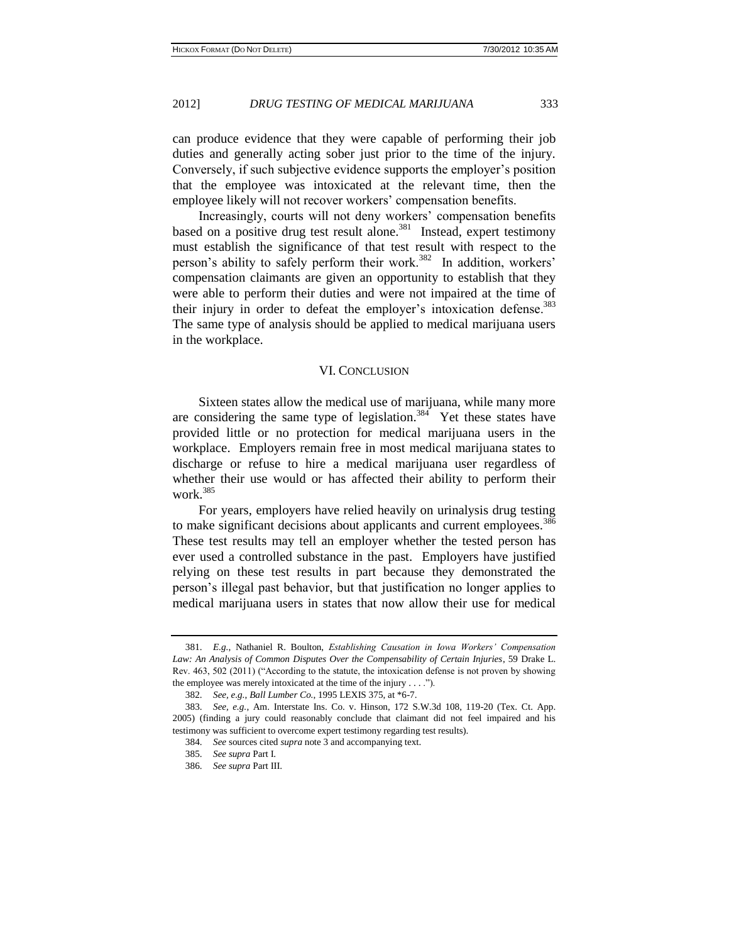can produce evidence that they were capable of performing their job duties and generally acting sober just prior to the time of the injury. Conversely, if such subjective evidence supports the employer's position that the employee was intoxicated at the relevant time, then the employee likely will not recover workers' compensation benefits.

Increasingly, courts will not deny workers' compensation benefits based on a positive drug test result alone.<sup>381</sup> Instead, expert testimony must establish the significance of that test result with respect to the person's ability to safely perform their work.<sup>382</sup> In addition, workers' compensation claimants are given an opportunity to establish that they were able to perform their duties and were not impaired at the time of their injury in order to defeat the employer's intoxication defense.<sup>383</sup> The same type of analysis should be applied to medical marijuana users in the workplace.

#### VI. CONCLUSION

Sixteen states allow the medical use of marijuana, while many more are considering the same type of legislation.<sup>384</sup> Yet these states have provided little or no protection for medical marijuana users in the workplace. Employers remain free in most medical marijuana states to discharge or refuse to hire a medical marijuana user regardless of whether their use would or has affected their ability to perform their work.<sup>385</sup>

For years, employers have relied heavily on urinalysis drug testing to make significant decisions about applicants and current employees.<sup>386</sup> These test results may tell an employer whether the tested person has ever used a controlled substance in the past. Employers have justified relying on these test results in part because they demonstrated the person's illegal past behavior, but that justification no longer applies to medical marijuana users in states that now allow their use for medical

<sup>381.</sup> *E.g.*, Nathaniel R. Boulton, *Establishing Causation in Iowa Workers' Compensation Law: An Analysis of Common Disputes Over the Compensability of Certain Injuries*, 59 Drake L. Rev. 463, 502 (2011) ("According to the statute, the intoxication defense is not proven by showing the employee was merely intoxicated at the time of the injury . . . .").

<sup>382.</sup> *See, e.g.*, *Ball Lumber Co.*, 1995 LEXIS 375, at \*6-7.

<sup>383.</sup> *See, e.g.*, [Am. Interstate Ins. Co. v. Hinson, 172 S.W.3d 108, 119-20 \(Tex. Ct. App.](http://www.lexisnexis.com.proxy1.cl.msu.edu/lnacui2api/mungo/lexseestat.do?bct=A&risb=21_T11941282129&homeCsi=10630&A=0.7419362707291953&urlEnc=ISO-8859-1&&citeString=172%20S.W.3d%20108&countryCode=USA)  [2005\)](http://www.lexisnexis.com.proxy1.cl.msu.edu/lnacui2api/mungo/lexseestat.do?bct=A&risb=21_T11941282129&homeCsi=10630&A=0.7419362707291953&urlEnc=ISO-8859-1&&citeString=172%20S.W.3d%20108&countryCode=USA) (finding a jury could reasonably conclude that claimant did not feel impaired and his testimony was sufficient to overcome expert testimony regarding test results).

<sup>384.</sup> *See* sources cited *supra* note 3 and accompanying text.

<sup>385.</sup> *See supra* Part I.

<sup>386.</sup> *See supra* Part III.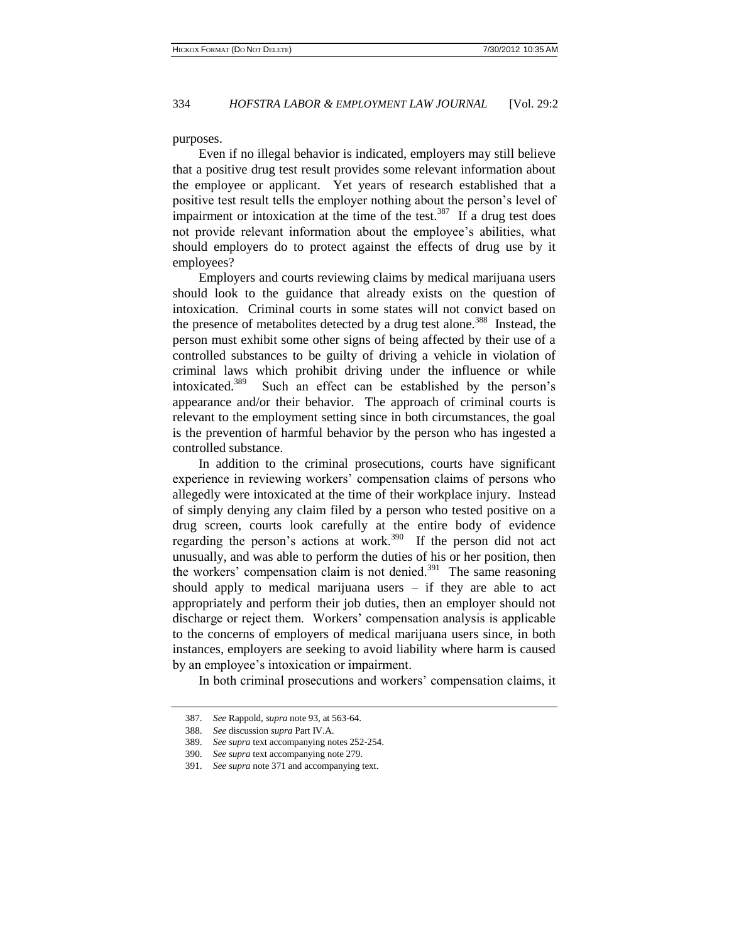purposes.

Even if no illegal behavior is indicated, employers may still believe that a positive drug test result provides some relevant information about the employee or applicant. Yet years of research established that a positive test result tells the employer nothing about the person's level of impairment or intoxication at the time of the test.<sup>387</sup> If a drug test does not provide relevant information about the employee's abilities, what should employers do to protect against the effects of drug use by it employees?

Employers and courts reviewing claims by medical marijuana users should look to the guidance that already exists on the question of intoxication. Criminal courts in some states will not convict based on the presence of metabolites detected by a drug test alone.<sup>388</sup> Instead, the person must exhibit some other signs of being affected by their use of a controlled substances to be guilty of driving a vehicle in violation of criminal laws which prohibit driving under the influence or while intoxicated.<sup>389</sup> Such an effect can be established by the person's appearance and/or their behavior. The approach of criminal courts is relevant to the employment setting since in both circumstances, the goal is the prevention of harmful behavior by the person who has ingested a controlled substance.

In addition to the criminal prosecutions, courts have significant experience in reviewing workers' compensation claims of persons who allegedly were intoxicated at the time of their workplace injury. Instead of simply denying any claim filed by a person who tested positive on a drug screen, courts look carefully at the entire body of evidence regarding the person's actions at work.<sup>390</sup> If the person did not act unusually, and was able to perform the duties of his or her position, then the workers' compensation claim is not denied.<sup>391</sup> The same reasoning should apply to medical marijuana users  $-$  if they are able to act appropriately and perform their job duties, then an employer should not discharge or reject them. Workers' compensation analysis is applicable to the concerns of employers of medical marijuana users since, in both instances, employers are seeking to avoid liability where harm is caused by an employee's intoxication or impairment.

In both criminal prosecutions and workers' compensation claims, it

<sup>387.</sup> *See* Rappold, *supra* note 93, at 563-64.

<sup>388.</sup> *See* discussion *supra* Part IV.A.

<sup>389.</sup> *See supra* text accompanying notes 252-254.

<sup>390.</sup> *See supra* text accompanying note 279.

<sup>391.</sup> *See supra* note 371 and accompanying text.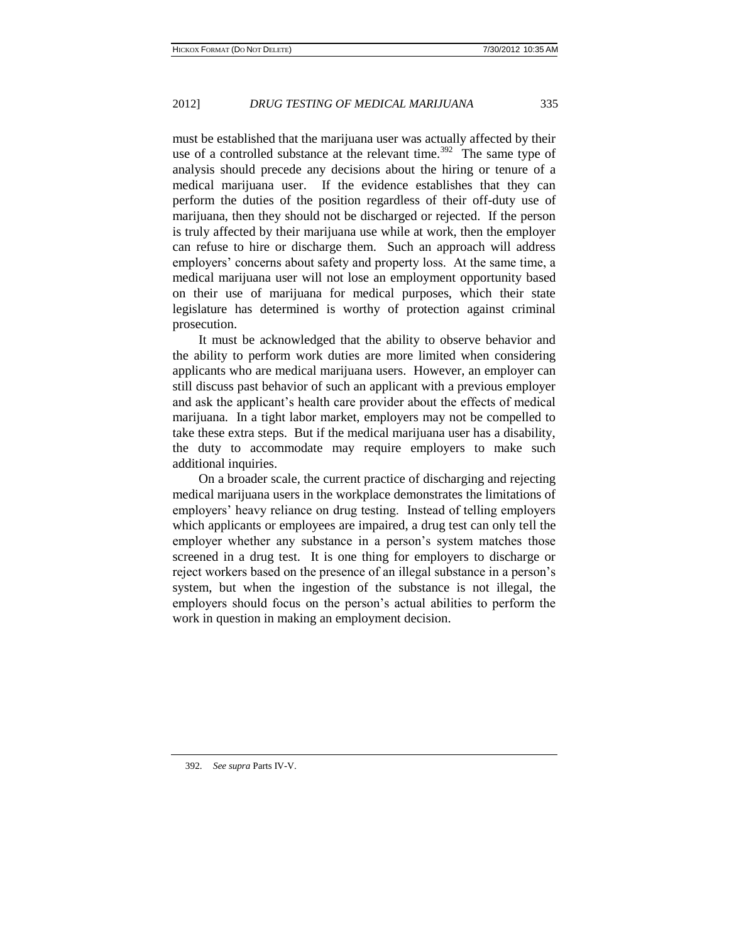must be established that the marijuana user was actually affected by their use of a controlled substance at the relevant time.<sup>392</sup> The same type of analysis should precede any decisions about the hiring or tenure of a medical marijuana user. If the evidence establishes that they can perform the duties of the position regardless of their off-duty use of marijuana, then they should not be discharged or rejected. If the person is truly affected by their marijuana use while at work, then the employer can refuse to hire or discharge them. Such an approach will address employers' concerns about safety and property loss. At the same time, a medical marijuana user will not lose an employment opportunity based on their use of marijuana for medical purposes, which their state legislature has determined is worthy of protection against criminal prosecution.

It must be acknowledged that the ability to observe behavior and the ability to perform work duties are more limited when considering applicants who are medical marijuana users. However, an employer can still discuss past behavior of such an applicant with a previous employer and ask the applicant's health care provider about the effects of medical marijuana. In a tight labor market, employers may not be compelled to take these extra steps. But if the medical marijuana user has a disability, the duty to accommodate may require employers to make such additional inquiries.

On a broader scale, the current practice of discharging and rejecting medical marijuana users in the workplace demonstrates the limitations of employers' heavy reliance on drug testing. Instead of telling employers which applicants or employees are impaired, a drug test can only tell the employer whether any substance in a person's system matches those screened in a drug test. It is one thing for employers to discharge or reject workers based on the presence of an illegal substance in a person's system, but when the ingestion of the substance is not illegal, the employers should focus on the person's actual abilities to perform the work in question in making an employment decision.

392. *See supra* Parts IV-V.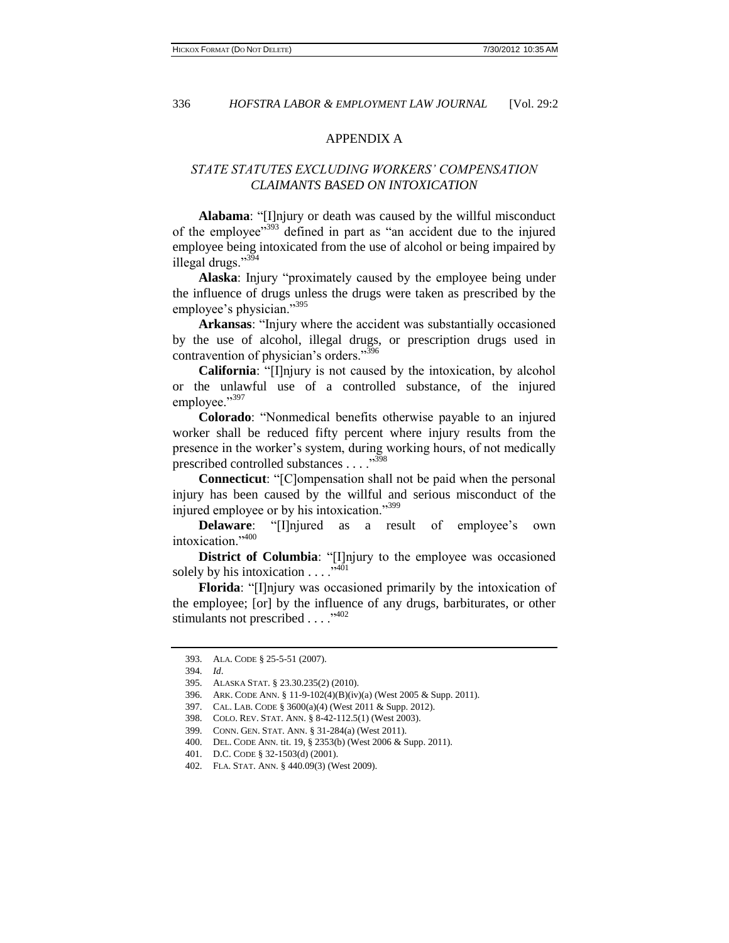# APPENDIX A

# *STATE STATUTES EXCLUDING WORKERS' COMPENSATION CLAIMANTS BASED ON INTOXICATION*

**Alabama**: "[I]njury or death was caused by the willful misconduct of the employee"<sup>393</sup> defined in part as "an accident due to the injured employee being intoxicated from the use of alcohol or being impaired by illegal drugs."<sup>394</sup>

**Alaska**: Injury "proximately caused by the employee being under the influence of drugs unless the drugs were taken as prescribed by the employee's physician."<sup>395</sup>

**Arkansas**: "Injury where the accident was substantially occasioned by the use of alcohol, illegal drugs, or prescription drugs used in contravention of physician's orders."<sup>396</sup>

**California**: "[I]njury is not caused by the intoxication, by alcohol or the unlawful use of a controlled substance, of the injured employee."397

**Colorado**: "Nonmedical benefits otherwise payable to an injured worker shall be reduced fifty percent where injury results from the presence in the worker's system, during working hours, of not medically prescribed controlled substances . . . . "<sup>398</sup>

**Connecticut**: "[C]ompensation shall not be paid when the personal injury has been caused by the willful and serious misconduct of the injured employee or by his intoxication."<sup>399</sup>

**Delaware**: "[I]njured as a result of employee's own intoxication."<sup>400</sup>

**District of Columbia**: "[I]njury to the employee was occasioned solely by his intoxication  $\dots$ ."<sup>401</sup>

**Florida**: "[I]njury was occasioned primarily by the intoxication of the employee; [or] by the influence of any drugs, barbiturates, or other stimulants not prescribed . . . . "<sup>402</sup>

<sup>393.</sup> ALA. CODE § 25-5-51 (2007).

<sup>394.</sup> *Id*.

<sup>395.</sup> ALASKA STAT. § 23.30.235(2) (2010).

<sup>396.</sup> ARK. CODE ANN. § 11-9-102(4)(B)(iv)(a) (West 2005 & Supp. 2011).

<sup>397.</sup> CAL. LAB. CODE § 3600(a)(4) (West 2011 & Supp. 2012).

<sup>398.</sup> COLO. REV. STAT. ANN. § 8-42-112.5(1) (West 2003).

<sup>399.</sup> CONN. GEN. STAT. ANN. § 31-284(a) (West 2011).

<sup>400.</sup> DEL. CODE ANN. tit. 19, § 2353(b) (West 2006 & Supp. 2011).

<sup>401.</sup> D.C. CODE § 32-1503(d) (2001).

<sup>402.</sup> FLA. STAT. ANN. § 440.09(3) (West 2009).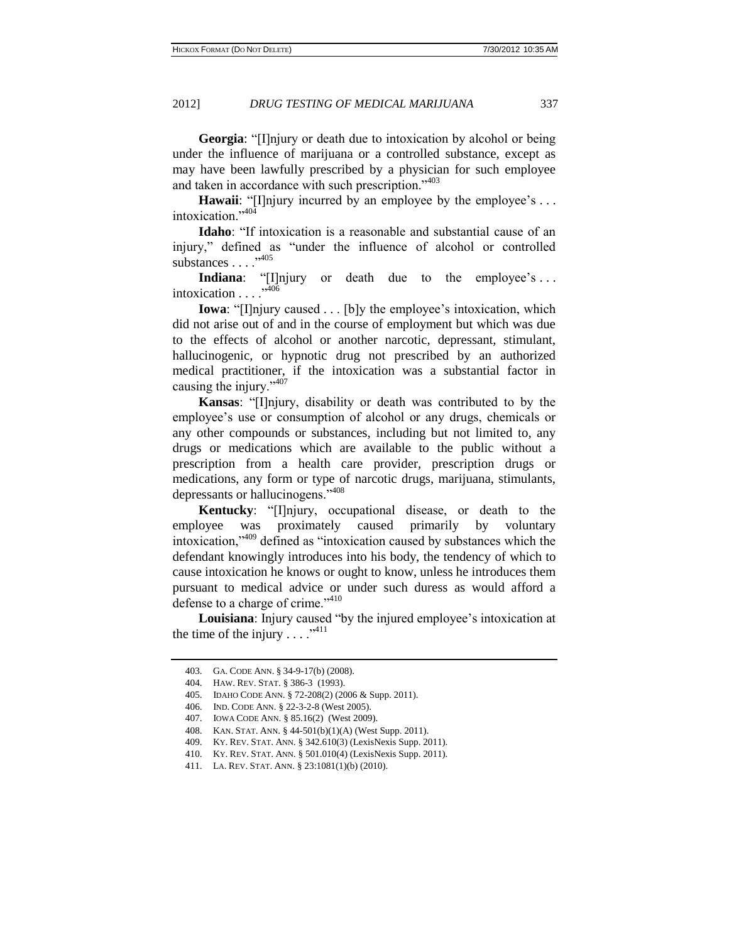**Georgia:** "[I]njury or death due to intoxication by alcohol or being under the influence of marijuana or a controlled substance, except as may have been lawfully prescribed by a physician for such employee and taken in accordance with such prescription."<sup>403</sup>

**Hawaii**: "[I]njury incurred by an employee by the employee's ... intoxication."<sup>404</sup>

**Idaho**: "If intoxication is a reasonable and substantial cause of an injury," defined as "under the influence of alcohol or controlled substances . . . .<sup>5405</sup>

**Indiana**: "[I]njury or death due to the employee's ... intoxication  $\ldots$ <sup>.,406</sup>

**Iowa**: "[I]njury caused . . . [b]y the employee's intoxication, which did not arise out of and in the course of employment but which was due to the effects of alcohol or another narcotic, depressant, stimulant, hallucinogenic, or hypnotic drug not prescribed by an authorized medical practitioner, if the intoxication was a substantial factor in causing the injury."<sup>407</sup>

**Kansas**: "[I]njury, disability or death was contributed to by the employee's use or consumption of alcohol or any drugs, chemicals or any other compounds or substances, including but not limited to, any drugs or medications which are available to the public without a prescription from a health care provider, prescription drugs or medications, any form or type of narcotic drugs, marijuana, stimulants, depressants or hallucinogens."<sup>408</sup>

**Kentucky**: "[I]njury, occupational disease, or death to the employee was proximately caused primarily by voluntary intoxication,"<sup>409</sup> defined as "intoxication caused by substances which the defendant knowingly introduces into his body, the tendency of which to cause intoxication he knows or ought to know, unless he introduces them pursuant to medical advice or under such duress as would afford a defense to a charge of crime." <sup>410</sup>

**Louisiana**: Injury caused "by the injured employee's intoxication at the time of the injury  $\dots$ ."<sup>411</sup>

<sup>403.</sup> GA. CODE ANN. § 34-9-17(b) (2008).

<sup>404.</sup> HAW. REV. STAT. § 386-3 (1993).

<sup>405.</sup> IDAHO CODE ANN. § 72-208(2) (2006 & Supp. 2011).

<sup>406.</sup> IND. CODE ANN. § 22-3-2-8 (West 2005).

<sup>407.</sup> IOWA CODE ANN. § 85.16(2) (West 2009).

<sup>408.</sup> KAN. STAT. ANN. § 44-501(b)(1)(A) (West Supp. 2011).

<sup>409.</sup> KY. REV. STAT. ANN. § 342.610(3) (LexisNexis Supp. 2011).

<sup>410.</sup> KY. REV. STAT. ANN. § 501.010(4) (LexisNexis Supp. 2011).

<sup>411.</sup> LA. REV. STAT. ANN. § 23:1081(1)(b) (2010).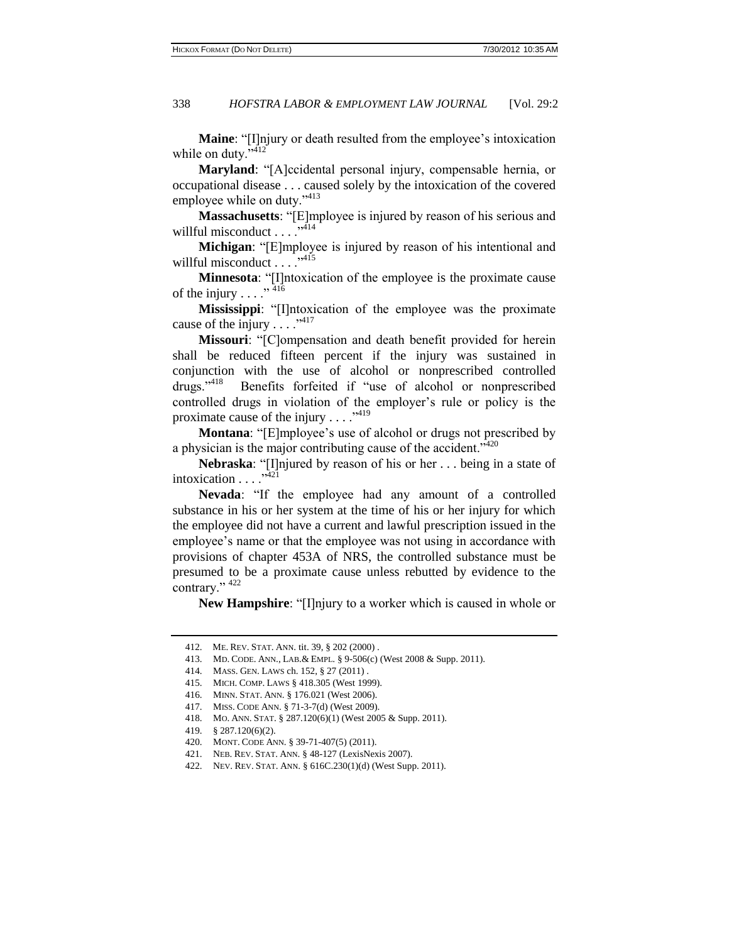**Maine**: "[I]njury or death resulted from the employee's intoxication while on duty." $412$ 

**Maryland**: "[A]ccidental personal injury, compensable hernia, or occupational disease . . . caused solely by the intoxication of the covered employee while on duty."<sup>413</sup>

**Massachusetts**: "[E]mployee is injured by reason of his serious and willful misconduct  $\ldots$  .  $^{3414}$ 

**Michigan**: "[E]mployee is injured by reason of his intentional and willful misconduct  $\ldots$  . . . . . 415

**Minnesota**: "[I]ntoxication of the employee is the proximate cause of the injury  $\ldots$ ." <sup>416</sup>

**Mississippi**: "[I]ntoxication of the employee was the proximate cause of the injury  $\dots$ ."<sup>417</sup>

**Missouri**: "[C]ompensation and death benefit provided for herein shall be reduced fifteen percent if the injury was sustained in conjunction with the use of alcohol or nonprescribed controlled  $drugs."$ <sup>418</sup> Benefits forfeited if "use of alcohol or nonprescribed controlled drugs in violation of the employer's rule or policy is the proximate cause of the injury  $\dots$ ."<sup>419</sup>

**Montana**: "[E]mployee's use of alcohol or drugs not prescribed by a physician is the major contributing cause of the accident."<sup>420</sup>

**Nebraska**: "[I]njured by reason of his or her . . . being in a state of intoxication  $\ldots$ <sup>3421</sup>

**Nevada**: "If the employee had any amount of a controlled substance in his or her system at the time of his or her injury for which the employee did not have a current and lawful prescription issued in the employee's name or that the employee was not using in accordance with provisions of chapter 453A of NRS, the controlled substance must be presumed to be a proximate cause unless rebutted by evidence to the contrary."  $422$ 

**New Hampshire**: "[I]njury to a worker which is caused in whole or

<sup>412.</sup> ME. REV. STAT. ANN. tit. 39, § 202 (2000) .

<sup>413.</sup> MD. CODE. ANN., LAB.& EMPL. § 9-506(c) (West 2008 & Supp. 2011).

<sup>414.</sup> MASS. GEN. LAWS ch. 152, § 27 (2011) .

<sup>415.</sup> MICH. COMP. LAWS § 418.305 (West 1999).

<sup>416.</sup> MINN. STAT. ANN. § 176.021 (West 2006).

<sup>417.</sup> MISS. CODE ANN. § 71-3-7(d) (West 2009).

<sup>418.</sup> MO. ANN. STAT. § 287.120(6)(1) (West 2005 & Supp. 2011).

<sup>419.</sup> § 287.120(6)(2).

<sup>420.</sup> MONT. CODE ANN. § 39-71-407(5) (2011).

<sup>421.</sup> NEB. REV. STAT. ANN. § 48-127 (LexisNexis 2007).

<sup>422.</sup> NEV. REV. STAT. ANN. § 616C.230(1)(d) (West Supp. 2011).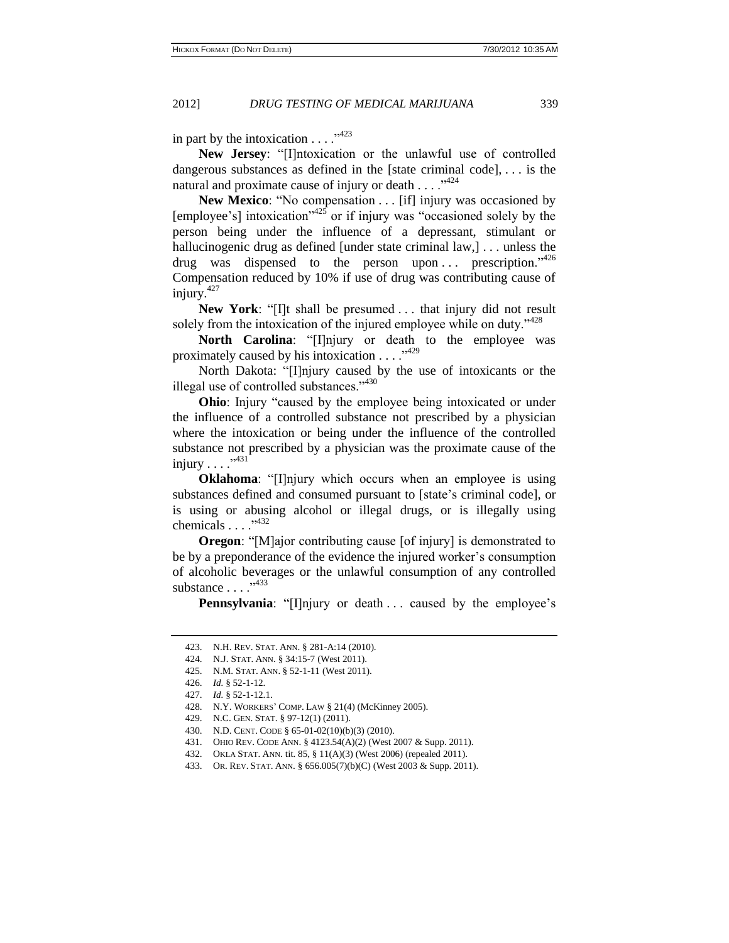in part by the intoxication  $\dots$ ."<sup>423</sup>

**New Jersey**: "[I]ntoxication or the unlawful use of controlled dangerous substances as defined in the [state criminal code], . . . is the natural and proximate cause of injury or death  $\dots$ .  $^{3424}$ 

**New Mexico**: "No compensation . . . [if] injury was occasioned by  $[emplovec's]$  intoxication<sup> $25$ </sup> or if injury was "occasioned solely by the person being under the influence of a depressant, stimulant or hallucinogenic drug as defined [under state criminal law,]... unless the drug was dispensed to the person upon ... prescription.<sup>3426</sup> Compensation reduced by 10% if use of drug was contributing cause of injury. $427$ 

**New York**: "[I]t shall be presumed . . . that injury did not result solely from the intoxication of the injured employee while on duty. $1428$ 

North Carolina: "[I]njury or death to the employee was proximately caused by his intoxication  $\dots$ ."<sup>429</sup>

North Dakota: "[I]njury caused by the use of intoxicants or the illegal use of controlled substances."<sup>430</sup>

**Ohio**: Injury "caused by the employee being intoxicated or under the influence of a controlled substance not prescribed by a physician where the intoxication or being under the influence of the controlled substance not prescribed by a physician was the proximate cause of the injury  $\ldots$  . . . . 431

**Oklahoma**: "[I]njury which occurs when an employee is using substances defined and consumed pursuant to [\[state's](http://www.lexisnexis.com.proxy1.cl.msu.edu/lnacui2api/mungo/lexseestat.do?bct=A&risb=21_T11941106747&homeCsi=9277&A=0.8108701801746353&urlEnc=ISO-8859-1&&citeString=63%20OKCODE%20465.20&countryCode=USA) criminal code], or is using or abusing alcohol or illegal drugs, or is illegally using chemicals . . . ."<sup>432</sup>

**Oregon**: "[M]ajor contributing cause [of injury] is demonstrated to be by a preponderance of the evidence the injured worker's consumption of alcoholic beverages or the unlawful consumption of any controlled substance  $\ldots$   $\cdot^{433}$ 

**Pennsylvania**: "[I]njury or death . . . caused by the employee's

426. *Id.* § 52-1-12.

- 429. N.C. GEN. STAT. § 97-12(1) (2011).
- 430. N.D. CENT. CODE § 65-01-02(10)(b)(3) (2010).
- 431. OHIO REV. CODE ANN. § 4123.54(A)(2) (West 2007 & Supp. 2011).
- 432. OKLA STAT. ANN. tit. 85, § 11(A)(3) (West 2006) (repealed 2011).

<sup>423.</sup> N.H. REV. STAT. ANN. § 281-A:14 (2010).

<sup>424.</sup> N.J. STAT. ANN. § 34:15-7 (West 2011).

<sup>425.</sup> N.M. STAT. ANN. § 52-1-11 (West 2011).

<sup>427.</sup> *Id.* § 52-1-12.1.

<sup>428.</sup> N.Y. WORKERS' COMP. LAW § 21(4) (McKinney 2005).

<sup>433.</sup> OR. REV. STAT. ANN. § 656.005(7)(b)(C) (West 2003 & Supp. 2011).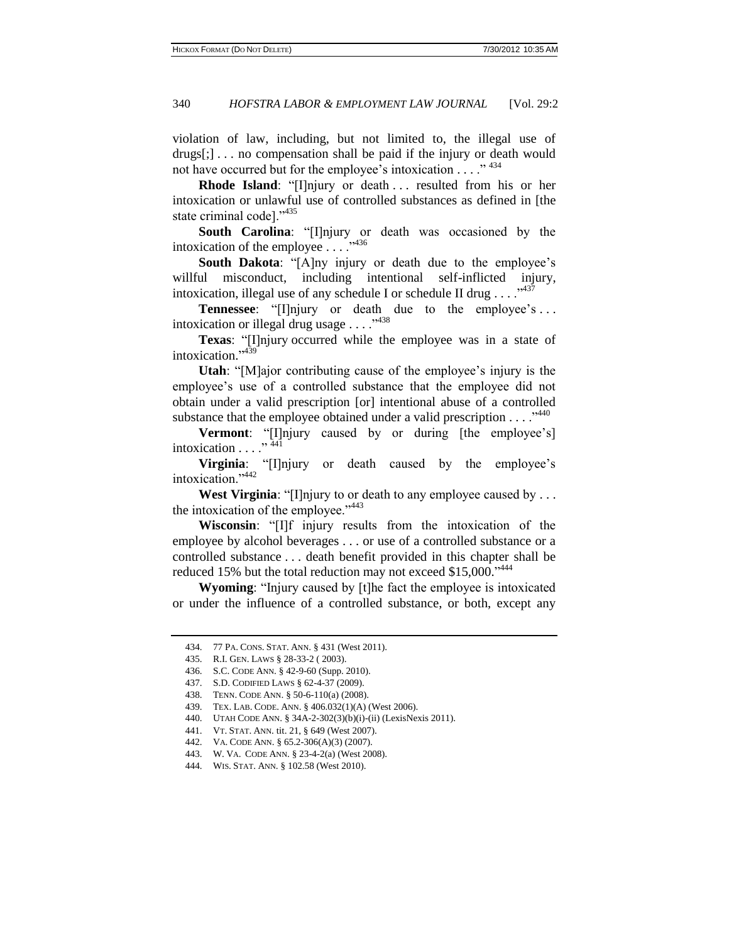violation of law, including, but not limited to, the illegal use of drugs[;] . . . no compensation shall be paid if the injury or death would not have occurred but for the employee's intoxication . . . ."<sup>434</sup>

**Rhode Island**: "[I]njury or death . . . resulted from his or her intoxication or unlawful use of controlled substances as defined in [the state criminal code]."435

**South Carolina**: "[I]njury or death was occasioned by the intoxication of the employee  $\dots$ <sup>3436</sup>

**South Dakota:** "[A]ny injury or death due to the employee's willful misconduct, including intentional self-inflicted injury, intoxication, illegal use of any schedule I or schedule II drug  $\ldots$ <sup>5437</sup>

**Tennessee**: "[I]njury or death due to the employee's ... intoxication or illegal drug usage . . . . "<sup>438</sup>

**Texas**: "[I]njury occurred while the employee was in a state of intoxication." 439

**Utah**: "[M]ajor contributing cause of the employee's injury is the employee's use of a controlled substance that the employee did not obtain under a valid prescription [or] intentional abuse of a controlled substance that the employee obtained under a valid prescription  $\dots$ <sup>5440</sup>

**Vermont**: "[I]njury caused by or during [the employee's] intoxication  $\ldots$  ."  $44\overline{1}$ 

**Virginia**: "[I]njury or death caused by the employee's intoxication."<sup>442</sup>

**West Virginia**: "[I]njury to or death to any employee caused by . . . the intoxication of the employee." <sup>443</sup>

**Wisconsin**: "[I]f injury results from the intoxication of the employee by alcohol beverages . . . or use of a controlled substance or a controlled substance . . . death benefit provided in this chapter shall be reduced 15% but the total reduction may not exceed \$15,000.<sup>1444</sup>

**Wyoming**: "Injury caused by [t]he fact the employee is intoxicated or under the influence of a controlled substance, or both, except any

<sup>434.</sup> 77 PA. CONS. STAT. ANN. § 431 (West 2011).

<sup>435.</sup> R.I. GEN. LAWS § 28-33-2 ( 2003).

<sup>436.</sup> S.C. CODE ANN. § 42-9-60 (Supp. 2010).

<sup>437.</sup> S.D. CODIFIED LAWS § 62-4-37 (2009).

<sup>438.</sup> TENN. CODE ANN. § 50-6-110(a) (2008).

<sup>439.</sup> TEX. LAB. CODE. ANN. § 406.032(1)(A) (West 2006).

<sup>440.</sup> UTAH CODE ANN. § 34A-2-302(3)(b)(i)-(ii) (LexisNexis 2011).

<sup>441.</sup> VT. STAT. ANN. tit. 21, § 649 (West 2007).

<sup>442.</sup> VA. CODE ANN. § 65.2-306(A)(3) (2007).

<sup>443.</sup> W. VA. CODE ANN. § 23-4-2(a) (West 2008).

<sup>444.</sup> WIS. STAT. ANN. § 102.58 (West 2010).